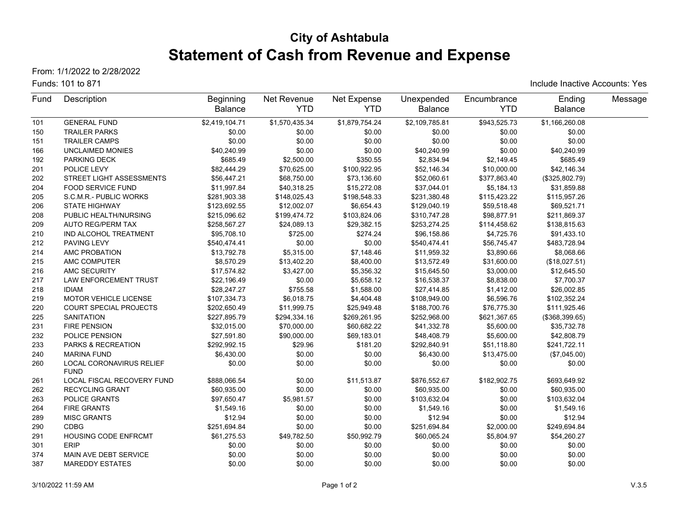# **City of Ashtabula Statement of Cash from Revenue and Expense**

From: 1/1/2022 to 2/28/2022

#### Funds: 101 to 871

Include Inactive Accounts: Yes

| Fund | Description                             | <b>Beginning</b> | Net Revenue    | Net Expense    | Unexpended     | Encumbrance  | Ending         | Message |
|------|-----------------------------------------|------------------|----------------|----------------|----------------|--------------|----------------|---------|
|      |                                         | <b>Balance</b>   | <b>YTD</b>     | <b>YTD</b>     | <b>Balance</b> | <b>YTD</b>   | <b>Balance</b> |         |
| 101  | <b>GENERAL FUND</b>                     | \$2,419,104.71   | \$1,570,435.34 | \$1,879,754.24 | \$2,109,785.81 | \$943,525.73 | \$1,166,260.08 |         |
| 150  | <b>TRAILER PARKS</b>                    | \$0.00           | \$0.00         | \$0.00         | \$0.00         | \$0.00       | \$0.00         |         |
| 151  | <b>TRAILER CAMPS</b>                    | \$0.00           | \$0.00         | \$0.00         | \$0.00         | \$0.00       | \$0.00         |         |
| 166  | <b>UNCLAIMED MONIES</b>                 | \$40,240.99      | \$0.00         | \$0.00         | \$40,240.99    | \$0.00       | \$40,240.99    |         |
| 192  | PARKING DECK                            | \$685.49         | \$2,500.00     | \$350.55       | \$2,834.94     | \$2,149.45   | \$685.49       |         |
| 201  | POLICE LEVY                             | \$82,444.29      | \$70,625.00    | \$100,922.95   | \$52,146.34    | \$10,000.00  | \$42,146.34    |         |
| 202  | STREET LIGHT ASSESSMENTS                | \$56,447.21      | \$68,750.00    | \$73,136.60    | \$52,060.61    | \$377,863.40 | (\$325,802.79) |         |
| 204  | <b>FOOD SERVICE FUND</b>                | \$11,997.84      | \$40,318.25    | \$15,272.08    | \$37,044.01    | \$5,184.13   | \$31,859.88    |         |
| 205  | S.C.M.R.- PUBLIC WORKS                  | \$281,903.38     | \$148,025.43   | \$198,548.33   | \$231,380.48   | \$115,423.22 | \$115,957.26   |         |
| 206  | STATE HIGHWAY                           | \$123,692.55     | \$12,002.07    | \$6,654.43     | \$129,040.19   | \$59,518.48  | \$69,521.71    |         |
| 208  | PUBLIC HEALTH/NURSING                   | \$215,096.62     | \$199,474.72   | \$103,824.06   | \$310,747.28   | \$98,877.91  | \$211,869.37   |         |
| 209  | AUTO REG/PERM TAX                       | \$258,567.27     | \$24,089.13    | \$29,382.15    | \$253,274.25   | \$114,458.62 | \$138,815.63   |         |
| 210  | IND ALCOHOL TREATMENT                   | \$95,708.10      | \$725.00       | \$274.24       | \$96,158.86    | \$4,725.76   | \$91,433.10    |         |
| 212  | PAVING LEVY                             | \$540,474.41     | \$0.00         | \$0.00         | \$540,474.41   | \$56,745.47  | \$483,728.94   |         |
| 214  | AMC PROBATION                           | \$13,792.78      | \$5,315.00     | \$7,148.46     | \$11,959.32    | \$3,890.66   | \$8,068.66     |         |
| 215  | AMC COMPUTER                            | \$8,570.29       | \$13,402.20    | \$8,400.00     | \$13,572.49    | \$31,600.00  | (\$18,027.51)  |         |
| 216  | AMC SECURITY                            | \$17,574.82      | \$3,427.00     | \$5,356.32     | \$15,645.50    | \$3,000.00   | \$12,645.50    |         |
| 217  | <b>LAW ENFORCEMENT TRUST</b>            | \$22,196.49      | \$0.00         | \$5,658.12     | \$16,538.37    | \$8,838.00   | \$7,700.37     |         |
| 218  | <b>IDIAM</b>                            | \$28,247.27      | \$755.58       | \$1,588.00     | \$27,414.85    | \$1,412.00   | \$26,002.85    |         |
| 219  | <b>MOTOR VEHICLE LICENSE</b>            | \$107,334.73     | \$6,018.75     | \$4,404.48     | \$108,949.00   | \$6,596.76   | \$102,352.24   |         |
| 220  | <b>COURT SPECIAL PROJECTS</b>           | \$202,650.49     | \$11,999.75    | \$25,949.48    | \$188,700.76   | \$76,775.30  | \$111,925.46   |         |
| 225  | <b>SANITATION</b>                       | \$227,895.79     | \$294,334.16   | \$269,261.95   | \$252,968.00   | \$621,367.65 | (\$368,399.65) |         |
| 231  | <b>FIRE PENSION</b>                     | \$32,015.00      | \$70,000.00    | \$60,682.22    | \$41,332.78    | \$5,600.00   | \$35,732.78    |         |
| 232  | POLICE PENSION                          | \$27,591.80      | \$90,000.00    | \$69,183.01    | \$48,408.79    | \$5,600.00   | \$42,808.79    |         |
| 233  | PARKS & RECREATION                      | \$292,992.15     | \$29.96        | \$181.20       | \$292,840.91   | \$51,118.80  | \$241,722.11   |         |
| 240  | <b>MARINA FUND</b>                      | \$6,430.00       | \$0.00         | \$0.00         | \$6,430.00     | \$13,475.00  | (\$7,045.00)   |         |
| 260  | LOCAL CORONAVIRUS RELIEF<br><b>FUND</b> | \$0.00           | \$0.00         | \$0.00         | \$0.00         | \$0.00       | \$0.00         |         |
| 261  | LOCAL FISCAL RECOVERY FUND              | \$888,066.54     | \$0.00         | \$11,513.87    | \$876,552.67   | \$182,902.75 | \$693,649.92   |         |
| 262  | <b>RECYCLING GRANT</b>                  | \$60,935.00      | \$0.00         | \$0.00         | \$60,935.00    | \$0.00       | \$60,935.00    |         |
| 263  | POLICE GRANTS                           | \$97,650.47      | \$5,981.57     | \$0.00         | \$103,632.04   | \$0.00       | \$103,632.04   |         |
| 264  | <b>FIRE GRANTS</b>                      | \$1,549.16       | \$0.00         | \$0.00         | \$1,549.16     | \$0.00       | \$1,549.16     |         |
| 289  | <b>MISC GRANTS</b>                      | \$12.94          | \$0.00         | \$0.00         | \$12.94        | \$0.00       | \$12.94        |         |
| 290  | <b>CDBG</b>                             | \$251,694.84     | \$0.00         | \$0.00         | \$251,694.84   | \$2,000.00   | \$249,694.84   |         |
| 291  | HOUSING CODE ENFRCMT                    | \$61,275.53      | \$49,782.50    | \$50,992.79    | \$60,065.24    | \$5,804.97   | \$54,260.27    |         |
| 301  | <b>ERIP</b>                             | \$0.00           | \$0.00         | \$0.00         | \$0.00         | \$0.00       | \$0.00         |         |
| 374  | MAIN AVE DEBT SERVICE                   | \$0.00           | \$0.00         | \$0.00         | \$0.00         | \$0.00       | \$0.00         |         |
| 387  | <b>MAREDDY ESTATES</b>                  | \$0.00           | \$0.00         | \$0.00         | \$0.00         | \$0.00       | \$0.00         |         |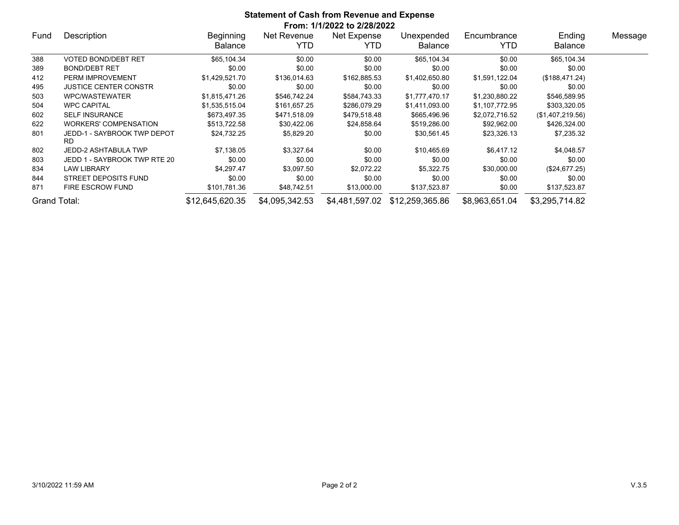|              | <b>Statement of Cash from Revenue and Expense</b><br>From: 1/1/2022 to 2/28/2022 |                             |                     |                     |                              |                    |                          |         |  |  |  |
|--------------|----------------------------------------------------------------------------------|-----------------------------|---------------------|---------------------|------------------------------|--------------------|--------------------------|---------|--|--|--|
| Fund         | Description                                                                      | Beginning<br><b>Balance</b> | Net Revenue<br>YTD. | Net Expense<br>YTD. | Unexpended<br><b>Balance</b> | Encumbrance<br>YTD | Ending<br><b>Balance</b> | Message |  |  |  |
| 388          | VOTED BOND/DEBT RET                                                              | \$65,104.34                 | \$0.00              | \$0.00              | \$65,104.34                  | \$0.00             | \$65,104.34              |         |  |  |  |
| 389          | <b>BOND/DEBT RET</b>                                                             | \$0.00                      | \$0.00              | \$0.00              | \$0.00                       | \$0.00             | \$0.00                   |         |  |  |  |
| 412          | PERM IMPROVEMENT                                                                 | \$1,429,521.70              | \$136,014.63        | \$162,885.53        | \$1,402,650.80               | \$1,591,122.04     | (\$188,471.24)           |         |  |  |  |
| 495          | <b>JUSTICE CENTER CONSTR</b>                                                     | \$0.00                      | \$0.00              | \$0.00              | \$0.00                       | \$0.00             | \$0.00                   |         |  |  |  |
| 503          | WPC/WASTEWATER                                                                   | \$1,815,471.26              | \$546,742.24        | \$584,743.33        | \$1,777,470.17               | \$1,230,880.22     | \$546,589.95             |         |  |  |  |
| 504          | <b>WPC CAPITAL</b>                                                               | \$1,535,515.04              | \$161,657.25        | \$286,079.29        | \$1,411,093.00               | \$1,107,772.95     | \$303,320.05             |         |  |  |  |
| 602          | <b>SELF INSURANCE</b>                                                            | \$673,497.35                | \$471,518.09        | \$479,518.48        | \$665,496.96                 | \$2,072,716.52     | (\$1,407,219.56)         |         |  |  |  |
| 622          | <b>WORKERS' COMPENSATION</b>                                                     | \$513,722.58                | \$30,422.06         | \$24,858.64         | \$519,286.00                 | \$92,962.00        | \$426,324.00             |         |  |  |  |
| 801          | JEDD-1 - SAYBROOK TWP DEPOT<br><b>RD</b>                                         | \$24,732.25                 | \$5,829.20          | \$0.00              | \$30,561.45                  | \$23,326.13        | \$7,235.32               |         |  |  |  |
| 802          | JEDD-2 ASHTABULA TWP                                                             | \$7,138.05                  | \$3,327.64          | \$0.00              | \$10,465.69                  | \$6,417.12         | \$4,048.57               |         |  |  |  |
| 803          | JEDD 1 - SAYBROOK TWP RTE 20                                                     | \$0.00                      | \$0.00              | \$0.00              | \$0.00                       | \$0.00             | \$0.00                   |         |  |  |  |
| 834          | <b>LAW LIBRARY</b>                                                               | \$4,297.47                  | \$3,097.50          | \$2,072.22          | \$5,322.75                   | \$30,000.00        | (\$24,677.25)            |         |  |  |  |
| 844          | STREET DEPOSITS FUND                                                             | \$0.00                      | \$0.00              | \$0.00              | \$0.00                       | \$0.00             | \$0.00                   |         |  |  |  |
| 871          | <b>FIRE ESCROW FUND</b>                                                          | \$101,781.36                | \$48,742.51         | \$13,000.00         | \$137,523.87                 | \$0.00             | \$137,523.87             |         |  |  |  |
| Grand Total: |                                                                                  | \$12,645,620.35             | \$4,095,342.53      | \$4,481,597.02      | \$12,259,365.86              | \$8,963,651.04     | \$3,295,714.82           |         |  |  |  |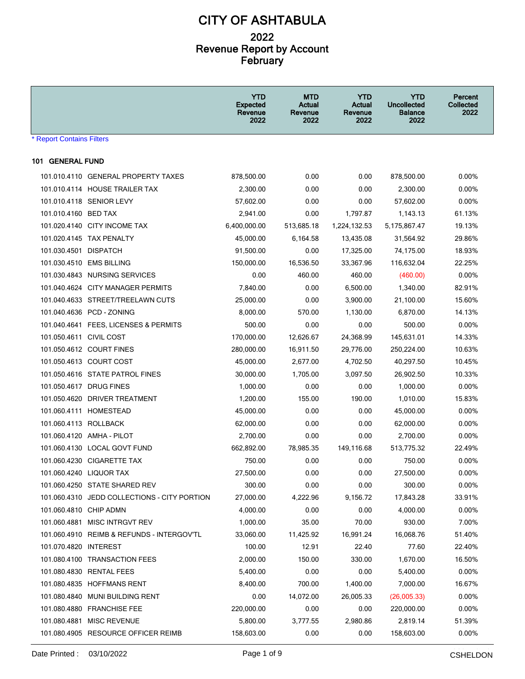|                                  |                                              | <b>YTD</b><br><b>Expected</b><br>Revenue<br>2022 | <b>MTD</b><br>Actual<br>Revenue<br>2022 | <b>YTD</b><br>Actual<br>Revenue<br>2022 | <b>YTD</b><br><b>Uncollected</b><br><b>Balance</b><br>2022 | Percent<br><b>Collected</b><br>2022 |  |  |  |  |
|----------------------------------|----------------------------------------------|--------------------------------------------------|-----------------------------------------|-----------------------------------------|------------------------------------------------------------|-------------------------------------|--|--|--|--|
| <b>* Report Contains Filters</b> |                                              |                                                  |                                         |                                         |                                                            |                                     |  |  |  |  |
| 101 GENERAL FUND                 |                                              |                                                  |                                         |                                         |                                                            |                                     |  |  |  |  |
|                                  | 101.010.4110 GENERAL PROPERTY TAXES          | 878,500.00                                       | 0.00                                    | 0.00                                    | 878,500.00                                                 | $0.00\%$                            |  |  |  |  |
|                                  | 101.010.4114 HOUSE TRAILER TAX               | 2,300.00                                         | 0.00                                    | 0.00                                    | 2,300.00                                                   | $0.00\%$                            |  |  |  |  |
|                                  | 101.010.4118 SENIOR LEVY                     | 57.602.00                                        | 0.00                                    | 0.00                                    | 57,602.00                                                  | $0.00\%$                            |  |  |  |  |
| 101.010.4160 BED TAX             |                                              | 2,941.00                                         | 0.00                                    | 1,797.87                                | 1,143.13                                                   | 61.13%                              |  |  |  |  |
|                                  | 101.020.4140 CITY INCOME TAX                 | 6,400,000.00                                     | 513,685.18                              | 1,224,132.53                            | 5,175,867.47                                               | 19.13%                              |  |  |  |  |
|                                  | 101.020.4145 TAX PENALTY                     | 45,000.00                                        | 6,164.58                                | 13,435.08                               | 31,564.92                                                  | 29.86%                              |  |  |  |  |
| 101.030.4501 DISPATCH            |                                              | 91,500.00                                        | 0.00                                    | 17,325.00                               | 74,175.00                                                  | 18.93%                              |  |  |  |  |
|                                  | 101.030.4510 EMS BILLING                     | 150,000.00                                       | 16,536.50                               | 33,367.96                               | 116,632.04                                                 | 22.25%                              |  |  |  |  |
|                                  | 101.030.4843 NURSING SERVICES                | 0.00                                             | 460.00                                  | 460.00                                  | (460.00)                                                   | 0.00%                               |  |  |  |  |
|                                  | 101.040.4624 CITY MANAGER PERMITS            | 7,840.00                                         | 0.00                                    | 6,500.00                                | 1,340.00                                                   | 82.91%                              |  |  |  |  |
|                                  | 101.040.4633 STREET/TREELAWN CUTS            | 25,000.00                                        | 0.00                                    | 3,900.00                                | 21,100.00                                                  | 15.60%                              |  |  |  |  |
|                                  | 101.040.4636 PCD - ZONING                    | 8,000.00                                         | 570.00                                  | 1,130.00                                | 6,870.00                                                   | 14.13%                              |  |  |  |  |
|                                  | 101.040.4641 FEES, LICENSES & PERMITS        | 500.00                                           | 0.00                                    | 0.00                                    | 500.00                                                     | 0.00%                               |  |  |  |  |
| 101.050.4611 CIVIL COST          |                                              | 170,000.00                                       | 12,626.67                               | 24,368.99                               | 145,631.01                                                 | 14.33%                              |  |  |  |  |
|                                  | 101.050.4612 COURT FINES                     | 280,000.00                                       | 16,911.50                               | 29,776.00                               | 250,224.00                                                 | 10.63%                              |  |  |  |  |
|                                  | 101.050.4613 COURT COST                      | 45,000.00                                        | 2,677.00                                | 4,702.50                                | 40,297.50                                                  | 10.45%                              |  |  |  |  |
|                                  | 101.050.4616 STATE PATROL FINES              | 30,000.00                                        | 1,705.00                                | 3,097.50                                | 26,902.50                                                  | 10.33%                              |  |  |  |  |
|                                  | 101.050.4617 DRUG FINES                      | 1,000.00                                         | 0.00                                    | 0.00                                    | 1,000.00                                                   | $0.00\%$                            |  |  |  |  |
|                                  | 101.050.4620 DRIVER TREATMENT                | 1,200.00                                         | 155.00                                  | 190.00                                  | 1,010.00                                                   | 15.83%                              |  |  |  |  |
|                                  | 101.060.4111 HOMESTEAD                       | 45,000.00                                        | 0.00                                    | 0.00                                    | 45,000.00                                                  | $0.00\%$                            |  |  |  |  |
| 101.060.4113 ROLLBACK            |                                              | 62,000.00                                        | 0.00                                    | 0.00                                    | 62,000.00                                                  | 0.00%                               |  |  |  |  |
|                                  | 101.060.4120 AMHA - PILOT                    | 2,700.00                                         | 0.00                                    | 0.00                                    | 2,700.00                                                   | $0.00\%$                            |  |  |  |  |
|                                  | 101.060.4130 LOCAL GOVT FUND                 | 662,892.00                                       | 78,985.35                               | 149,116.68                              | 513,775.32                                                 | 22.49%                              |  |  |  |  |
|                                  | 101.060.4230 CIGARETTE TAX                   | 750.00                                           | 0.00                                    | 0.00                                    | 750.00                                                     | $0.00\%$                            |  |  |  |  |
|                                  | 101.060.4240 LIQUOR TAX                      | 27,500.00                                        | 0.00                                    | 0.00                                    | 27,500.00                                                  | 0.00%                               |  |  |  |  |
|                                  | 101.060.4250 STATE SHARED REV                | 300.00                                           | 0.00                                    | 0.00                                    | 300.00                                                     | 0.00%                               |  |  |  |  |
|                                  | 101.060.4310 JEDD COLLECTIONS - CITY PORTION | 27,000.00                                        | 4,222.96                                | 9,156.72                                | 17,843.28                                                  | 33.91%                              |  |  |  |  |
| 101.060.4810 CHIP ADMN           |                                              | 4,000.00                                         | 0.00                                    | 0.00                                    | 4,000.00                                                   | $0.00\%$                            |  |  |  |  |
|                                  | 101.060.4881 MISC INTRGVT REV                | 1,000.00                                         | 35.00                                   | 70.00                                   | 930.00                                                     | 7.00%                               |  |  |  |  |
|                                  | 101.060.4910 REIMB & REFUNDS - INTERGOV'TL   | 33,060.00                                        | 11,425.92                               | 16,991.24                               | 16,068.76                                                  | 51.40%                              |  |  |  |  |
| 101.070.4820 INTEREST            |                                              | 100.00                                           | 12.91                                   | 22.40                                   | 77.60                                                      | 22.40%                              |  |  |  |  |
|                                  | 101.080.4100 TRANSACTION FEES                | 2,000.00                                         | 150.00                                  | 330.00                                  | 1,670.00                                                   | 16.50%                              |  |  |  |  |
|                                  | 101.080.4830 RENTAL FEES                     | 5,400.00                                         | 0.00                                    | 0.00                                    | 5,400.00                                                   | $0.00\%$                            |  |  |  |  |
|                                  | 101.080.4835 HOFFMANS RENT                   | 8,400.00                                         | 700.00                                  | 1,400.00                                | 7,000.00                                                   | 16.67%                              |  |  |  |  |
|                                  | 101.080.4840 MUNI BUILDING RENT              | 0.00                                             | 14,072.00                               | 26,005.33                               | (26,005.33)                                                | $0.00\%$                            |  |  |  |  |
|                                  | 101.080.4880 FRANCHISE FEE                   | 220,000.00                                       | 0.00                                    | 0.00                                    | 220,000.00                                                 | 0.00%                               |  |  |  |  |
|                                  | 101.080.4881 MISC REVENUE                    | 5,800.00                                         | 3,777.55                                | 2,980.86                                | 2,819.14                                                   | 51.39%                              |  |  |  |  |
|                                  | 101.080.4905 RESOURCE OFFICER REIMB          | 158,603.00                                       | 0.00                                    | 0.00                                    | 158,603.00                                                 | 0.00%                               |  |  |  |  |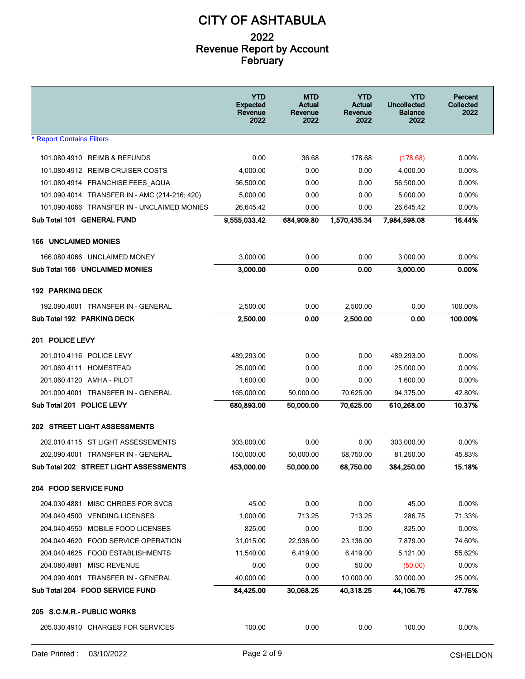|                                                                 | <b>YTD</b><br><b>Expected</b><br>Revenue<br>2022 | MTD<br>Actual<br>Revenue<br>2022 | <b>YTD</b><br>Actual<br>Revenue<br>2022 | YTD<br><b>Uncollected</b><br><b>Balance</b><br>2022 | Percent<br><b>Collected</b><br>2022 |
|-----------------------------------------------------------------|--------------------------------------------------|----------------------------------|-----------------------------------------|-----------------------------------------------------|-------------------------------------|
| <b>* Report Contains Filters</b>                                |                                                  |                                  |                                         |                                                     |                                     |
| 101.080.4910 REIMB & REFUNDS                                    | 0.00                                             | 36.68                            | 178.68                                  | (178.68)                                            | $0.00\%$                            |
| 101.080.4912 REIMB CRUISER COSTS                                | 4.000.00                                         | 0.00                             | 0.00                                    | 4.000.00                                            | $0.00\%$                            |
| 101.080.4914 FRANCHISE FEES AQUA                                | 56,500.00                                        | 0.00                             | 0.00                                    | 56,500.00                                           | $0.00\%$                            |
| 101.090.4014 TRANSFER IN - AMC (214-216, 420)                   | 5,000.00                                         | 0.00                             | 0.00                                    | 5,000.00                                            | $0.00\%$                            |
| 101.090.4066 TRANSFER IN - UNCLAIMED MONIES                     | 26,645.42                                        | 0.00                             | 0.00                                    | 26,645.42                                           | $0.00\%$                            |
| Sub Total 101 GENERAL FUND                                      | 9,555,033.42                                     | 684,909.80                       | 1,570,435.34                            | 7,984,598.08                                        | 16.44%                              |
| <b>166 UNCLAIMED MONIES</b>                                     |                                                  |                                  |                                         |                                                     |                                     |
| 166.080.4066 UNCLAIMED MONEY                                    | 3,000.00                                         | 0.00                             | 0.00                                    | 3,000.00                                            | 0.00%                               |
| Sub Total 166 UNCLAIMED MONIES                                  | 3,000.00                                         | 0.00                             | 0.00                                    | 3,000.00                                            | 0.00%                               |
| <b>192 PARKING DECK</b>                                         |                                                  |                                  |                                         |                                                     |                                     |
| 192.090.4001 TRANSFER IN - GENERAL                              | 2,500.00                                         | 0.00                             | 2,500.00                                | 0.00                                                | 100.00%                             |
| Sub Total 192 PARKING DECK                                      | 2,500.00                                         | 0.00                             | 2,500.00                                | 0.00                                                | 100.00%                             |
| 201 POLICE LEVY                                                 |                                                  |                                  |                                         |                                                     |                                     |
|                                                                 |                                                  |                                  |                                         |                                                     |                                     |
| 201.010.4116 POLICE LEVY                                        | 489,293.00                                       | 0.00                             | 0.00                                    | 489,293.00                                          | $0.00\%$                            |
| 201.060.4111 HOMESTEAD                                          | 25,000.00                                        | 0.00                             | 0.00                                    | 25,000.00                                           | $0.00\%$                            |
| 201.060.4120 AMHA - PILOT                                       | 1,600.00                                         | 0.00                             | 0.00                                    | 1,600.00                                            | $0.00\%$                            |
| 201.090.4001 TRANSFER IN - GENERAL<br>Sub Total 201 POLICE LEVY | 165,000.00                                       | 50,000.00                        | 70,625.00                               | 94,375.00                                           | 42.80%                              |
|                                                                 | 680,893.00                                       | 50,000.00                        | 70,625.00                               | 610,268.00                                          | 10.37%                              |
| 202 STREET LIGHT ASSESSMENTS                                    |                                                  |                                  |                                         |                                                     |                                     |
| 202.010.4115 ST LIGHT ASSESSEMENTS                              | 303,000.00                                       | 0.00                             | 0.00                                    | 303,000.00                                          | 0.00%                               |
| 202.090.4001 TRANSFER IN - GENERAL                              | 150,000.00                                       | 50,000.00                        | 68,750.00                               | 81,250.00                                           | 45.83%                              |
| Sub Total 202 STREET LIGHT ASSESSMENTS                          | 453,000.00                                       | 50,000.00                        | 68,750.00                               | 384,250.00                                          | 15.18%                              |
| 204 FOOD SERVICE FUND                                           |                                                  |                                  |                                         |                                                     |                                     |
| 204.030.4881 MISC CHRGES FOR SVCS                               | 45.00                                            | 0.00                             | 0.00                                    | 45.00                                               | 0.00%                               |
| 204.040.4500 VENDING LICENSES                                   | 1,000.00                                         | 713.25                           | 713.25                                  | 286.75                                              | 71.33%                              |
| 204.040.4550 MOBILE FOOD LICENSES                               | 825.00                                           | 0.00                             | 0.00                                    | 825.00                                              | 0.00%                               |
| 204.040.4620 FOOD SERVICE OPERATION                             | 31,015.00                                        | 22,936.00                        | 23,136.00                               | 7,879.00                                            | 74.60%                              |
| 204.040.4625 FOOD ESTABLISHMENTS                                | 11,540.00                                        | 6,419.00                         | 6,419.00                                | 5,121.00                                            | 55.62%                              |
| 204.080.4881 MISC REVENUE                                       | 0.00                                             | 0.00                             | 50.00                                   | (50.00)                                             | 0.00%                               |
| 204.090.4001 TRANSFER IN - GENERAL                              | 40,000.00                                        | 0.00                             | 10,000.00                               | 30,000.00                                           | 25.00%                              |
| Sub Total 204 FOOD SERVICE FUND                                 | 84,425.00                                        | 30,068.25                        | 40,318.25                               | 44,106.75                                           | 47.76%                              |
| 205 S.C.M.R.- PUBLIC WORKS                                      |                                                  |                                  |                                         |                                                     |                                     |
| 205.030.4910 CHARGES FOR SERVICES                               | 100.00                                           | 0.00                             | 0.00                                    | 100.00                                              | 0.00%                               |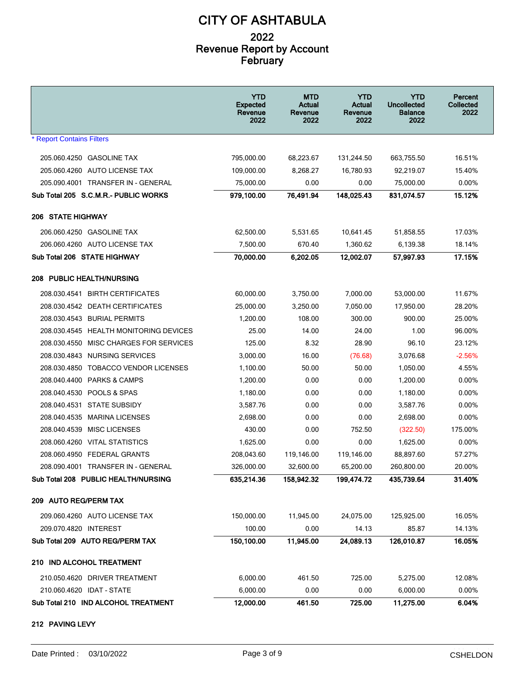|                                          | <b>YTD</b><br><b>Expected</b><br>Revenue<br>2022 | <b>MTD</b><br>Actual<br>Revenue<br>2022 | <b>YTD</b><br>Actual<br>Revenue<br>2022 | <b>YTD</b><br><b>Uncollected</b><br><b>Balance</b><br>2022 | Percent<br><b>Collected</b><br>2022 |
|------------------------------------------|--------------------------------------------------|-----------------------------------------|-----------------------------------------|------------------------------------------------------------|-------------------------------------|
| <b>* Report Contains Filters</b>         |                                                  |                                         |                                         |                                                            |                                     |
| 205.060.4250 GASOLINE TAX                | 795,000.00                                       | 68,223.67                               | 131,244.50                              | 663,755.50                                                 | 16.51%                              |
| 205.060.4260 AUTO LICENSE TAX            | 109,000.00                                       | 8,268.27                                | 16,780.93                               | 92,219.07                                                  | 15.40%                              |
| 205.090.4001 TRANSFER IN - GENERAL       | 75,000.00                                        | 0.00                                    | 0.00                                    | 75,000.00                                                  | 0.00%                               |
| Sub Total 205 S.C.M.R.- PUBLIC WORKS     | 979,100.00                                       | 76,491.94                               | 148,025.43                              | 831,074.57                                                 | 15.12%                              |
| <b>206 STATE HIGHWAY</b>                 |                                                  |                                         |                                         |                                                            |                                     |
| 206.060.4250 GASOLINE TAX                | 62,500.00                                        | 5,531.65                                | 10,641.45                               | 51,858.55                                                  | 17.03%                              |
| 206.060.4260 AUTO LICENSE TAX            | 7,500.00                                         | 670.40                                  | 1,360.62                                | 6,139.38                                                   | 18.14%                              |
| Sub Total 206 STATE HIGHWAY              | 70,000.00                                        | 6,202.05                                | 12,002.07                               | 57,997.93                                                  | 17.15%                              |
| 208 PUBLIC HEALTH/NURSING                |                                                  |                                         |                                         |                                                            |                                     |
| 208.030.4541 BIRTH CERTIFICATES          | 60,000.00                                        | 3.750.00                                | 7,000.00                                | 53,000.00                                                  | 11.67%                              |
| 208.030.4542 DEATH CERTIFICATES          | 25,000.00                                        | 3,250.00                                | 7,050.00                                | 17,950.00                                                  | 28.20%                              |
| 208.030.4543 BURIAL PERMITS              | 1,200.00                                         | 108.00                                  | 300.00                                  | 900.00                                                     | 25.00%                              |
| 208.030.4545 HEALTH MONITORING DEVICES   | 25.00                                            | 14.00                                   | 24.00                                   | 1.00                                                       | 96.00%                              |
| 208.030.4550 MISC CHARGES FOR SERVICES   | 125.00                                           | 8.32                                    | 28.90                                   | 96.10                                                      | 23.12%                              |
| 208.030.4843 NURSING SERVICES            | 3,000.00                                         | 16.00                                   | (76.68)                                 | 3,076.68                                                   | $-2.56%$                            |
| 208.030.4850 TOBACCO VENDOR LICENSES     | 1,100.00                                         | 50.00                                   | 50.00                                   | 1,050.00                                                   | 4.55%                               |
| 208.040.4400<br><b>PARKS &amp; CAMPS</b> | 1,200.00                                         | 0.00                                    | 0.00                                    | 1,200.00                                                   | 0.00%                               |
| 208.040.4530 POOLS & SPAS                | 1,180.00                                         | 0.00                                    | 0.00                                    | 1,180.00                                                   | $0.00\%$                            |
| 208.040.4531 STATE SUBSIDY               | 3,587.76                                         | 0.00                                    | 0.00                                    | 3,587.76                                                   | $0.00\%$                            |
| 208.040.4535<br><b>MARINA LICENSES</b>   | 2,698.00                                         | 0.00                                    | 0.00                                    | 2,698.00                                                   | 0.00%                               |
| 208.040.4539<br><b>MISC LICENSES</b>     | 430.00                                           | 0.00                                    | 752.50                                  | (322.50)                                                   | 175.00%                             |
| 208.060.4260 VITAL STATISTICS            | 1,625.00                                         | 0.00                                    | 0.00                                    | 1,625.00                                                   | $0.00\%$                            |
| 208.060.4950 FEDERAL GRANTS              | 208,043.60                                       | 119,146.00                              | 119,146.00                              | 88,897.60                                                  | 57.27%                              |
| 208.090.4001 TRANSFER IN - GENERAL       | 326,000.00                                       | 32,600.00                               | 65,200.00                               | 260,800.00                                                 | 20.00%                              |
| Sub Total 208 PUBLIC HEALTH/NURSING      | 635,214.36                                       | 158,942.32                              | 199,474.72                              | 435,739.64                                                 | 31.40%                              |
| 209 AUTO REG/PERM TAX                    |                                                  |                                         |                                         |                                                            |                                     |
| 209.060.4260 AUTO LICENSE TAX            | 150,000.00                                       | 11,945.00                               | 24,075.00                               | 125,925.00                                                 | 16.05%                              |
| 209.070.4820 INTEREST                    | 100.00                                           | 0.00                                    | 14.13                                   | 85.87                                                      | 14.13%                              |
| Sub Total 209 AUTO REG/PERM TAX          | 150,100.00                                       | 11,945.00                               | 24,089.13                               | 126,010.87                                                 | 16.05%                              |
| 210 IND ALCOHOL TREATMENT                |                                                  |                                         |                                         |                                                            |                                     |
| 210.050.4620 DRIVER TREATMENT            | 6,000.00                                         | 461.50                                  | 725.00                                  | 5,275.00                                                   | 12.08%                              |
| 210.060.4620 IDAT - STATE                | 6,000.00                                         | 0.00                                    | 0.00                                    | 6,000.00                                                   | 0.00%                               |
| Sub Total 210 IND ALCOHOL TREATMENT      | 12,000.00                                        | 461.50                                  | 725.00                                  | 11,275.00                                                  | 6.04%                               |

#### **212 PAVING LEVY**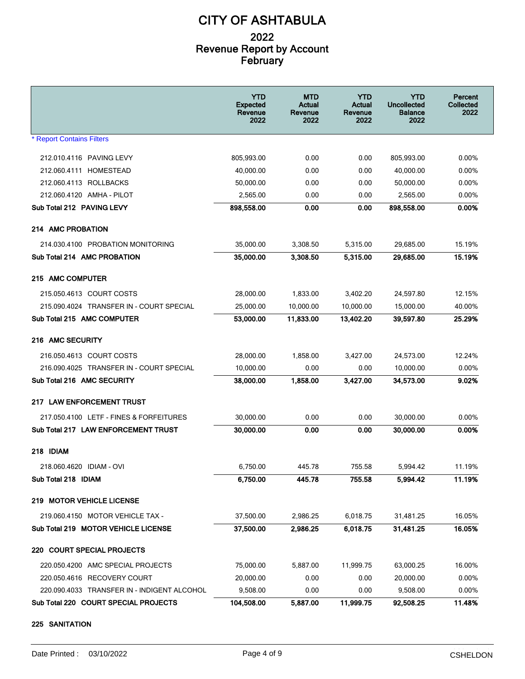|                                             | <b>YTD</b><br><b>Expected</b><br>Revenue<br>2022 | MTD<br>Actual<br>Revenue<br>2022 | <b>YTD</b><br>Actual<br>Revenue<br>2022 | YTD<br><b>Uncollected</b><br><b>Balance</b><br>2022 | Percent<br><b>Collected</b><br>2022 |
|---------------------------------------------|--------------------------------------------------|----------------------------------|-----------------------------------------|-----------------------------------------------------|-------------------------------------|
| <b>* Report Contains Filters</b>            |                                                  |                                  |                                         |                                                     |                                     |
| 212.010.4116 PAVING LEVY                    | 805,993.00                                       | 0.00                             | 0.00                                    | 805,993.00                                          | $0.00\%$                            |
| 212.060.4111 HOMESTEAD                      | 40,000.00                                        | 0.00                             | 0.00                                    | 40,000.00                                           | 0.00%                               |
| 212.060.4113 ROLLBACKS                      | 50,000.00                                        | 0.00                             | 0.00                                    | 50,000.00                                           | $0.00\%$                            |
| 212.060.4120 AMHA - PILOT                   | 2,565.00                                         | 0.00                             | 0.00                                    | 2,565.00                                            | $0.00\%$                            |
| Sub Total 212 PAVING LEVY                   | 898,558.00                                       | 0.00                             | 0.00                                    | 898,558.00                                          | 0.00%                               |
| 214 AMC PROBATION                           |                                                  |                                  |                                         |                                                     |                                     |
| 214.030.4100 PROBATION MONITORING           | 35,000.00                                        | 3,308.50                         | 5,315.00                                | 29,685.00                                           | 15.19%                              |
| Sub Total 214 AMC PROBATION                 | 35,000.00                                        | 3,308.50                         | 5,315.00                                | 29,685.00                                           | 15.19%                              |
| 215 AMC COMPUTER                            |                                                  |                                  |                                         |                                                     |                                     |
| 215.050.4613 COURT COSTS                    | 28,000.00                                        | 1,833.00                         | 3,402.20                                | 24,597.80                                           | 12.15%                              |
| 215.090.4024 TRANSFER IN - COURT SPECIAL    | 25,000.00                                        | 10,000.00                        | 10.000.00                               | 15,000.00                                           | 40.00%                              |
| Sub Total 215 AMC COMPUTER                  | 53,000.00                                        | 11,833.00                        | 13,402.20                               | 39.597.80                                           | 25.29%                              |
| 216 AMC SECURITY                            |                                                  |                                  |                                         |                                                     |                                     |
| 216.050.4613 COURT COSTS                    | 28,000.00                                        | 1,858.00                         | 3,427.00                                | 24,573.00                                           | 12.24%                              |
| 216.090.4025 TRANSFER IN - COURT SPECIAL    | 10,000.00                                        | 0.00                             | 0.00                                    | 10,000.00                                           | $0.00\%$                            |
| Sub Total 216 AMC SECURITY                  | 38,000.00                                        | 1,858.00                         | 3,427.00                                | 34,573.00                                           | 9.02%                               |
| 217 LAW ENFORCEMENT TRUST                   |                                                  |                                  |                                         |                                                     |                                     |
| 217.050.4100 LETF - FINES & FORFEITURES     | 30,000.00                                        | 0.00                             | 0.00                                    | 30,000.00                                           | 0.00%                               |
| Sub Total 217 LAW ENFORCEMENT TRUST         | 30,000.00                                        | 0.00                             | 0.00                                    | 30,000.00                                           | 0.00%                               |
| 218 IDIAM                                   |                                                  |                                  |                                         |                                                     |                                     |
| 218.060.4620 IDIAM - OVI                    | 6,750.00                                         | 445.78                           | 755.58                                  | 5,994.42                                            | 11.19%                              |
| Sub Total 218 IDIAM                         | 6,750.00                                         | 445.78                           | 755.58                                  | 5,994.42                                            | 11.19%                              |
| 219 MOTOR VEHICLE LICENSE                   |                                                  |                                  |                                         |                                                     |                                     |
| 219.060.4150 MOTOR VEHICLE TAX -            | 37,500.00                                        | 2,986.25                         | 6,018.75                                | 31,481.25                                           | 16.05%                              |
| Sub Total 219 MOTOR VEHICLE LICENSE         | 37,500.00                                        | 2,986.25                         | 6,018.75                                | 31,481.25                                           | 16.05%                              |
| 220 COURT SPECIAL PROJECTS                  |                                                  |                                  |                                         |                                                     |                                     |
| 220.050.4200 AMC SPECIAL PROJECTS           | 75,000.00                                        | 5,887.00                         | 11,999.75                               | 63,000.25                                           | 16.00%                              |
| 220.050.4616 RECOVERY COURT                 | 20,000.00                                        | 0.00                             | 0.00                                    | 20,000.00                                           | 0.00%                               |
| 220.090.4033 TRANSFER IN - INDIGENT ALCOHOL | 9,508.00                                         | 0.00                             | 0.00                                    | 9,508.00                                            | 0.00%                               |
| Sub Total 220 COURT SPECIAL PROJECTS        | 104,508.00                                       | 5,887.00                         | 11,999.75                               | 92,508.25                                           | 11.48%                              |

#### **225 SANITATION**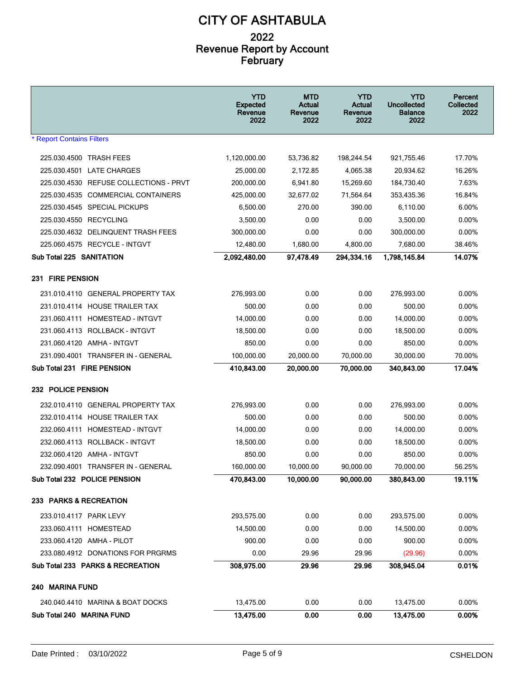|                                        | <b>YTD</b><br><b>Expected</b><br>Revenue<br>2022 | <b>MTD</b><br>Actual<br>Revenue<br>2022 | <b>YTD</b><br>Actual<br>Revenue<br>2022 | YTD<br><b>Uncollected</b><br><b>Balance</b><br>2022 | Percent<br><b>Collected</b><br>2022 |
|----------------------------------------|--------------------------------------------------|-----------------------------------------|-----------------------------------------|-----------------------------------------------------|-------------------------------------|
| <b>* Report Contains Filters</b>       |                                                  |                                         |                                         |                                                     |                                     |
| 225.030.4500 TRASH FEES                | 1,120,000.00                                     | 53,736.82                               | 198,244.54                              | 921,755.46                                          | 17.70%                              |
| 225.030.4501 LATE CHARGES              | 25,000.00                                        | 2,172.85                                | 4,065.38                                | 20,934.62                                           | 16.26%                              |
| 225.030.4530 REFUSE COLLECTIONS - PRVT | 200,000.00                                       | 6,941.80                                | 15,269.60                               | 184,730.40                                          | 7.63%                               |
| 225.030.4535 COMMERCIAL CONTAINERS     | 425,000.00                                       | 32,677.02                               | 71,564.64                               | 353,435.36                                          | 16.84%                              |
| 225.030.4545 SPECIAL PICKUPS           | 6,500.00                                         | 270.00                                  | 390.00                                  | 6,110.00                                            | 6.00%                               |
| 225.030.4550 RECYCLING                 | 3,500.00                                         | 0.00                                    | 0.00                                    | 3,500.00                                            | 0.00%                               |
| 225.030.4632 DELINQUENT TRASH FEES     | 300,000.00                                       | 0.00                                    | 0.00                                    | 300,000.00                                          | 0.00%                               |
| 225.060.4575 RECYCLE - INTGVT          | 12,480.00                                        | 1,680.00                                | 4,800.00                                | 7,680.00                                            | 38.46%                              |
| <b>Sub Total 225 SANITATION</b>        | 2,092,480.00                                     | 97,478.49                               | 294,334.16                              | 1,798,145.84                                        | 14.07%                              |
| 231 FIRE PENSION                       |                                                  |                                         |                                         |                                                     |                                     |
| 231.010.4110 GENERAL PROPERTY TAX      | 276,993.00                                       | 0.00                                    | 0.00                                    | 276,993.00                                          | $0.00\%$                            |
| 231.010.4114 HOUSE TRAILER TAX         | 500.00                                           | 0.00                                    | 0.00                                    | 500.00                                              | $0.00\%$                            |
| 231.060.4111 HOMESTEAD - INTGVT        | 14,000.00                                        | 0.00                                    | 0.00                                    | 14,000.00                                           | $0.00\%$                            |
| 231.060.4113 ROLLBACK - INTGVT         | 18,500.00                                        | 0.00                                    | 0.00                                    | 18,500.00                                           | $0.00\%$                            |
| 231.060.4120 AMHA - INTGVT             | 850.00                                           | 0.00                                    | 0.00                                    | 850.00                                              | 0.00%                               |
| 231.090.4001 TRANSFER IN - GENERAL     | 100,000.00                                       | 20,000.00                               | 70,000.00                               | 30,000.00                                           | 70.00%                              |
| Sub Total 231 FIRE PENSION             | 410,843.00                                       | 20,000.00                               | 70,000.00                               | 340,843.00                                          | 17.04%                              |
| 232 POLICE PENSION                     |                                                  |                                         |                                         |                                                     |                                     |
| 232.010.4110 GENERAL PROPERTY TAX      | 276,993.00                                       | 0.00                                    | 0.00                                    | 276,993.00                                          | $0.00\%$                            |
| 232.010.4114 HOUSE TRAILER TAX         | 500.00                                           | 0.00                                    | 0.00                                    | 500.00                                              | $0.00\%$                            |
| 232.060.4111 HOMESTEAD - INTGVT        | 14,000.00                                        | 0.00                                    | 0.00                                    | 14,000.00                                           | $0.00\%$                            |
| 232.060.4113 ROLLBACK - INTGVT         | 18,500.00                                        | 0.00                                    | 0.00                                    | 18,500.00                                           | 0.00%                               |
| 232.060.4120 AMHA - INTGVT             | 850.00                                           | 0.00                                    | 0.00                                    | 850.00                                              | $0.00\%$                            |
| 232.090.4001 TRANSFER IN - GENERAL     | 160,000.00                                       | 10,000.00                               | 90,000.00                               | 70,000.00                                           | 56.25%                              |
| Sub Total 232 POLICE PENSION           | 470,843.00                                       | 10,000.00                               | 90,000.00                               | 380,843.00                                          | 19.11%                              |
| 233 PARKS & RECREATION                 |                                                  |                                         |                                         |                                                     |                                     |
| 233.010.4117 PARK LEVY                 | 293,575.00                                       | 0.00                                    | 0.00                                    | 293,575.00                                          | $0.00\%$                            |
| 233.060.4111 HOMESTEAD                 | 14,500.00                                        | 0.00                                    | 0.00                                    | 14,500.00                                           | 0.00%                               |
| 233.060.4120 AMHA - PILOT              | 900.00                                           | 0.00                                    | 0.00                                    | 900.00                                              | 0.00%                               |
| 233.080.4912 DONATIONS FOR PRGRMS      | 0.00                                             | 29.96                                   | 29.96                                   | (29.96)                                             | 0.00%                               |
| Sub Total 233 PARKS & RECREATION       | 308,975.00                                       | 29.96                                   | 29.96                                   | 308,945.04                                          | 0.01%                               |
| 240 MARINA FUND                        |                                                  |                                         |                                         |                                                     |                                     |
| 240.040.4410 MARINA & BOAT DOCKS       | 13,475.00                                        | 0.00                                    | 0.00                                    | 13,475.00                                           | 0.00%                               |
| Sub Total 240 MARINA FUND              | 13,475.00                                        | 0.00                                    | 0.00                                    | 13,475.00                                           | 0.00%                               |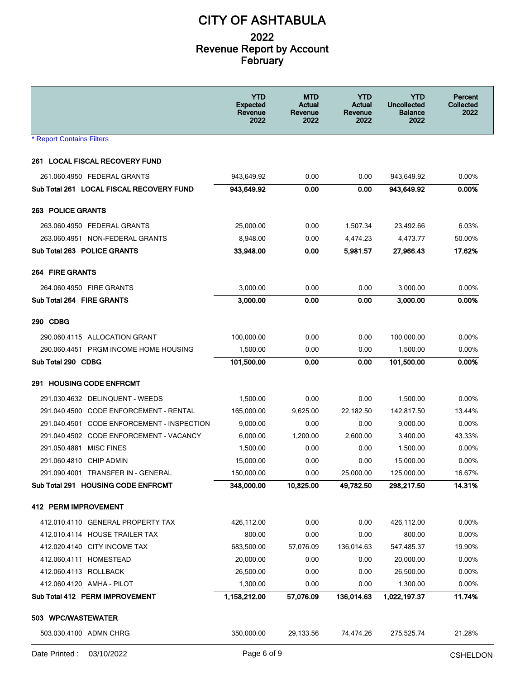| <b>* Report Contains Filters</b><br><b>261 LOCAL FISCAL RECOVERY FUND</b><br>261.060.4950 FEDERAL GRANTS<br>943,649.92<br>0.00<br>0.00<br>943,649.92<br>$0.00\%$<br>Sub Total 261 LOCAL FISCAL RECOVERY FUND<br>943,649.92<br>0.00%<br>0.00<br>0.00<br>943,649.92<br>263.060.4950 FEDERAL GRANTS<br>25,000.00<br>0.00<br>1,507.34<br>23,492.66<br>6.03%<br>263.060.4951 NON-FEDERAL GRANTS<br>8,948.00<br>0.00<br>4,473.77<br>50.00%<br>4,474.23<br>33,948.00<br>17.62%<br>Sub Total 263 POLICE GRANTS<br>0.00<br>27,966.43<br>5,981.57<br><b>264 FIRE GRANTS</b><br>3,000.00<br>0.00<br>0.00<br>264.060.4950 FIRE GRANTS<br>3,000.00<br>$0.00\%$<br>Sub Total 264 FIRE GRANTS<br>3,000.00<br>0.00<br>0.00<br>3,000.00<br>0.00%<br>100,000.00<br>0.00<br>100,000.00<br>290.060.4115 ALLOCATION GRANT<br>0.00<br>$0.00\%$<br>290.060.4451 PRGM INCOME HOME HOUSING<br>1,500.00<br>0.00<br>0.00<br>1,500.00<br>$0.00\%$<br>101,500.00<br>Sub Total 290 CDBG<br>0.00<br>0.00<br>101,500.00<br>0.00%<br>0.00<br>1,500.00<br>291.030.4632 DELINQUENT - WEEDS<br>1,500.00<br>0.00<br>$0.00\%$<br>291.040.4500 CODE ENFORCEMENT - RENTAL<br>165,000.00<br>9,625.00<br>22,182.50<br>142,817.50<br>13.44%<br>291.040.4501 CODE ENFORCEMENT - INSPECTION<br>0.00<br>0.00<br>9,000.00<br>$0.00\%$<br>9,000.00<br>291.040.4502 CODE ENFORCEMENT - VACANCY<br>6,000.00<br>1,200.00<br>2,600.00<br>3,400.00<br>43.33%<br>291.050.4881 MISC FINES<br>1,500.00<br>0.00<br>0.00<br>1,500.00<br>$0.00\%$<br>15,000.00<br>291.060.4810 CHIP ADMIN<br>0.00<br>0.00<br>15,000.00<br>$0.00\%$<br>291.090.4001 TRANSFER IN - GENERAL<br>150,000.00<br>0.00<br>25,000.00<br>16.67%<br>125,000.00<br>14.31%<br>Sub Total 291 HOUSING CODE ENFRCMT<br>348,000.00<br>10,825.00<br>49,782.50<br>298,217.50<br>0.00<br>0.00<br>412.010.4110 GENERAL PROPERTY TAX<br>426,112.00<br>426,112.00<br>0.00%<br>0.00<br>412.010.4114 HOUSE TRAILER TAX<br>800.00<br>0.00<br>800.00<br>0.00%<br>412.020.4140 CITY INCOME TAX<br>683,500.00<br>57,076.09<br>136,014.63<br>547,485.37<br>19.90%<br>412.060.4111 HOMESTEAD<br>20,000.00<br>0.00<br>0.00<br>20,000.00<br>0.00%<br>0.00<br>26,500.00<br>412.060.4113 ROLLBACK<br>26,500.00<br>0.00<br>0.00%<br>412.060.4120 AMHA - PILOT<br>1,300.00<br>0.00<br>0.00<br>1,300.00<br>0.00%<br>11.74%<br>Sub Total 412 PERM IMPROVEMENT<br>1,158,212.00<br>57,076.09<br>136,014.63<br>1,022,197.37<br>503 WPC/WASTEWATER<br>503.030.4100 ADMN CHRG<br>350,000.00<br>29,133.56<br>74,474.26<br>275,525.74<br>21.28% |                          | <b>YTD</b><br><b>Expected</b><br>Revenue<br>2022 | <b>MTD</b><br>Actual<br>Revenue<br>2022 | <b>YTD</b><br>Actual<br>Revenue<br>2022 | <b>YTD</b><br><b>Uncollected</b><br><b>Balance</b><br>2022 | Percent<br>Collected<br>2022 |
|------------------------------------------------------------------------------------------------------------------------------------------------------------------------------------------------------------------------------------------------------------------------------------------------------------------------------------------------------------------------------------------------------------------------------------------------------------------------------------------------------------------------------------------------------------------------------------------------------------------------------------------------------------------------------------------------------------------------------------------------------------------------------------------------------------------------------------------------------------------------------------------------------------------------------------------------------------------------------------------------------------------------------------------------------------------------------------------------------------------------------------------------------------------------------------------------------------------------------------------------------------------------------------------------------------------------------------------------------------------------------------------------------------------------------------------------------------------------------------------------------------------------------------------------------------------------------------------------------------------------------------------------------------------------------------------------------------------------------------------------------------------------------------------------------------------------------------------------------------------------------------------------------------------------------------------------------------------------------------------------------------------------------------------------------------------------------------------------------------------------------------------------------------------------------------------------------------------------------------------------------------------------------------------------------------------------------------------------------------------------------------------------------------------------------------------------------------------------------------------------------------------------|--------------------------|--------------------------------------------------|-----------------------------------------|-----------------------------------------|------------------------------------------------------------|------------------------------|
|                                                                                                                                                                                                                                                                                                                                                                                                                                                                                                                                                                                                                                                                                                                                                                                                                                                                                                                                                                                                                                                                                                                                                                                                                                                                                                                                                                                                                                                                                                                                                                                                                                                                                                                                                                                                                                                                                                                                                                                                                                                                                                                                                                                                                                                                                                                                                                                                                                                                                                                        |                          |                                                  |                                         |                                         |                                                            |                              |
|                                                                                                                                                                                                                                                                                                                                                                                                                                                                                                                                                                                                                                                                                                                                                                                                                                                                                                                                                                                                                                                                                                                                                                                                                                                                                                                                                                                                                                                                                                                                                                                                                                                                                                                                                                                                                                                                                                                                                                                                                                                                                                                                                                                                                                                                                                                                                                                                                                                                                                                        |                          |                                                  |                                         |                                         |                                                            |                              |
|                                                                                                                                                                                                                                                                                                                                                                                                                                                                                                                                                                                                                                                                                                                                                                                                                                                                                                                                                                                                                                                                                                                                                                                                                                                                                                                                                                                                                                                                                                                                                                                                                                                                                                                                                                                                                                                                                                                                                                                                                                                                                                                                                                                                                                                                                                                                                                                                                                                                                                                        |                          |                                                  |                                         |                                         |                                                            |                              |
|                                                                                                                                                                                                                                                                                                                                                                                                                                                                                                                                                                                                                                                                                                                                                                                                                                                                                                                                                                                                                                                                                                                                                                                                                                                                                                                                                                                                                                                                                                                                                                                                                                                                                                                                                                                                                                                                                                                                                                                                                                                                                                                                                                                                                                                                                                                                                                                                                                                                                                                        |                          |                                                  |                                         |                                         |                                                            |                              |
|                                                                                                                                                                                                                                                                                                                                                                                                                                                                                                                                                                                                                                                                                                                                                                                                                                                                                                                                                                                                                                                                                                                                                                                                                                                                                                                                                                                                                                                                                                                                                                                                                                                                                                                                                                                                                                                                                                                                                                                                                                                                                                                                                                                                                                                                                                                                                                                                                                                                                                                        | <b>263 POLICE GRANTS</b> |                                                  |                                         |                                         |                                                            |                              |
|                                                                                                                                                                                                                                                                                                                                                                                                                                                                                                                                                                                                                                                                                                                                                                                                                                                                                                                                                                                                                                                                                                                                                                                                                                                                                                                                                                                                                                                                                                                                                                                                                                                                                                                                                                                                                                                                                                                                                                                                                                                                                                                                                                                                                                                                                                                                                                                                                                                                                                                        |                          |                                                  |                                         |                                         |                                                            |                              |
|                                                                                                                                                                                                                                                                                                                                                                                                                                                                                                                                                                                                                                                                                                                                                                                                                                                                                                                                                                                                                                                                                                                                                                                                                                                                                                                                                                                                                                                                                                                                                                                                                                                                                                                                                                                                                                                                                                                                                                                                                                                                                                                                                                                                                                                                                                                                                                                                                                                                                                                        |                          |                                                  |                                         |                                         |                                                            |                              |
|                                                                                                                                                                                                                                                                                                                                                                                                                                                                                                                                                                                                                                                                                                                                                                                                                                                                                                                                                                                                                                                                                                                                                                                                                                                                                                                                                                                                                                                                                                                                                                                                                                                                                                                                                                                                                                                                                                                                                                                                                                                                                                                                                                                                                                                                                                                                                                                                                                                                                                                        |                          |                                                  |                                         |                                         |                                                            |                              |
|                                                                                                                                                                                                                                                                                                                                                                                                                                                                                                                                                                                                                                                                                                                                                                                                                                                                                                                                                                                                                                                                                                                                                                                                                                                                                                                                                                                                                                                                                                                                                                                                                                                                                                                                                                                                                                                                                                                                                                                                                                                                                                                                                                                                                                                                                                                                                                                                                                                                                                                        |                          |                                                  |                                         |                                         |                                                            |                              |
|                                                                                                                                                                                                                                                                                                                                                                                                                                                                                                                                                                                                                                                                                                                                                                                                                                                                                                                                                                                                                                                                                                                                                                                                                                                                                                                                                                                                                                                                                                                                                                                                                                                                                                                                                                                                                                                                                                                                                                                                                                                                                                                                                                                                                                                                                                                                                                                                                                                                                                                        |                          |                                                  |                                         |                                         |                                                            |                              |
|                                                                                                                                                                                                                                                                                                                                                                                                                                                                                                                                                                                                                                                                                                                                                                                                                                                                                                                                                                                                                                                                                                                                                                                                                                                                                                                                                                                                                                                                                                                                                                                                                                                                                                                                                                                                                                                                                                                                                                                                                                                                                                                                                                                                                                                                                                                                                                                                                                                                                                                        |                          |                                                  |                                         |                                         |                                                            |                              |
|                                                                                                                                                                                                                                                                                                                                                                                                                                                                                                                                                                                                                                                                                                                                                                                                                                                                                                                                                                                                                                                                                                                                                                                                                                                                                                                                                                                                                                                                                                                                                                                                                                                                                                                                                                                                                                                                                                                                                                                                                                                                                                                                                                                                                                                                                                                                                                                                                                                                                                                        | 290 CDBG                 |                                                  |                                         |                                         |                                                            |                              |
|                                                                                                                                                                                                                                                                                                                                                                                                                                                                                                                                                                                                                                                                                                                                                                                                                                                                                                                                                                                                                                                                                                                                                                                                                                                                                                                                                                                                                                                                                                                                                                                                                                                                                                                                                                                                                                                                                                                                                                                                                                                                                                                                                                                                                                                                                                                                                                                                                                                                                                                        |                          |                                                  |                                         |                                         |                                                            |                              |
|                                                                                                                                                                                                                                                                                                                                                                                                                                                                                                                                                                                                                                                                                                                                                                                                                                                                                                                                                                                                                                                                                                                                                                                                                                                                                                                                                                                                                                                                                                                                                                                                                                                                                                                                                                                                                                                                                                                                                                                                                                                                                                                                                                                                                                                                                                                                                                                                                                                                                                                        |                          |                                                  |                                         |                                         |                                                            |                              |
|                                                                                                                                                                                                                                                                                                                                                                                                                                                                                                                                                                                                                                                                                                                                                                                                                                                                                                                                                                                                                                                                                                                                                                                                                                                                                                                                                                                                                                                                                                                                                                                                                                                                                                                                                                                                                                                                                                                                                                                                                                                                                                                                                                                                                                                                                                                                                                                                                                                                                                                        |                          |                                                  |                                         |                                         |                                                            |                              |
|                                                                                                                                                                                                                                                                                                                                                                                                                                                                                                                                                                                                                                                                                                                                                                                                                                                                                                                                                                                                                                                                                                                                                                                                                                                                                                                                                                                                                                                                                                                                                                                                                                                                                                                                                                                                                                                                                                                                                                                                                                                                                                                                                                                                                                                                                                                                                                                                                                                                                                                        | 291 HOUSING CODE ENFRCMT |                                                  |                                         |                                         |                                                            |                              |
|                                                                                                                                                                                                                                                                                                                                                                                                                                                                                                                                                                                                                                                                                                                                                                                                                                                                                                                                                                                                                                                                                                                                                                                                                                                                                                                                                                                                                                                                                                                                                                                                                                                                                                                                                                                                                                                                                                                                                                                                                                                                                                                                                                                                                                                                                                                                                                                                                                                                                                                        |                          |                                                  |                                         |                                         |                                                            |                              |
|                                                                                                                                                                                                                                                                                                                                                                                                                                                                                                                                                                                                                                                                                                                                                                                                                                                                                                                                                                                                                                                                                                                                                                                                                                                                                                                                                                                                                                                                                                                                                                                                                                                                                                                                                                                                                                                                                                                                                                                                                                                                                                                                                                                                                                                                                                                                                                                                                                                                                                                        |                          |                                                  |                                         |                                         |                                                            |                              |
|                                                                                                                                                                                                                                                                                                                                                                                                                                                                                                                                                                                                                                                                                                                                                                                                                                                                                                                                                                                                                                                                                                                                                                                                                                                                                                                                                                                                                                                                                                                                                                                                                                                                                                                                                                                                                                                                                                                                                                                                                                                                                                                                                                                                                                                                                                                                                                                                                                                                                                                        |                          |                                                  |                                         |                                         |                                                            |                              |
|                                                                                                                                                                                                                                                                                                                                                                                                                                                                                                                                                                                                                                                                                                                                                                                                                                                                                                                                                                                                                                                                                                                                                                                                                                                                                                                                                                                                                                                                                                                                                                                                                                                                                                                                                                                                                                                                                                                                                                                                                                                                                                                                                                                                                                                                                                                                                                                                                                                                                                                        |                          |                                                  |                                         |                                         |                                                            |                              |
|                                                                                                                                                                                                                                                                                                                                                                                                                                                                                                                                                                                                                                                                                                                                                                                                                                                                                                                                                                                                                                                                                                                                                                                                                                                                                                                                                                                                                                                                                                                                                                                                                                                                                                                                                                                                                                                                                                                                                                                                                                                                                                                                                                                                                                                                                                                                                                                                                                                                                                                        |                          |                                                  |                                         |                                         |                                                            |                              |
|                                                                                                                                                                                                                                                                                                                                                                                                                                                                                                                                                                                                                                                                                                                                                                                                                                                                                                                                                                                                                                                                                                                                                                                                                                                                                                                                                                                                                                                                                                                                                                                                                                                                                                                                                                                                                                                                                                                                                                                                                                                                                                                                                                                                                                                                                                                                                                                                                                                                                                                        |                          |                                                  |                                         |                                         |                                                            |                              |
|                                                                                                                                                                                                                                                                                                                                                                                                                                                                                                                                                                                                                                                                                                                                                                                                                                                                                                                                                                                                                                                                                                                                                                                                                                                                                                                                                                                                                                                                                                                                                                                                                                                                                                                                                                                                                                                                                                                                                                                                                                                                                                                                                                                                                                                                                                                                                                                                                                                                                                                        |                          |                                                  |                                         |                                         |                                                            |                              |
|                                                                                                                                                                                                                                                                                                                                                                                                                                                                                                                                                                                                                                                                                                                                                                                                                                                                                                                                                                                                                                                                                                                                                                                                                                                                                                                                                                                                                                                                                                                                                                                                                                                                                                                                                                                                                                                                                                                                                                                                                                                                                                                                                                                                                                                                                                                                                                                                                                                                                                                        |                          |                                                  |                                         |                                         |                                                            |                              |
|                                                                                                                                                                                                                                                                                                                                                                                                                                                                                                                                                                                                                                                                                                                                                                                                                                                                                                                                                                                                                                                                                                                                                                                                                                                                                                                                                                                                                                                                                                                                                                                                                                                                                                                                                                                                                                                                                                                                                                                                                                                                                                                                                                                                                                                                                                                                                                                                                                                                                                                        | 412 PERM IMPROVEMENT     |                                                  |                                         |                                         |                                                            |                              |
|                                                                                                                                                                                                                                                                                                                                                                                                                                                                                                                                                                                                                                                                                                                                                                                                                                                                                                                                                                                                                                                                                                                                                                                                                                                                                                                                                                                                                                                                                                                                                                                                                                                                                                                                                                                                                                                                                                                                                                                                                                                                                                                                                                                                                                                                                                                                                                                                                                                                                                                        |                          |                                                  |                                         |                                         |                                                            |                              |
|                                                                                                                                                                                                                                                                                                                                                                                                                                                                                                                                                                                                                                                                                                                                                                                                                                                                                                                                                                                                                                                                                                                                                                                                                                                                                                                                                                                                                                                                                                                                                                                                                                                                                                                                                                                                                                                                                                                                                                                                                                                                                                                                                                                                                                                                                                                                                                                                                                                                                                                        |                          |                                                  |                                         |                                         |                                                            |                              |
|                                                                                                                                                                                                                                                                                                                                                                                                                                                                                                                                                                                                                                                                                                                                                                                                                                                                                                                                                                                                                                                                                                                                                                                                                                                                                                                                                                                                                                                                                                                                                                                                                                                                                                                                                                                                                                                                                                                                                                                                                                                                                                                                                                                                                                                                                                                                                                                                                                                                                                                        |                          |                                                  |                                         |                                         |                                                            |                              |
|                                                                                                                                                                                                                                                                                                                                                                                                                                                                                                                                                                                                                                                                                                                                                                                                                                                                                                                                                                                                                                                                                                                                                                                                                                                                                                                                                                                                                                                                                                                                                                                                                                                                                                                                                                                                                                                                                                                                                                                                                                                                                                                                                                                                                                                                                                                                                                                                                                                                                                                        |                          |                                                  |                                         |                                         |                                                            |                              |
|                                                                                                                                                                                                                                                                                                                                                                                                                                                                                                                                                                                                                                                                                                                                                                                                                                                                                                                                                                                                                                                                                                                                                                                                                                                                                                                                                                                                                                                                                                                                                                                                                                                                                                                                                                                                                                                                                                                                                                                                                                                                                                                                                                                                                                                                                                                                                                                                                                                                                                                        |                          |                                                  |                                         |                                         |                                                            |                              |
|                                                                                                                                                                                                                                                                                                                                                                                                                                                                                                                                                                                                                                                                                                                                                                                                                                                                                                                                                                                                                                                                                                                                                                                                                                                                                                                                                                                                                                                                                                                                                                                                                                                                                                                                                                                                                                                                                                                                                                                                                                                                                                                                                                                                                                                                                                                                                                                                                                                                                                                        |                          |                                                  |                                         |                                         |                                                            |                              |
|                                                                                                                                                                                                                                                                                                                                                                                                                                                                                                                                                                                                                                                                                                                                                                                                                                                                                                                                                                                                                                                                                                                                                                                                                                                                                                                                                                                                                                                                                                                                                                                                                                                                                                                                                                                                                                                                                                                                                                                                                                                                                                                                                                                                                                                                                                                                                                                                                                                                                                                        |                          |                                                  |                                         |                                         |                                                            |                              |
|                                                                                                                                                                                                                                                                                                                                                                                                                                                                                                                                                                                                                                                                                                                                                                                                                                                                                                                                                                                                                                                                                                                                                                                                                                                                                                                                                                                                                                                                                                                                                                                                                                                                                                                                                                                                                                                                                                                                                                                                                                                                                                                                                                                                                                                                                                                                                                                                                                                                                                                        |                          |                                                  |                                         |                                         |                                                            |                              |
|                                                                                                                                                                                                                                                                                                                                                                                                                                                                                                                                                                                                                                                                                                                                                                                                                                                                                                                                                                                                                                                                                                                                                                                                                                                                                                                                                                                                                                                                                                                                                                                                                                                                                                                                                                                                                                                                                                                                                                                                                                                                                                                                                                                                                                                                                                                                                                                                                                                                                                                        |                          |                                                  |                                         |                                         |                                                            |                              |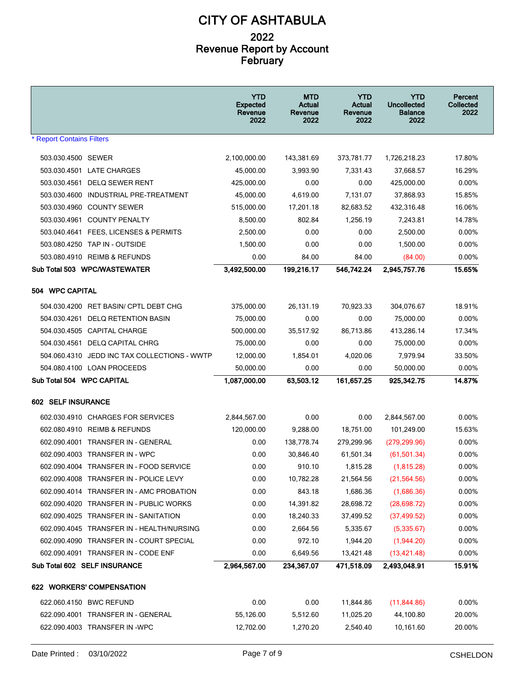|                                              | <b>YTD</b><br><b>Expected</b><br>Revenue<br>2022 | MTD<br>Actual<br>Revenue<br>2022 | <b>YTD</b><br>Actual<br>Revenue<br>2022 | YTD<br><b>Uncollected</b><br><b>Balance</b><br>2022 | Percent<br>Collected<br>2022 |
|----------------------------------------------|--------------------------------------------------|----------------------------------|-----------------------------------------|-----------------------------------------------------|------------------------------|
| <b>* Report Contains Filters</b>             |                                                  |                                  |                                         |                                                     |                              |
| 503.030.4500 SEWER                           | 2,100,000.00                                     | 143,381.69                       | 373,781.77                              | 1,726,218.23                                        | 17.80%                       |
| 503.030.4501 LATE CHARGES                    | 45,000.00                                        | 3,993.90                         | 7,331.43                                | 37,668.57                                           | 16.29%                       |
| 503.030.4561 DELQ SEWER RENT                 | 425,000.00                                       | 0.00                             | 0.00                                    | 425,000.00                                          | 0.00%                        |
| 503.030.4600 INDUSTRIAL PRE-TREATMENT        | 45,000.00                                        | 4,619.00                         | 7,131.07                                | 37,868.93                                           | 15.85%                       |
| 503.030.4960 COUNTY SEWER                    | 515,000.00                                       | 17,201.18                        | 82,683.52                               | 432,316.48                                          | 16.06%                       |
| 503.030.4961 COUNTY PENALTY                  | 8,500.00                                         | 802.84                           | 1,256.19                                | 7,243.81                                            | 14.78%                       |
| 503.040.4641 FEES, LICENSES & PERMITS        | 2,500.00                                         | 0.00                             | 0.00                                    | 2,500.00                                            | 0.00%                        |
| 503.080.4250 TAP IN - OUTSIDE                | 1,500.00                                         | 0.00                             | 0.00                                    | 1,500.00                                            | 0.00%                        |
| 503.080.4910 REIMB & REFUNDS                 | 0.00                                             | 84.00                            | 84.00                                   | (84.00)                                             | 0.00%                        |
| Sub Total 503 WPC/WASTEWATER                 | 3,492,500.00                                     | 199,216.17                       | 546,742.24                              | 2,945,757.76                                        | 15.65%                       |
| 504 WPC CAPITAL                              |                                                  |                                  |                                         |                                                     |                              |
| 504.030.4200 RET BASIN/ CPTL DEBT CHG        | 375,000.00                                       | 26,131.19                        | 70,923.33                               | 304,076.67                                          | 18.91%                       |
| 504.030.4261 DELQ RETENTION BASIN            | 75,000.00                                        | 0.00                             | 0.00                                    | 75,000.00                                           | 0.00%                        |
| 504.030.4505 CAPITAL CHARGE                  | 500,000.00                                       | 35,517.92                        | 86,713.86                               | 413,286.14                                          | 17.34%                       |
| 504.030.4561 DELQ CAPITAL CHRG               | 75,000.00                                        | 0.00                             | 0.00                                    | 75,000.00                                           | 0.00%                        |
| 504.060.4310 JEDD INC TAX COLLECTIONS - WWTP | 12,000.00                                        | 1,854.01                         | 4,020.06                                | 7,979.94                                            | 33.50%                       |
| 504.080.4100 LOAN PROCEEDS                   | 50,000.00                                        | 0.00                             | 0.00                                    | 50,000.00                                           | 0.00%                        |
| Sub Total 504 WPC CAPITAL                    | 1,087,000.00                                     | 63,503.12                        | 161,657.25                              | 925,342.75                                          | 14.87%                       |
| <b>602 SELF INSURANCE</b>                    |                                                  |                                  |                                         |                                                     |                              |
| 602.030.4910 CHARGES FOR SERVICES            | 2,844,567.00                                     | 0.00                             | 0.00                                    | 2,844,567.00                                        | 0.00%                        |
| 602.080.4910 REIMB & REFUNDS                 | 120,000.00                                       | 9.288.00                         | 18,751.00                               | 101,249.00                                          | 15.63%                       |
| 602.090.4001 TRANSFER IN - GENERAL           | 0.00                                             | 138,778.74                       | 279,299.96                              | (279, 299.96)                                       | 0.00%                        |
| 602.090.4003 TRANSFER IN - WPC               | 0.00                                             | 30,846.40                        | 61,501.34                               | (61, 501.34)                                        | 0.00%                        |
| 602.090.4004 TRANSFER IN - FOOD SERVICE      | 0.00                                             | 910.10                           | 1,815.28                                | (1,815.28)                                          | $0.00\%$                     |
| 602.090.4008 TRANSFER IN - POLICE LEVY       | 0.00                                             | 10,782.28                        | 21,564.56                               | (21, 564.56)                                        | 0.00%                        |
| 602.090.4014 TRANSFER IN - AMC PROBATION     | 0.00                                             | 843.18                           | 1,686.36                                | (1,686.36)                                          | 0.00%                        |
| 602.090.4020 TRANSFER IN - PUBLIC WORKS      | 0.00                                             | 14,391.82                        | 28,698.72                               | (28, 698.72)                                        | 0.00%                        |
| 602.090.4025 TRANSFER IN - SANITATION        | 0.00                                             | 18,240.33                        | 37,499.52                               | (37, 499.52)                                        | 0.00%                        |
| 602.090.4045 TRANSFER IN - HEALTH/NURSING    | 0.00                                             | 2,664.56                         | 5,335.67                                | (5,335.67)                                          | $0.00\%$                     |
| 602.090.4090 TRANSFER IN - COURT SPECIAL     | 0.00                                             | 972.10                           | 1,944.20                                | (1,944.20)                                          | 0.00%                        |
| 602.090.4091 TRANSFER IN - CODE ENF          | 0.00                                             | 6,649.56                         | 13,421.48                               | (13, 421.48)                                        | 0.00%                        |
| Sub Total 602 SELF INSURANCE                 | 2,964,567.00                                     | 234,367.07                       | 471,518.09                              | 2,493,048.91                                        | 15.91%                       |
| 622 WORKERS' COMPENSATION                    |                                                  |                                  |                                         |                                                     |                              |
| 622.060.4150 BWC REFUND                      | 0.00                                             | 0.00                             | 11,844.86                               | (11,844.86)                                         | 0.00%                        |
| 622.090.4001 TRANSFER IN - GENERAL           | 55,126.00                                        | 5,512.60                         | 11,025.20                               | 44,100.80                                           | 20.00%                       |
| 622.090.4003 TRANSFER IN -WPC                | 12,702.00                                        | 1,270.20                         | 2,540.40                                | 10,161.60                                           | 20.00%                       |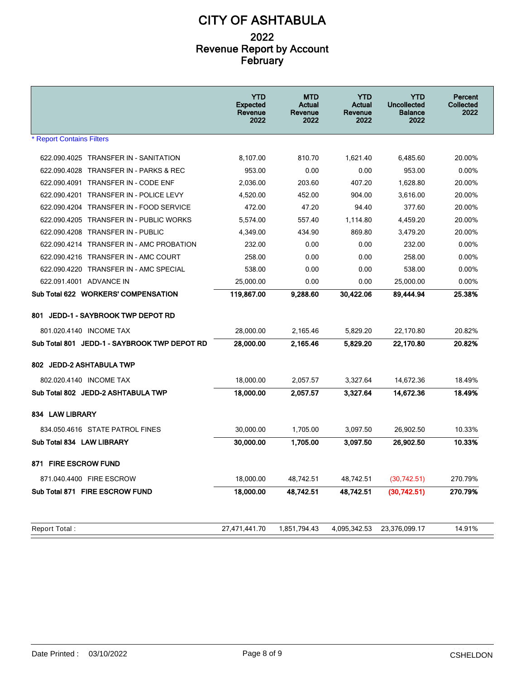|                                                   | <b>YTD</b><br><b>Expected</b><br>Revenue<br>2022 | <b>MTD</b><br>Actual<br>Revenue<br>2022 | <b>YTD</b><br>Actual<br>Revenue<br>2022 | <b>YTD</b><br>Uncollected<br><b>Balance</b><br>2022 | Percent<br>Collected<br>2022 |
|---------------------------------------------------|--------------------------------------------------|-----------------------------------------|-----------------------------------------|-----------------------------------------------------|------------------------------|
| <b>* Report Contains Filters</b>                  |                                                  |                                         |                                         |                                                     |                              |
| 622.090.4025 TRANSFER IN - SANITATION             | 8,107.00                                         | 810.70                                  | 1,621.40                                | 6,485.60                                            | 20.00%                       |
| 622.090.4028 TRANSFER IN - PARKS & REC            | 953.00                                           | 0.00                                    | 0.00                                    | 953.00                                              | 0.00%                        |
| 622.090.4091 TRANSFER IN - CODE ENF               | 2.036.00                                         | 203.60                                  | 407.20                                  | 1,628.80                                            | 20.00%                       |
| 622.090.4201 TRANSFER IN - POLICE LEVY            | 4,520.00                                         | 452.00                                  | 904.00                                  | 3,616.00                                            | 20.00%                       |
| 622.090.4204<br><b>TRANSFER IN - FOOD SERVICE</b> | 472.00                                           | 47.20                                   | 94.40                                   | 377.60                                              | 20.00%                       |
| 622.090.4205 TRANSFER IN - PUBLIC WORKS           | 5,574.00                                         | 557.40                                  | 1,114.80                                | 4,459.20                                            | 20.00%                       |
| 622.090.4208 TRANSFER IN - PUBLIC                 | 4,349.00                                         | 434.90                                  | 869.80                                  | 3,479.20                                            | 20.00%                       |
| 622.090.4214 TRANSFER IN - AMC PROBATION          | 232.00                                           | 0.00                                    | 0.00                                    | 232.00                                              | $0.00\%$                     |
| 622.090.4216 TRANSFER IN - AMC COURT              | 258.00                                           | 0.00                                    | 0.00                                    | 258.00                                              | $0.00\%$                     |
| 622.090.4220 TRANSFER IN - AMC SPECIAL            | 538.00                                           | 0.00                                    | 0.00                                    | 538.00                                              | $0.00\%$                     |
| 622.091.4001 ADVANCE IN                           | 25,000.00                                        | 0.00                                    | 0.00                                    | 25,000.00                                           | $0.00\%$                     |
| Sub Total 622 WORKERS' COMPENSATION               | 119,867.00                                       | 9,288.60                                | 30.422.06                               | 89,444.94                                           | 25.38%                       |
| JEDD-1 - SAYBROOK TWP DEPOT RD<br>801.            |                                                  |                                         |                                         |                                                     |                              |
| 801.020.4140 INCOME TAX                           | 28.000.00                                        | 2,165.46                                | 5,829.20                                | 22.170.80                                           | 20.82%                       |
| Sub Total 801 JEDD-1 - SAYBROOK TWP DEPOT RD      | 28,000.00                                        | 2,165.46                                | 5,829.20                                | 22,170.80                                           | 20.82%                       |
| 802 JEDD-2 ASHTABULA TWP                          |                                                  |                                         |                                         |                                                     |                              |
| 802.020.4140 INCOME TAX                           | 18,000.00                                        | 2,057.57                                | 3,327.64                                | 14,672.36                                           | 18.49%                       |
| Sub Total 802 JEDD-2 ASHTABULA TWP                | 18,000.00                                        | 2,057.57                                | 3,327.64                                | 14,672.36                                           | 18.49%                       |
| 834 LAW LIBRARY                                   |                                                  |                                         |                                         |                                                     |                              |
| 834.050.4616 STATE PATROL FINES                   | 30,000.00                                        | 1,705.00                                | 3,097.50                                | 26,902.50                                           | 10.33%                       |
| Sub Total 834 LAW LIBRARY                         | 30,000.00                                        | 1,705.00                                | 3,097.50                                | 26,902.50                                           | 10.33%                       |
| 871 FIRE ESCROW FUND                              |                                                  |                                         |                                         |                                                     |                              |
| 871.040.4400 FIRE ESCROW                          | 18,000.00                                        | 48,742.51                               | 48,742.51                               | (30,742.51)                                         | 270.79%                      |
| Sub Total 871 FIRE ESCROW FUND                    | 18,000.00                                        | 48,742.51                               | 48,742.51                               | (30, 742.51)                                        | 270.79%                      |
|                                                   |                                                  |                                         |                                         |                                                     |                              |
| Report Total:                                     | 27,471,441.70                                    | 1,851,794.43                            | 4,095,342.53                            | 23,376,099.17                                       | 14.91%                       |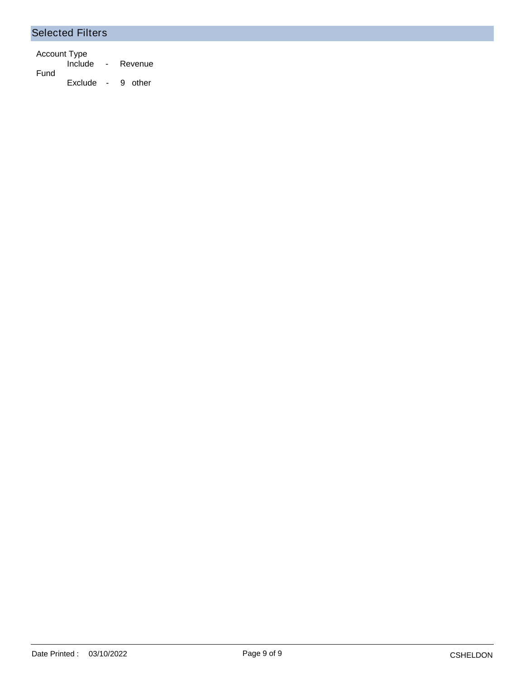#### Selected Filters

Account Type Include - Revenue Fund Exclude - 9 other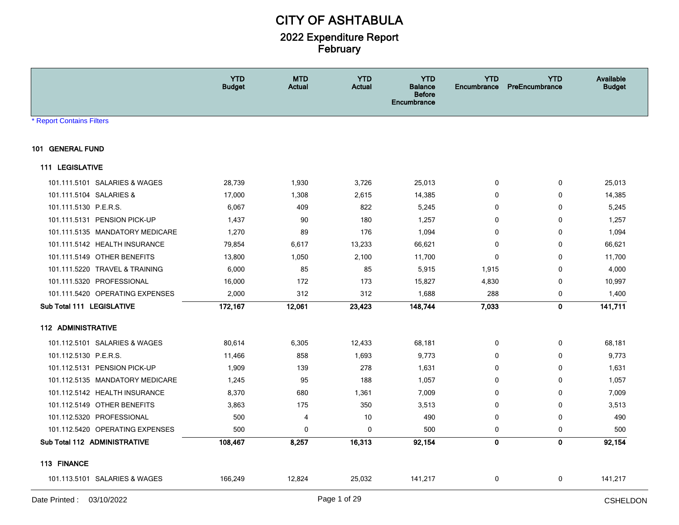|                                 | <b>YTD</b><br><b>Budget</b> | <b>MTD</b><br><b>Actual</b> | <b>YTD</b><br><b>Actual</b> | <b>YTD</b><br><b>Balance</b><br><b>Before</b><br>Encumbrance | <b>YTD</b><br>Encumbrance | <b>YTD</b><br>PreEncumbrance | <b>Available</b><br><b>Budget</b> |
|---------------------------------|-----------------------------|-----------------------------|-----------------------------|--------------------------------------------------------------|---------------------------|------------------------------|-----------------------------------|
| <b>Report Contains Filters</b>  |                             |                             |                             |                                                              |                           |                              |                                   |
| 101 GENERAL FUND                |                             |                             |                             |                                                              |                           |                              |                                   |
| 111 LEGISLATIVE                 |                             |                             |                             |                                                              |                           |                              |                                   |
| 101.111.5101 SALARIES & WAGES   | 28,739                      | 1,930                       | 3,726                       | 25,013                                                       | 0                         | 0                            | 25,013                            |
| 101.111.5104 SALARIES &         | 17,000                      | 1,308                       | 2,615                       | 14,385                                                       | 0                         | 0                            | 14,385                            |
| 101.111.5130 P.E.R.S.           | 6,067                       | 409                         | 822                         | 5,245                                                        | 0                         | $\mathbf 0$                  | 5,245                             |
| 101.111.5131 PENSION PICK-UP    | 1,437                       | 90                          | 180                         | 1,257                                                        | 0                         | 0                            | 1,257                             |
| 101.111.5135 MANDATORY MEDICARE | 1,270                       | 89                          | 176                         | 1,094                                                        | 0                         | 0                            | 1,094                             |
| 101.111.5142 HEALTH INSURANCE   | 79,854                      | 6,617                       | 13,233                      | 66,621                                                       | $\mathbf{0}$              | 0                            | 66,621                            |
| 101.111.5149 OTHER BENEFITS     | 13,800                      | 1,050                       | 2,100                       | 11,700                                                       | 0                         | 0                            | 11,700                            |
| 101.111.5220 TRAVEL & TRAINING  | 6,000                       | 85                          | 85                          | 5,915                                                        | 1,915                     | $\mathbf 0$                  | 4,000                             |
| 101.111.5320 PROFESSIONAL       | 16,000                      | 172                         | 173                         | 15,827                                                       | 4,830                     | 0                            | 10,997                            |
| 101.111.5420 OPERATING EXPENSES | 2,000                       | 312                         | 312                         | 1,688                                                        | 288                       | 0                            | 1,400                             |
| Sub Total 111 LEGISLATIVE       | 172,167                     | 12,061                      | 23,423                      | 148,744                                                      | 7,033                     | 0                            | 141,711                           |
| <b>112 ADMINISTRATIVE</b>       |                             |                             |                             |                                                              |                           |                              |                                   |
| 101.112.5101 SALARIES & WAGES   | 80,614                      | 6,305                       | 12,433                      | 68,181                                                       | 0                         | 0                            | 68,181                            |
| 101.112.5130 P.E.R.S.           | 11,466                      | 858                         | 1,693                       | 9,773                                                        | 0                         | $\mathbf 0$                  | 9,773                             |
| 101.112.5131 PENSION PICK-UP    | 1,909                       | 139                         | 278                         | 1,631                                                        | 0                         | $\mathbf 0$                  | 1,631                             |
| 101.112.5135 MANDATORY MEDICARE | 1,245                       | 95                          | 188                         | 1,057                                                        | 0                         | 0                            | 1,057                             |
| 101.112.5142 HEALTH INSURANCE   | 8,370                       | 680                         | 1,361                       | 7,009                                                        | 0                         | 0                            | 7,009                             |
| 101.112.5149 OTHER BENEFITS     | 3,863                       | 175                         | 350                         | 3,513                                                        | 0                         | 0                            | 3,513                             |
| 101.112.5320 PROFESSIONAL       | 500                         | 4                           | 10                          | 490                                                          | 0                         | $\mathbf 0$                  | 490                               |
| 101.112.5420 OPERATING EXPENSES | 500                         | 0                           | 0                           | 500                                                          | 0                         | 0                            | 500                               |
| Sub Total 112 ADMINISTRATIVE    | 108,467                     | 8,257                       | 16,313                      | 92,154                                                       | 0                         | 0                            | 92,154                            |
| 113 FINANCE                     |                             |                             |                             |                                                              |                           |                              |                                   |
| 101.113.5101 SALARIES & WAGES   | 166,249                     | 12,824                      | 25,032                      | 141,217                                                      | 0                         | 0                            | 141,217                           |
|                                 |                             |                             |                             |                                                              |                           |                              | المتنبذة والممالي                 |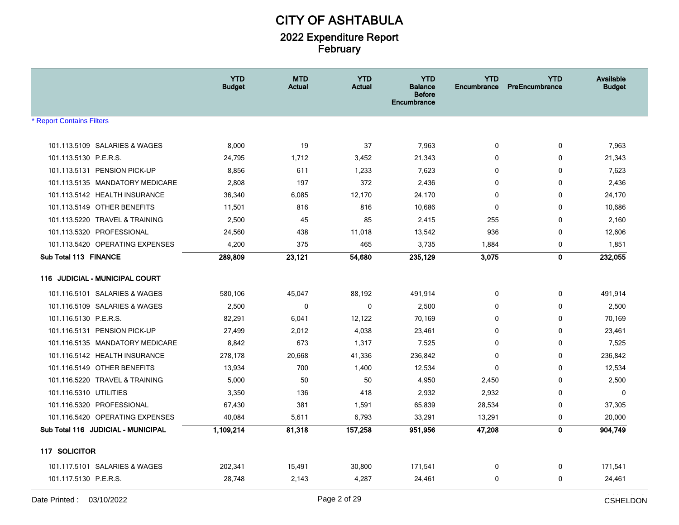|                                                                 | <b>YTD</b><br><b>Budget</b> | <b>MTD</b><br><b>Actual</b> | <b>YTD</b><br><b>Actual</b> | <b>YTD</b><br>Balance<br><b>Before</b><br>Encumbrance | <b>YTD</b><br>Encumbrance | <b>YTD</b><br>PreEncumbrance | Available<br><b>Budget</b> |
|-----------------------------------------------------------------|-----------------------------|-----------------------------|-----------------------------|-------------------------------------------------------|---------------------------|------------------------------|----------------------------|
| <b>Report Contains Filters</b>                                  |                             |                             |                             |                                                       |                           |                              |                            |
|                                                                 |                             |                             |                             |                                                       |                           |                              |                            |
| 101.113.5109 SALARIES & WAGES                                   | 8,000                       | 19                          | 37                          | 7,963                                                 | 0                         | 0                            | 7,963                      |
| 101.113.5130 P.E.R.S.                                           | 24,795                      | 1,712                       | 3,452                       | 21,343<br>7,623                                       | 0                         | 0                            | 21,343                     |
| 101.113.5131 PENSION PICK-UP<br>101.113.5135 MANDATORY MEDICARE | 8,856<br>2,808              | 611<br>197                  | 1,233<br>372                | 2,436                                                 | 0<br>$\mathbf 0$          | 0<br>$\mathbf 0$             | 7,623<br>2,436             |
| 101.113.5142 HEALTH INSURANCE                                   | 36,340                      | 6,085                       | 12,170                      | 24,170                                                | 0                         | $\mathbf 0$                  | 24,170                     |
| 101.113.5149 OTHER BENEFITS                                     | 11,501                      | 816                         | 816                         | 10,686                                                | $\Omega$                  | $\mathbf 0$                  | 10,686                     |
| 101.113.5220 TRAVEL & TRAINING                                  | 2,500                       | 45                          | 85                          | 2,415                                                 | 255                       | 0                            | 2,160                      |
| 101.113.5320 PROFESSIONAL                                       | 24,560                      | 438                         | 11,018                      | 13,542                                                | 936                       | 0                            | 12,606                     |
| 101.113.5420 OPERATING EXPENSES                                 | 4,200                       | 375                         | 465                         | 3,735                                                 | 1,884                     | 0                            | 1,851                      |
| Sub Total 113 FINANCE                                           | 289,809                     | 23,121                      | 54,680                      | 235,129                                               | 3,075                     | $\mathbf{0}$                 | 232,055                    |
|                                                                 |                             |                             |                             |                                                       |                           |                              |                            |
| 116 JUDICIAL - MUNICIPAL COURT                                  |                             |                             |                             |                                                       |                           |                              |                            |
| 101.116.5101 SALARIES & WAGES                                   | 580,106                     | 45,047                      | 88,192                      | 491,914                                               | 0                         | 0                            | 491,914                    |
| 101.116.5109 SALARIES & WAGES                                   | 2,500                       | 0                           | 0                           | 2,500                                                 | 0                         | 0                            | 2,500                      |
| 101.116.5130 P.E.R.S.                                           | 82,291                      | 6,041                       | 12,122                      | 70,169                                                | 0                         | 0                            | 70,169                     |
| 101.116.5131 PENSION PICK-UP                                    | 27,499                      | 2,012                       | 4,038                       | 23,461                                                | 0                         | 0                            | 23,461                     |
| 101.116.5135 MANDATORY MEDICARE                                 | 8,842                       | 673                         | 1,317                       | 7,525                                                 | 0                         | 0                            | 7,525                      |
| 101.116.5142 HEALTH INSURANCE                                   | 278,178                     | 20,668                      | 41,336                      | 236,842                                               | $\mathbf 0$               | 0                            | 236,842                    |
| 101.116.5149 OTHER BENEFITS                                     | 13,934                      | 700                         | 1,400                       | 12,534                                                | 0                         | 0                            | 12,534                     |
| 101.116.5220 TRAVEL & TRAINING                                  | 5,000                       | 50                          | 50                          | 4,950                                                 | 2,450                     | 0                            | 2,500                      |
| 101.116.5310 UTILITIES                                          | 3,350                       | 136                         | 418                         | 2,932                                                 | 2,932                     | 0                            | 0                          |
| 101.116.5320 PROFESSIONAL                                       | 67,430                      | 381                         | 1,591                       | 65,839                                                | 28,534                    | 0                            | 37,305                     |
| 101.116.5420 OPERATING EXPENSES                                 | 40,084                      | 5,611                       | 6,793                       | 33,291                                                | 13,291                    | 0                            | 20,000                     |
| Sub Total 116 JUDICIAL - MUNICIPAL                              | 1,109,214                   | 81,318                      | 157,258                     | 951,956                                               | 47,208                    | 0                            | 904,749                    |
| 117 SOLICITOR                                                   |                             |                             |                             |                                                       |                           |                              |                            |
| 101.117.5101 SALARIES & WAGES                                   | 202,341                     | 15,491                      | 30,800                      | 171,541                                               | 0                         | 0                            | 171,541                    |
| 101.117.5130 P.E.R.S.                                           | 28,748                      | 2,143                       | 4,287                       | 24,461                                                | 0                         | 0                            | 24,461                     |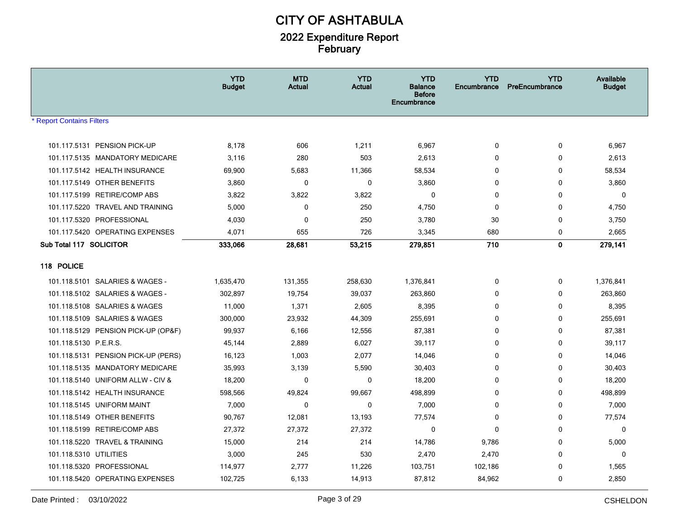|                                     | <b>YTD</b><br><b>Budget</b> | <b>MTD</b><br>Actual | <b>YTD</b><br><b>Actual</b> | <b>YTD</b><br>Balance<br><b>Before</b><br>Encumbrance | <b>YTD</b><br>Encumbrance | <b>YTD</b><br>PreEncumbrance | Available<br><b>Budget</b> |
|-------------------------------------|-----------------------------|----------------------|-----------------------------|-------------------------------------------------------|---------------------------|------------------------------|----------------------------|
| <b>* Report Contains Filters</b>    |                             |                      |                             |                                                       |                           |                              |                            |
| 101.117.5131 PENSION PICK-UP        | 8,178                       | 606                  | 1,211                       | 6,967                                                 | $\mathbf 0$               | 0                            | 6,967                      |
| 101.117.5135 MANDATORY MEDICARE     | 3,116                       | 280                  | 503                         | 2,613                                                 | $\Omega$                  | 0                            | 2,613                      |
| 101.117.5142 HEALTH INSURANCE       | 69,900                      | 5,683                | 11,366                      | 58,534                                                | 0                         | 0                            | 58,534                     |
| 101.117.5149 OTHER BENEFITS         | 3,860                       | $\mathbf 0$          | 0                           | 3,860                                                 | $\mathbf 0$               | $\mathbf 0$                  | 3,860                      |
| 101.117.5199 RETIRE/COMP ABS        | 3,822                       | 3,822                | 3,822                       | $\mathbf 0$                                           | 0                         | $\mathbf 0$                  | $\mathbf 0$                |
| 101.117.5220 TRAVEL AND TRAINING    | 5,000                       | 0                    | 250                         | 4,750                                                 | $\mathbf 0$               | $\mathbf 0$                  | 4,750                      |
| 101.117.5320 PROFESSIONAL           | 4,030                       | $\mathbf 0$          | 250                         | 3,780                                                 | 30                        | 0                            | 3,750                      |
| 101.117.5420 OPERATING EXPENSES     | 4,071                       | 655                  | 726                         | 3,345                                                 | 680                       | 0                            | 2,665                      |
| Sub Total 117 SOLICITOR             | 333,066                     | 28,681               | 53,215                      | 279,851                                               | 710                       | 0                            | 279,141                    |
| 118 POLICE                          |                             |                      |                             |                                                       |                           |                              |                            |
| 101.118.5101 SALARIES & WAGES -     | 1,635,470                   | 131,355              | 258,630                     | 1,376,841                                             | 0                         | 0                            | 1,376,841                  |
| 101.118.5102 SALARIES & WAGES -     | 302,897                     | 19,754               | 39,037                      | 263,860                                               | $\Omega$                  | 0                            | 263,860                    |
| 101.118.5108 SALARIES & WAGES       | 11,000                      | 1,371                | 2,605                       | 8,395                                                 | $\Omega$                  | 0                            | 8,395                      |
| 101.118.5109 SALARIES & WAGES       | 300,000                     | 23,932               | 44,309                      | 255,691                                               | $\mathbf 0$               | 0                            | 255,691                    |
| 101.118.5129 PENSION PICK-UP (OP&F) | 99,937                      | 6,166                | 12,556                      | 87,381                                                | $\mathbf 0$               | 0                            | 87,381                     |
| 101.118.5130 P.E.R.S.               | 45,144                      | 2,889                | 6,027                       | 39,117                                                | 0                         | 0                            | 39,117                     |
| 101.118.5131 PENSION PICK-UP (PERS) | 16,123                      | 1,003                | 2,077                       | 14,046                                                | $\Omega$                  | 0                            | 14,046                     |
| 101.118.5135 MANDATORY MEDICARE     | 35,993                      | 3,139                | 5,590                       | 30,403                                                | $\Omega$                  | $\mathbf{0}$                 | 30,403                     |
| 101.118.5140 UNIFORM ALLW - CIV &   | 18,200                      | 0                    | 0                           | 18,200                                                | $\mathbf 0$               | 0                            | 18,200                     |
| 101.118.5142 HEALTH INSURANCE       | 598,566                     | 49,824               | 99,667                      | 498,899                                               | $\mathbf 0$               | 0                            | 498,899                    |
| 101.118.5145 UNIFORM MAINT          | 7,000                       | $\mathbf 0$          | $\mathbf 0$                 | 7,000                                                 | 0                         | 0                            | 7,000                      |
| 101.118.5149 OTHER BENEFITS         | 90,767                      | 12,081               | 13,193                      | 77,574                                                | 0                         | 0                            | 77,574                     |
| 101.118.5199 RETIRE/COMP ABS        | 27,372                      | 27,372               | 27,372                      | $\mathbf{0}$                                          | $\mathbf{0}$              | 0                            | $\mathbf 0$                |
| 101.118.5220 TRAVEL & TRAINING      | 15,000                      | 214                  | 214                         | 14,786                                                | 9,786                     | 0                            | 5,000                      |
| 101.118.5310 UTILITIES              | 3,000                       | 245                  | 530                         | 2,470                                                 | 2,470                     | $\Omega$                     | $\mathbf 0$                |
| 101.118.5320 PROFESSIONAL           | 114,977                     | 2,777                | 11,226                      | 103,751                                               | 102,186                   | $\mathbf 0$                  | 1,565                      |
| 101.118.5420 OPERATING EXPENSES     | 102,725                     | 6,133                | 14,913                      | 87,812                                                | 84,962                    | 0                            | 2,850                      |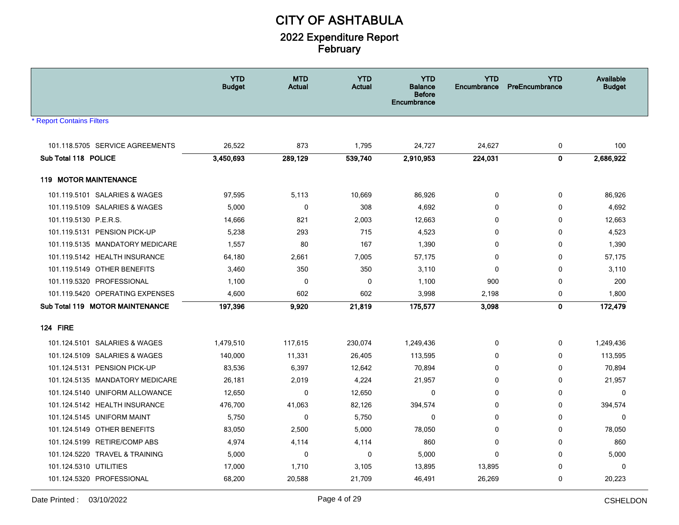|                                 | <b>YTD</b><br>Budget | <b>MTD</b><br>Actual | <b>YTD</b><br><b>Actual</b> | <b>YTD</b><br><b>Balance</b><br><b>Before</b><br>Encumbrance | <b>YTD</b><br><b>Encumbrance</b> | <b>YTD</b><br>PreEncumbrance | Available<br><b>Budget</b> |
|---------------------------------|----------------------|----------------------|-----------------------------|--------------------------------------------------------------|----------------------------------|------------------------------|----------------------------|
| <b>Report Contains Filters</b>  |                      |                      |                             |                                                              |                                  |                              |                            |
|                                 |                      |                      |                             |                                                              |                                  |                              |                            |
| 101.118.5705 SERVICE AGREEMENTS | 26,522               | 873                  | 1,795                       | 24,727                                                       | 24,627                           | 0                            | 100                        |
| Sub Total 118 POLICE            | 3,450,693            | 289,129              | 539,740                     | 2,910,953                                                    | 224,031                          | $\mathbf 0$                  | 2,686,922                  |
| <b>119 MOTOR MAINTENANCE</b>    |                      |                      |                             |                                                              |                                  |                              |                            |
| 101.119.5101 SALARIES & WAGES   | 97,595               | 5,113                | 10,669                      | 86,926                                                       | 0                                | 0                            | 86,926                     |
| 101.119.5109 SALARIES & WAGES   | 5,000                | 0                    | 308                         | 4,692                                                        | $\mathbf{0}$                     | 0                            | 4,692                      |
| 101.119.5130 P.E.R.S.           | 14,666               | 821                  | 2,003                       | 12,663                                                       | $\mathbf{0}$                     | 0                            | 12,663                     |
| 101.119.5131 PENSION PICK-UP    | 5,238                | 293                  | 715                         | 4,523                                                        | $\mathbf{0}$                     | 0                            | 4,523                      |
| 101.119.5135 MANDATORY MEDICARE | 1,557                | 80                   | 167                         | 1,390                                                        | $\mathbf{0}$                     | $\mathbf{0}$                 | 1,390                      |
| 101.119.5142 HEALTH INSURANCE   | 64,180               | 2,661                | 7,005                       | 57,175                                                       | $\Omega$                         | 0                            | 57,175                     |
| 101.119.5149 OTHER BENEFITS     | 3,460                | 350                  | 350                         | 3,110                                                        | $\mathbf 0$                      | 0                            | 3,110                      |
| 101.119.5320 PROFESSIONAL       | 1,100                | $\mathbf 0$          | $\mathbf 0$                 | 1,100                                                        | 900                              | 0                            | 200                        |
| 101.119.5420 OPERATING EXPENSES | 4,600                | 602                  | 602                         | 3,998                                                        | 2,198                            | 0                            | 1,800                      |
| Sub Total 119 MOTOR MAINTENANCE | 197,396              | 9,920                | 21,819                      | 175,577                                                      | 3,098                            | $\mathbf 0$                  | 172,479                    |
| <b>124 FIRE</b>                 |                      |                      |                             |                                                              |                                  |                              |                            |
| 101.124.5101 SALARIES & WAGES   | 1,479,510            | 117,615              | 230,074                     | 1,249,436                                                    | 0                                | 0                            | 1,249,436                  |
| 101.124.5109 SALARIES & WAGES   | 140,000              | 11,331               | 26,405                      | 113,595                                                      | $\mathbf{0}$                     | 0                            | 113,595                    |
| 101.124.5131 PENSION PICK-UP    | 83,536               | 6,397                | 12,642                      | 70,894                                                       | $\mathbf{0}$                     | 0                            | 70,894                     |
| 101.124.5135 MANDATORY MEDICARE | 26,181               | 2,019                | 4,224                       | 21,957                                                       | $\mathbf{0}$                     | 0                            | 21,957                     |
| 101.124.5140 UNIFORM ALLOWANCE  | 12,650               | 0                    | 12,650                      | $\mathbf{0}$                                                 | $\Omega$                         | 0                            | $\mathbf 0$                |
| 101.124.5142 HEALTH INSURANCE   | 476,700              | 41,063               | 82,126                      | 394,574                                                      | $\mathbf 0$                      | 0                            | 394,574                    |
| 101.124.5145 UNIFORM MAINT      | 5,750                | $\mathbf 0$          | 5,750                       | 0                                                            | $\Omega$                         | 0                            | 0                          |
| 101.124.5149 OTHER BENEFITS     | 83,050               | 2,500                | 5,000                       | 78,050                                                       | 0                                | 0                            | 78,050                     |
| 101.124.5199 RETIRE/COMP ABS    | 4,974                | 4,114                | 4,114                       | 860                                                          | 0                                | 0                            | 860                        |
| 101.124.5220 TRAVEL & TRAINING  | 5,000                | 0                    | $\mathbf 0$                 | 5,000                                                        | 0                                | 0                            | 5,000                      |
| 101.124.5310 UTILITIES          | 17,000               | 1,710                | 3,105                       | 13,895                                                       | 13,895                           | 0                            | 0                          |
| 101.124.5320 PROFESSIONAL       | 68,200               | 20,588               | 21,709                      | 46,491                                                       | 26,269                           | 0                            | 20,223                     |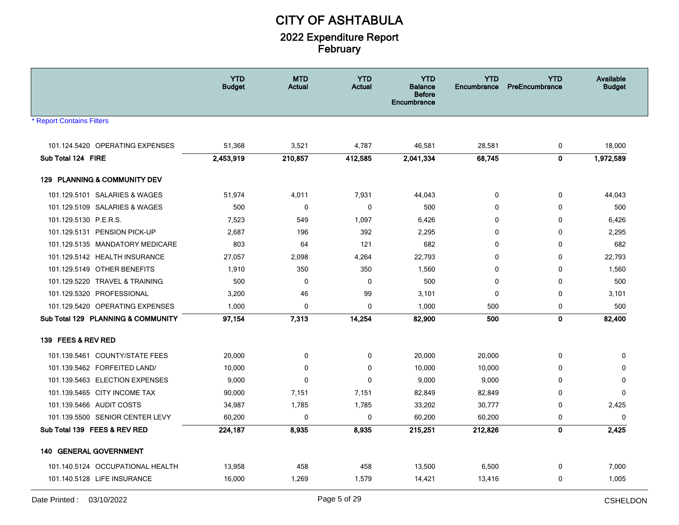|                                    | <b>YTD</b><br><b>Budget</b> | <b>MTD</b><br><b>Actual</b> | <b>YTD</b><br><b>Actual</b> | <b>YTD</b><br><b>Balance</b><br><b>Before</b><br>Encumbrance | <b>YTD</b><br>Encumbrance | <b>YTD</b><br>PreEncumbrance | <b>Available</b><br><b>Budget</b> |
|------------------------------------|-----------------------------|-----------------------------|-----------------------------|--------------------------------------------------------------|---------------------------|------------------------------|-----------------------------------|
| <b>Report Contains Filters</b>     |                             |                             |                             |                                                              |                           |                              |                                   |
| 101.124.5420 OPERATING EXPENSES    | 51,368                      | 3,521                       | 4,787                       | 46,581                                                       | 28,581                    | 0                            | 18,000                            |
| Sub Total 124 FIRE                 | 2,453,919                   | 210,857                     | 412,585                     | 2,041,334                                                    | 68,745                    | $\mathbf 0$                  | 1,972,589                         |
| 129 PLANNING & COMMUNITY DEV       |                             |                             |                             |                                                              |                           |                              |                                   |
| 101.129.5101 SALARIES & WAGES      | 51,974                      | 4,011                       | 7,931                       | 44,043                                                       | 0                         | 0                            | 44,043                            |
| 101.129.5109 SALARIES & WAGES      | 500                         | 0                           | $\mathbf 0$                 | 500                                                          | $\mathbf 0$               | 0                            | 500                               |
| 101.129.5130 P.E.R.S.              | 7,523                       | 549                         | 1,097                       | 6,426                                                        | 0                         | 0                            | 6,426                             |
| 101.129.5131 PENSION PICK-UP       | 2,687                       | 196                         | 392                         | 2,295                                                        | 0                         | 0                            | 2,295                             |
| 101.129.5135 MANDATORY MEDICARE    | 803                         | 64                          | 121                         | 682                                                          | $\Omega$                  | $\mathbf 0$                  | 682                               |
| 101.129.5142 HEALTH INSURANCE      | 27,057                      | 2,098                       | 4,264                       | 22,793                                                       | $\Omega$                  | $\mathbf 0$                  | 22,793                            |
| 101.129.5149 OTHER BENEFITS        | 1,910                       | 350                         | 350                         | 1,560                                                        | $\mathbf 0$               | $\mathbf 0$                  | 1,560                             |
| 101.129.5220 TRAVEL & TRAINING     | 500                         | 0                           | 0                           | 500                                                          | 0                         | 0                            | 500                               |
| 101.129.5320 PROFESSIONAL          | 3,200                       | 46                          | 99                          | 3,101                                                        | 0                         | 0                            | 3,101                             |
| 101.129.5420 OPERATING EXPENSES    | 1,000                       | 0                           | $\mathbf 0$                 | 1,000                                                        | 500                       | $\mathbf 0$                  | 500                               |
| Sub Total 129 PLANNING & COMMUNITY | 97,154                      | 7,313                       | 14,254                      | 82,900                                                       | 500                       | $\mathbf 0$                  | 82,400                            |
| 139 FEES & REV RED                 |                             |                             |                             |                                                              |                           |                              |                                   |
| 101.139.5461 COUNTY/STATE FEES     | 20,000                      | 0                           | 0                           | 20,000                                                       | 20,000                    | 0                            | 0                                 |
| 101.139.5462 FORFEITED LAND/       | 10,000                      | $\mathbf 0$                 | $\mathbf 0$                 | 10,000                                                       | 10,000                    | 0                            | $\mathbf 0$                       |
| 101.139.5463 ELECTION EXPENSES     | 9,000                       | 0                           | $\mathbf 0$                 | 9,000                                                        | 9,000                     | 0                            | $\mathbf 0$                       |
| 101.139.5465 CITY INCOME TAX       | 90,000                      | 7,151                       | 7,151                       | 82,849                                                       | 82,849                    | $\mathbf 0$                  | $\Omega$                          |
| 101.139.5466 AUDIT COSTS           | 34,987                      | 1,785                       | 1,785                       | 33,202                                                       | 30,777                    | 0                            | 2,425                             |
| 101.139.5500 SENIOR CENTER LEVY    | 60,200                      | $\mathbf 0$                 | 0                           | 60,200                                                       | 60,200                    | 0                            | $\mathbf 0$                       |
| Sub Total 139 FEES & REV RED       | 224,187                     | 8,935                       | 8,935                       | 215,251                                                      | 212,826                   | $\mathbf{0}$                 | 2,425                             |
| 140 GENERAL GOVERNMENT             |                             |                             |                             |                                                              |                           |                              |                                   |
| 101.140.5124 OCCUPATIONAL HEALTH   | 13,958                      | 458                         | 458                         | 13,500                                                       | 6,500                     | 0                            | 7,000                             |
| 101.140.5128 LIFE INSURANCE        | 16,000                      | 1,269                       | 1,579                       | 14,421                                                       | 13,416                    | 0                            | 1,005                             |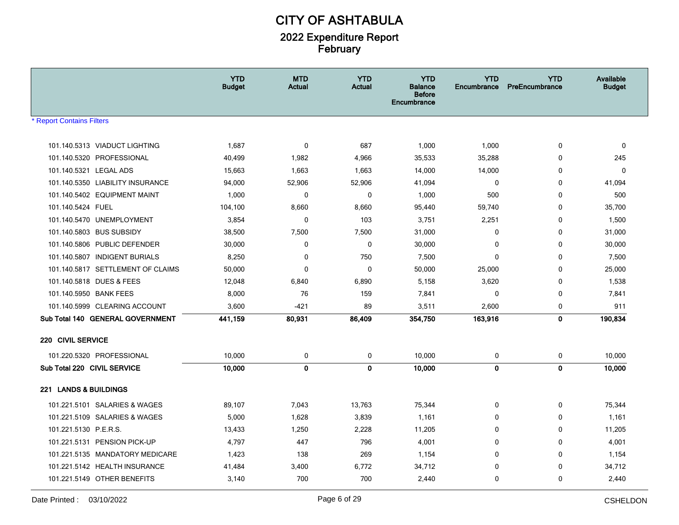|                             |                                   | <b>YTD</b><br><b>Budget</b> | <b>MTD</b><br><b>Actual</b> | <b>YTD</b><br><b>Actual</b> | <b>YTD</b><br><b>Balance</b><br><b>Before</b><br>Encumbrance | <b>YTD</b><br>Encumbrance | <b>YTD</b><br>PreEncumbrance | Available<br><b>Budget</b> |
|-----------------------------|-----------------------------------|-----------------------------|-----------------------------|-----------------------------|--------------------------------------------------------------|---------------------------|------------------------------|----------------------------|
| * Report Contains Filters   |                                   |                             |                             |                             |                                                              |                           |                              |                            |
|                             | 101.140.5313 VIADUCT LIGHTING     | 1,687                       | 0                           | 687                         | 1,000                                                        | 1,000                     | $\mathbf 0$                  | $\mathbf 0$                |
|                             | 101.140.5320 PROFESSIONAL         | 40,499                      | 1,982                       | 4,966                       | 35,533                                                       | 35,288                    | 0                            | 245                        |
| 101.140.5321 LEGAL ADS      |                                   | 15,663                      | 1,663                       | 1,663                       | 14,000                                                       | 14,000                    | 0                            | $\Omega$                   |
|                             | 101.140.5350 LIABILITY INSURANCE  | 94,000                      | 52,906                      | 52,906                      | 41,094                                                       | $\mathbf 0$               | 0                            | 41,094                     |
|                             | 101.140.5402 EQUIPMENT MAINT      | 1,000                       | 0                           | 0                           | 1,000                                                        | 500                       | 0                            | 500                        |
| 101.140.5424 FUEL           |                                   | 104,100                     | 8,660                       | 8,660                       | 95,440                                                       | 59,740                    | $\mathbf 0$                  | 35,700                     |
|                             | 101.140.5470 UNEMPLOYMENT         | 3,854                       | 0                           | 103                         | 3,751                                                        | 2,251                     | 0                            | 1,500                      |
|                             | 101.140.5803 BUS SUBSIDY          | 38,500                      | 7,500                       | 7,500                       | 31,000                                                       | $\mathbf 0$               | $\mathbf 0$                  | 31,000                     |
|                             | 101.140.5806 PUBLIC DEFENDER      | 30,000                      | 0                           | 0                           | 30,000                                                       | 0                         | 0                            | 30,000                     |
|                             | 101.140.5807 INDIGENT BURIALS     | 8,250                       | 0                           | 750                         | 7,500                                                        | $\mathbf{0}$              | 0                            | 7,500                      |
|                             | 101.140.5817 SETTLEMENT OF CLAIMS | 50,000                      | 0                           | $\mathbf 0$                 | 50,000                                                       | 25,000                    | $\mathbf 0$                  | 25,000                     |
|                             | 101.140.5818 DUES & FEES          | 12,048                      | 6,840                       | 6,890                       | 5,158                                                        | 3,620                     | 0                            | 1,538                      |
| 101.140.5950 BANK FEES      |                                   | 8,000                       | 76                          | 159                         | 7,841                                                        | 0                         | 0                            | 7,841                      |
|                             | 101.140.5999 CLEARING ACCOUNT     | 3,600                       | $-421$                      | 89                          | 3,511                                                        | 2,600                     | 0                            | 911                        |
|                             | Sub Total 140 GENERAL GOVERNMENT  | 441,159                     | 80,931                      | 86,409                      | 354,750                                                      | 163,916                   | $\mathbf 0$                  | 190,834                    |
| 220 CIVIL SERVICE           |                                   |                             |                             |                             |                                                              |                           |                              |                            |
|                             | 101.220.5320 PROFESSIONAL         | 10,000                      | 0                           | 0                           | 10,000                                                       | 0                         | 0                            | 10,000                     |
| Sub Total 220 CIVIL SERVICE |                                   | 10,000                      | $\mathbf 0$                 | 0                           | 10,000                                                       | $\mathbf 0$               | $\mathbf 0$                  | 10,000                     |
| 221 LANDS & BUILDINGS       |                                   |                             |                             |                             |                                                              |                           |                              |                            |
|                             | 101.221.5101 SALARIES & WAGES     | 89,107                      | 7,043                       | 13,763                      | 75,344                                                       | 0                         | 0                            | 75,344                     |
|                             | 101.221.5109 SALARIES & WAGES     | 5,000                       | 1,628                       | 3,839                       | 1,161                                                        | $\mathbf{0}$              | 0                            | 1,161                      |
| 101.221.5130 P.E.R.S.       |                                   | 13,433                      | 1,250                       | 2,228                       | 11,205                                                       | $\mathbf 0$               | 0                            | 11,205                     |
|                             | 101.221.5131 PENSION PICK-UP      | 4,797                       | 447                         | 796                         | 4,001                                                        | $\mathbf{0}$              | 0                            | 4,001                      |
|                             | 101.221.5135 MANDATORY MEDICARE   | 1,423                       | 138                         | 269                         | 1,154                                                        | $\mathbf 0$               | $\mathbf 0$                  | 1,154                      |
|                             | 101.221.5142 HEALTH INSURANCE     | 41,484                      | 3,400                       | 6,772                       | 34,712                                                       | 0                         | 0                            | 34,712                     |
|                             | 101.221.5149 OTHER BENEFITS       | 3,140                       | 700                         | 700                         | 2,440                                                        | $\mathbf 0$               | 0                            | 2,440                      |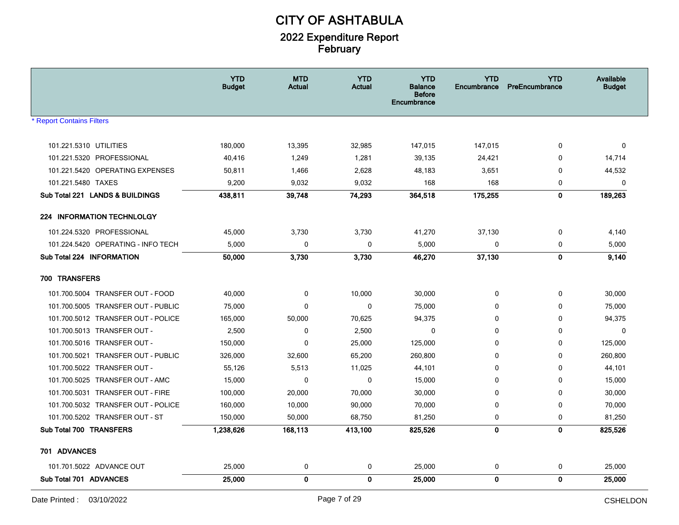|                                    | <b>YTD</b><br><b>Budget</b> | <b>MTD</b><br><b>Actual</b> | <b>YTD</b><br><b>Actual</b> | <b>YTD</b><br><b>Balance</b><br><b>Before</b><br>Encumbrance | <b>YTD</b><br><b>Encumbrance</b> | <b>YTD</b><br>PreEncumbrance | Available<br><b>Budget</b> |
|------------------------------------|-----------------------------|-----------------------------|-----------------------------|--------------------------------------------------------------|----------------------------------|------------------------------|----------------------------|
| <b>Report Contains Filters</b>     |                             |                             |                             |                                                              |                                  |                              |                            |
| 101.221.5310 UTILITIES             | 180,000                     | 13,395                      | 32,985                      | 147,015                                                      | 147,015                          | 0                            | $\Omega$                   |
| 101.221.5320 PROFESSIONAL          | 40,416                      | 1,249                       | 1,281                       | 39,135                                                       | 24,421                           | 0                            | 14,714                     |
| 101.221.5420 OPERATING EXPENSES    | 50,811                      | 1,466                       | 2,628                       | 48,183                                                       | 3,651                            | 0                            | 44,532                     |
| 101.221.5480 TAXES                 | 9,200                       | 9,032                       | 9,032                       | 168                                                          | 168                              | 0                            | $\mathbf 0$                |
| Sub Total 221 LANDS & BUILDINGS    | 438,811                     | 39,748                      | 74,293                      | 364,518                                                      | 175,255                          | 0                            | 189,263                    |
| <b>224 INFORMATION TECHNLOLGY</b>  |                             |                             |                             |                                                              |                                  |                              |                            |
| 101.224.5320 PROFESSIONAL          | 45,000                      | 3,730                       | 3,730                       | 41,270                                                       | 37,130                           | 0                            | 4,140                      |
| 101.224.5420 OPERATING - INFO TECH | 5,000                       | 0                           | 0                           | 5,000                                                        | 0                                | 0                            | 5,000                      |
| Sub Total 224 INFORMATION          | 50,000                      | 3,730                       | 3,730                       | 46,270                                                       | 37,130                           | $\mathbf{0}$                 | 9,140                      |
| 700 TRANSFERS                      |                             |                             |                             |                                                              |                                  |                              |                            |
| 101.700.5004 TRANSFER OUT - FOOD   | 40,000                      | 0                           | 10,000                      | 30,000                                                       | 0                                | 0                            | 30,000                     |
| 101.700.5005 TRANSFER OUT - PUBLIC | 75,000                      | 0                           | $\mathbf 0$                 | 75,000                                                       | $\mathbf 0$                      | 0                            | 75,000                     |
| 101.700.5012 TRANSFER OUT - POLICE | 165,000                     | 50,000                      | 70,625                      | 94,375                                                       | $\mathbf 0$                      | 0                            | 94,375                     |
| 101.700.5013 TRANSFER OUT -        | 2,500                       | 0                           | 2,500                       | 0                                                            | 0                                | 0                            | $\mathbf{0}$               |
| 101.700.5016 TRANSFER OUT -        | 150,000                     | $\mathbf 0$                 | 25,000                      | 125,000                                                      | 0                                | 0                            | 125,000                    |
| 101.700.5021 TRANSFER OUT - PUBLIC | 326,000                     | 32,600                      | 65,200                      | 260,800                                                      | $\mathbf 0$                      | 0                            | 260,800                    |
| 101.700.5022 TRANSFER OUT -        | 55,126                      | 5,513                       | 11,025                      | 44,101                                                       | 0                                | 0                            | 44,101                     |
| 101.700.5025 TRANSFER OUT - AMC    | 15,000                      | 0                           | 0                           | 15,000                                                       | 0                                | 0                            | 15,000                     |
| 101.700.5031 TRANSFER OUT - FIRE   | 100,000                     | 20,000                      | 70,000                      | 30,000                                                       | 0                                | 0                            | 30,000                     |
| 101.700.5032 TRANSFER OUT - POLICE | 160,000                     | 10,000                      | 90,000                      | 70,000                                                       | 0                                | 0                            | 70,000                     |
| 101.700.5202 TRANSFER OUT - ST     | 150,000                     | 50,000                      | 68,750                      | 81,250                                                       | 0                                | 0                            | 81,250                     |
| Sub Total 700 TRANSFERS            | 1,238,626                   | 168,113                     | 413,100                     | 825,526                                                      | 0                                | $\mathbf{0}$                 | 825,526                    |
| 701 ADVANCES                       |                             |                             |                             |                                                              |                                  |                              |                            |
| 101.701.5022 ADVANCE OUT           | 25,000                      | 0                           | 0                           | 25,000                                                       | 0                                | 0                            | 25,000                     |
| Sub Total 701 ADVANCES             | 25,000                      | 0                           | $\mathbf{0}$                | 25,000                                                       | 0                                | $\mathbf{0}$                 | 25,000                     |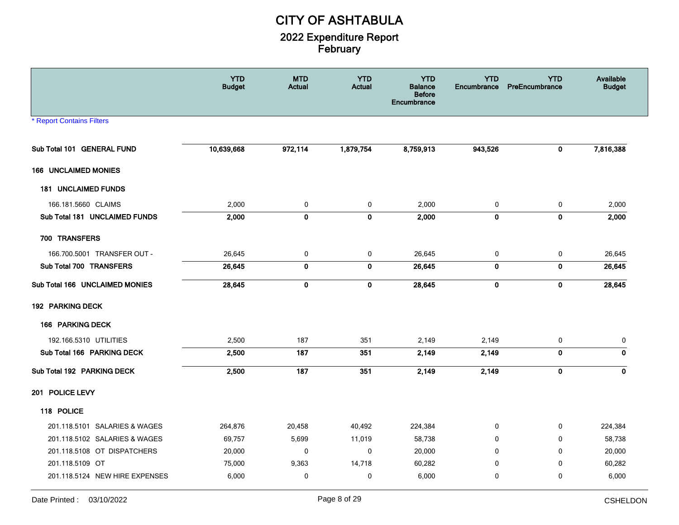|                                  | <b>YTD</b><br><b>Budget</b> | <b>MTD</b><br><b>Actual</b> | <b>YTD</b><br><b>Actual</b> | <b>YTD</b><br><b>Balance</b><br><b>Before</b><br>Encumbrance | <b>YTD</b><br><b>Encumbrance</b> | <b>YTD</b><br>PreEncumbrance | <b>Available</b><br><b>Budget</b> |
|----------------------------------|-----------------------------|-----------------------------|-----------------------------|--------------------------------------------------------------|----------------------------------|------------------------------|-----------------------------------|
| <b>* Report Contains Filters</b> |                             |                             |                             |                                                              |                                  |                              |                                   |
| Sub Total 101 GENERAL FUND       | 10,639,668                  | 972,114                     | 1,879,754                   | 8,759,913                                                    | 943,526                          | $\mathbf 0$                  | 7,816,388                         |
| <b>166 UNCLAIMED MONIES</b>      |                             |                             |                             |                                                              |                                  |                              |                                   |
| <b>181 UNCLAIMED FUNDS</b>       |                             |                             |                             |                                                              |                                  |                              |                                   |
| 166.181.5660 CLAIMS              | 2,000                       | 0                           | 0                           | 2,000                                                        | 0                                | 0                            | 2,000                             |
| Sub Total 181 UNCLAIMED FUNDS    | 2,000                       | $\pmb{0}$                   | $\pmb{0}$                   | 2,000                                                        | $\mathbf 0$                      | $\pmb{0}$                    | 2,000                             |
| 700 TRANSFERS                    |                             |                             |                             |                                                              |                                  |                              |                                   |
| 166.700.5001 TRANSFER OUT -      | 26,645                      | 0                           | 0                           | 26,645                                                       | 0                                | 0                            | 26,645                            |
| Sub Total 700 TRANSFERS          | 26,645                      | $\mathbf 0$                 | $\mathbf 0$                 | 26,645                                                       | $\mathbf 0$                      | $\mathbf 0$                  | 26,645                            |
| Sub Total 166 UNCLAIMED MONIES   | 28,645                      | $\pmb{0}$                   | $\pmb{0}$                   | 28,645                                                       | $\pmb{0}$                        | $\pmb{0}$                    | 28,645                            |
| 192 PARKING DECK                 |                             |                             |                             |                                                              |                                  |                              |                                   |
| 166 PARKING DECK                 |                             |                             |                             |                                                              |                                  |                              |                                   |
| 192.166.5310 UTILITIES           | 2,500                       | 187                         | 351                         | 2,149                                                        | 2,149                            | 0                            | 0                                 |
| Sub Total 166 PARKING DECK       | 2,500                       | 187                         | 351                         | 2,149                                                        | 2,149                            | $\mathbf 0$                  | $\mathbf 0$                       |
| Sub Total 192 PARKING DECK       | 2,500                       | 187                         | 351                         | 2,149                                                        | 2,149                            | $\pmb{0}$                    | 0                                 |
| 201 POLICE LEVY                  |                             |                             |                             |                                                              |                                  |                              |                                   |
| 118 POLICE                       |                             |                             |                             |                                                              |                                  |                              |                                   |
| 201.118.5101 SALARIES & WAGES    | 264,876                     | 20,458                      | 40,492                      | 224,384                                                      | 0                                | 0                            | 224,384                           |
| 201.118.5102 SALARIES & WAGES    | 69,757                      | 5,699                       | 11,019                      | 58,738                                                       | 0                                | 0                            | 58,738                            |
| 201.118.5108 OT DISPATCHERS      | 20,000                      | 0                           | $\mathbf 0$                 | 20,000                                                       | $\mathbf{0}$                     | $\Omega$                     | 20,000                            |
| 201.118.5109 OT                  | 75,000                      | 9,363                       | 14,718                      | 60,282                                                       | 0                                | 0                            | 60,282                            |
| 201.118.5124 NEW HIRE EXPENSES   | 6,000                       | $\mathbf 0$                 | 0                           | 6,000                                                        | 0                                | $\mathbf 0$                  | 6,000                             |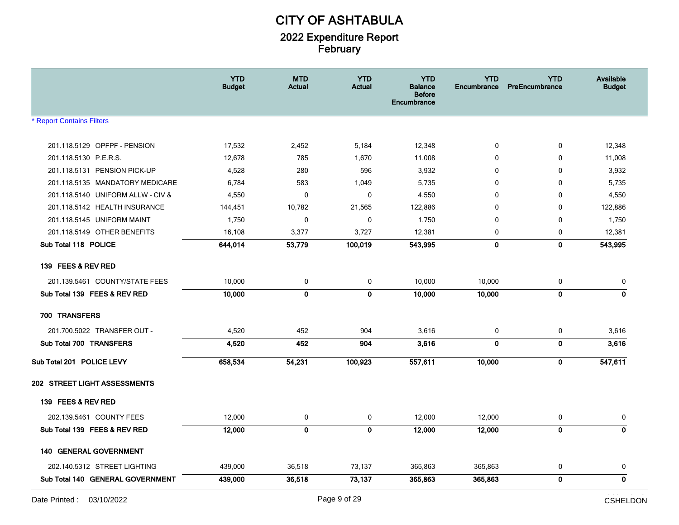|                                   | <b>YTD</b><br><b>Budget</b> | <b>MTD</b><br><b>Actual</b> | <b>YTD</b><br><b>Actual</b> | <b>YTD</b><br><b>Balance</b><br><b>Before</b><br><b>Encumbrance</b> | <b>YTD</b><br>Encumbrance | <b>YTD</b><br>PreEncumbrance | <b>Available</b><br><b>Budget</b> |
|-----------------------------------|-----------------------------|-----------------------------|-----------------------------|---------------------------------------------------------------------|---------------------------|------------------------------|-----------------------------------|
| <b>* Report Contains Filters</b>  |                             |                             |                             |                                                                     |                           |                              |                                   |
| 201.118.5129 OPFPF - PENSION      | 17,532                      | 2,452                       | 5,184                       | 12,348                                                              | 0                         | 0                            | 12,348                            |
| 201.118.5130 P.E.R.S.             | 12,678                      | 785                         | 1,670                       | 11,008                                                              | 0                         | $\mathbf 0$                  | 11,008                            |
| 201.118.5131 PENSION PICK-UP      | 4,528                       | 280                         | 596                         | 3,932                                                               | 0                         | $\mathbf 0$                  | 3,932                             |
| 201.118.5135 MANDATORY MEDICARE   | 6,784                       | 583                         | 1,049                       | 5,735                                                               | 0                         | 0                            | 5,735                             |
| 201.118.5140 UNIFORM ALLW - CIV & | 4,550                       | $\mathbf 0$                 | 0                           | 4,550                                                               | 0                         | 0                            | 4,550                             |
| 201.118.5142 HEALTH INSURANCE     | 144,451                     | 10,782                      | 21,565                      | 122,886                                                             | 0                         | $\mathbf 0$                  | 122,886                           |
| 201.118.5145 UNIFORM MAINT        | 1,750                       | $\mathbf 0$                 | 0                           | 1,750                                                               | $\mathbf 0$               | $\mathbf 0$                  | 1,750                             |
| 201.118.5149 OTHER BENEFITS       | 16,108                      | 3,377                       | 3,727                       | 12,381                                                              | 0                         | 0                            | 12,381                            |
| Sub Total 118 POLICE              | 644,014                     | 53,779                      | 100,019                     | 543,995                                                             | $\bf{0}$                  | $\mathbf 0$                  | 543,995                           |
| 139 FEES & REV RED                |                             |                             |                             |                                                                     |                           |                              |                                   |
| 201.139.5461 COUNTY/STATE FEES    | 10,000                      | 0                           | 0                           | 10,000                                                              | 10,000                    | 0                            | 0                                 |
| Sub Total 139 FEES & REV RED      | 10,000                      | $\mathbf 0$                 | 0                           | 10,000                                                              | 10,000                    | 0                            | 0                                 |
| 700 TRANSFERS                     |                             |                             |                             |                                                                     |                           |                              |                                   |
| 201.700.5022 TRANSFER OUT -       | 4,520                       | 452                         | 904                         | 3,616                                                               | 0                         | 0                            | 3,616                             |
| Sub Total 700 TRANSFERS           | 4,520                       | 452                         | 904                         | 3,616                                                               | $\mathbf 0$               | $\mathbf 0$                  | 3,616                             |
| Sub Total 201 POLICE LEVY         | 658,534                     | 54,231                      | 100,923                     | 557,611                                                             | 10,000                    | $\mathbf 0$                  | 547,611                           |
| 202 STREET LIGHT ASSESSMENTS      |                             |                             |                             |                                                                     |                           |                              |                                   |
| 139 FEES & REV RED                |                             |                             |                             |                                                                     |                           |                              |                                   |
| 202.139.5461 COUNTY FEES          | 12,000                      | 0                           | 0                           | 12,000                                                              | 12,000                    | 0                            | 0                                 |
| Sub Total 139 FEES & REV RED      | 12,000                      | $\mathbf{0}$                | 0                           | 12,000                                                              | 12,000                    | $\mathbf 0$                  | $\mathbf 0$                       |
| <b>140 GENERAL GOVERNMENT</b>     |                             |                             |                             |                                                                     |                           |                              |                                   |
| 202.140.5312 STREET LIGHTING      | 439,000                     | 36,518                      | 73,137                      | 365,863                                                             | 365,863                   | 0                            | 0                                 |
| Sub Total 140 GENERAL GOVERNMENT  | 439,000                     | 36,518                      | 73,137                      | 365,863                                                             | 365,863                   | $\mathbf 0$                  | 0                                 |
|                                   |                             |                             |                             |                                                                     |                           |                              |                                   |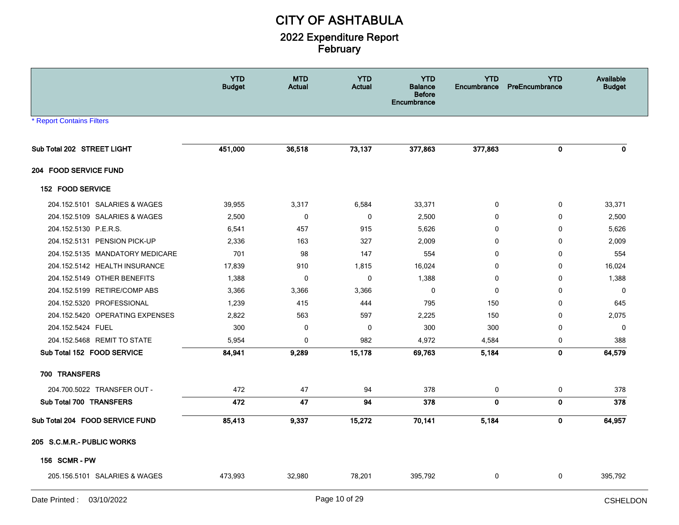|                                  | <b>YTD</b><br><b>Budget</b> | <b>MTD</b><br>Actual | <b>YTD</b><br><b>Actual</b> | <b>YTD</b><br><b>Balance</b><br><b>Before</b><br>Encumbrance | <b>YTD</b><br>Encumbrance | <b>YTD</b><br>PreEncumbrance | Available<br><b>Budget</b> |
|----------------------------------|-----------------------------|----------------------|-----------------------------|--------------------------------------------------------------|---------------------------|------------------------------|----------------------------|
| <b>* Report Contains Filters</b> |                             |                      |                             |                                                              |                           |                              |                            |
| Sub Total 202 STREET LIGHT       | 451,000                     | 36,518               | 73,137                      | 377,863                                                      | 377,863                   | 0                            | $\mathbf{0}$               |
| 204 FOOD SERVICE FUND            |                             |                      |                             |                                                              |                           |                              |                            |
| 152 FOOD SERVICE                 |                             |                      |                             |                                                              |                           |                              |                            |
| 204.152.5101 SALARIES & WAGES    | 39,955                      | 3,317                | 6,584                       | 33,371                                                       | 0                         | $\mathbf 0$                  | 33,371                     |
| 204.152.5109 SALARIES & WAGES    | 2,500                       | $\mathbf 0$          | $\pmb{0}$                   | 2,500                                                        | $\mathbf 0$               | 0                            | 2,500                      |
| 204.152.5130 P.E.R.S.            | 6,541                       | 457                  | 915                         | 5,626                                                        | 0                         | 0                            | 5,626                      |
| 204.152.5131 PENSION PICK-UP     | 2,336                       | 163                  | 327                         | 2,009                                                        | $\mathbf{0}$              | 0                            | 2,009                      |
| 204.152.5135 MANDATORY MEDICARE  | 701                         | 98                   | 147                         | 554                                                          | $\mathbf{0}$              | $\mathbf{0}$                 | 554                        |
| 204.152.5142 HEALTH INSURANCE    | 17,839                      | 910                  | 1,815                       | 16,024                                                       | $\mathbf 0$               | $\mathbf 0$                  | 16,024                     |
| 204.152.5149 OTHER BENEFITS      | 1,388                       | 0                    | 0                           | 1,388                                                        | 0                         | $\mathbf 0$                  | 1,388                      |
| 204.152.5199 RETIRE/COMP ABS     | 3,366                       | 3,366                | 3,366                       | $\mathbf 0$                                                  | $\mathbf 0$               | $\mathbf{0}$                 | $\mathbf{0}$               |
| 204.152.5320 PROFESSIONAL        | 1,239                       | 415                  | 444                         | 795                                                          | 150                       | 0                            | 645                        |
| 204.152.5420 OPERATING EXPENSES  | 2,822                       | 563                  | 597                         | 2,225                                                        | 150                       | $\mathbf 0$                  | 2,075                      |
| 204.152.5424 FUEL                | 300                         | 0                    | 0                           | 300                                                          | 300                       | 0                            | $\mathbf 0$                |
| 204.152.5468 REMIT TO STATE      | 5,954                       | $\mathbf 0$          | 982                         | 4,972                                                        | 4,584                     | 0                            | 388                        |
| Sub Total 152 FOOD SERVICE       | 84,941                      | 9,289                | 15,178                      | 69,763                                                       | 5,184                     | 0                            | 64,579                     |
| 700 TRANSFERS                    |                             |                      |                             |                                                              |                           |                              |                            |
| 204.700.5022 TRANSFER OUT -      | 472                         | 47                   | 94                          | 378                                                          | 0                         | 0                            | 378                        |
| Sub Total 700 TRANSFERS          | 472                         | 47                   | 94                          | 378                                                          | $\pmb{0}$                 | 0                            | 378                        |
| Sub Total 204 FOOD SERVICE FUND  | 85,413                      | 9,337                | 15,272                      | 70,141                                                       | 5,184                     | 0                            | 64,957                     |
| 205 S.C.M.R.- PUBLIC WORKS       |                             |                      |                             |                                                              |                           |                              |                            |
| <b>156 SCMR-PW</b>               |                             |                      |                             |                                                              |                           |                              |                            |
| 205.156.5101 SALARIES & WAGES    | 473,993                     | 32,980               | 78,201                      | 395,792                                                      | 0                         | 0                            | 395,792                    |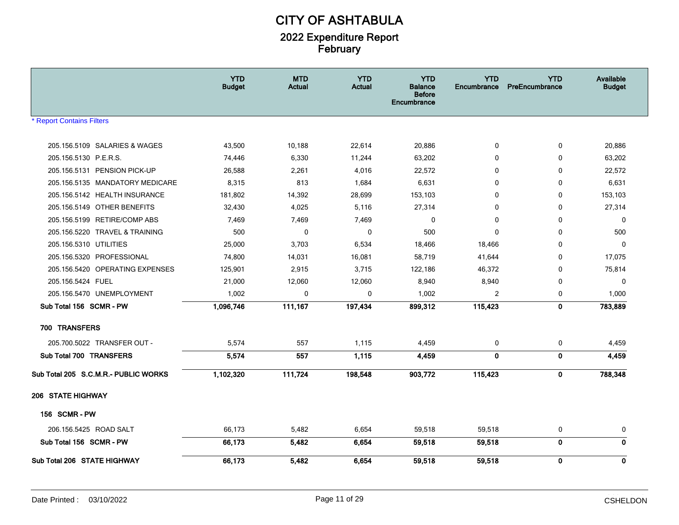|                                      | <b>YTD</b><br><b>Budget</b> | <b>MTD</b><br>Actual | <b>YTD</b><br><b>Actual</b> | <b>YTD</b><br><b>Balance</b><br><b>Before</b><br>Encumbrance | <b>YTD</b><br>Encumbrance | <b>YTD</b><br>PreEncumbrance | Available<br><b>Budget</b> |
|--------------------------------------|-----------------------------|----------------------|-----------------------------|--------------------------------------------------------------|---------------------------|------------------------------|----------------------------|
| <b>Report Contains Filters</b>       |                             |                      |                             |                                                              |                           |                              |                            |
| 205.156.5109 SALARIES & WAGES        | 43,500                      | 10,188               | 22,614                      | 20,886                                                       | 0                         | 0                            | 20,886                     |
| 205.156.5130 P.E.R.S.                | 74,446                      | 6,330                | 11,244                      | 63,202                                                       | 0                         | $\Omega$                     | 63,202                     |
| 205.156.5131 PENSION PICK-UP         | 26,588                      | 2,261                | 4,016                       | 22,572                                                       | 0                         | $\mathbf 0$                  | 22,572                     |
| 205.156.5135 MANDATORY MEDICARE      | 8,315                       | 813                  | 1,684                       | 6,631                                                        | 0                         | 0                            | 6,631                      |
| 205.156.5142 HEALTH INSURANCE        | 181,802                     | 14,392               | 28,699                      | 153,103                                                      | $\mathbf{0}$              | $\mathbf{0}$                 | 153,103                    |
| 205.156.5149 OTHER BENEFITS          | 32,430                      | 4,025                | 5,116                       | 27,314                                                       | 0                         | 0                            | 27,314                     |
| 205.156.5199 RETIRE/COMP ABS         | 7,469                       | 7,469                | 7,469                       | 0                                                            | $\mathbf{0}$              | $\mathbf 0$                  | $\mathbf 0$                |
| 205.156.5220 TRAVEL & TRAINING       | 500                         | $\mathbf 0$          | 0                           | 500                                                          | $\mathbf{0}$              | $\mathbf 0$                  | 500                        |
| 205.156.5310 UTILITIES               | 25,000                      | 3,703                | 6,534                       | 18,466                                                       | 18,466                    | 0                            | $\mathbf 0$                |
| 205.156.5320 PROFESSIONAL            | 74,800                      | 14,031               | 16,081                      | 58,719                                                       | 41,644                    | $\mathbf{0}$                 | 17,075                     |
| 205.156.5420 OPERATING EXPENSES      | 125,901                     | 2,915                | 3,715                       | 122,186                                                      | 46,372                    | 0                            | 75,814                     |
| 205.156.5424 FUEL                    | 21,000                      | 12,060               | 12,060                      | 8,940                                                        | 8,940                     | $\mathbf 0$                  | $\mathbf 0$                |
| 205.156.5470 UNEMPLOYMENT            | 1,002                       | 0                    | 0                           | 1,002                                                        | 2                         | 0                            | 1,000                      |
| Sub Total 156 SCMR - PW              | 1,096,746                   | 111,167              | 197,434                     | 899,312                                                      | 115,423                   | 0                            | 783,889                    |
| 700 TRANSFERS                        |                             |                      |                             |                                                              |                           |                              |                            |
| 205.700.5022 TRANSFER OUT -          | 5,574                       | 557                  | 1,115                       | 4,459                                                        | 0                         | 0                            | 4,459                      |
| Sub Total 700 TRANSFERS              | 5,574                       | 557                  | 1,115                       | 4,459                                                        | $\mathbf{0}$              | 0                            | 4,459                      |
| Sub Total 205 S.C.M.R.- PUBLIC WORKS | 1,102,320                   | 111,724              | 198,548                     | 903,772                                                      | 115,423                   | 0                            | 788,348                    |
| 206 STATE HIGHWAY                    |                             |                      |                             |                                                              |                           |                              |                            |
| 156 SCMR-PW                          |                             |                      |                             |                                                              |                           |                              |                            |
| 206.156.5425 ROAD SALT               | 66,173                      | 5,482                | 6,654                       | 59,518                                                       | 59,518                    | 0                            | 0                          |
| Sub Total 156 SCMR - PW              | 66,173                      | 5,482                | 6,654                       | 59,518                                                       | 59,518                    | 0                            | $\mathbf 0$                |
| Sub Total 206 STATE HIGHWAY          | 66,173                      | 5,482                | 6,654                       | 59,518                                                       | 59,518                    | 0                            | 0                          |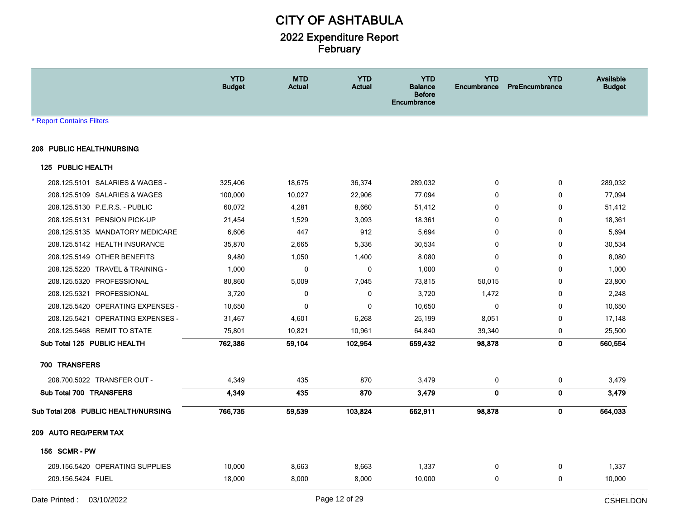|                                     | <b>YTD</b><br><b>Budget</b> | <b>MTD</b><br>Actual | <b>YTD</b><br><b>Actual</b> | <b>YTD</b><br>Balance<br><b>Before</b><br><b>Encumbrance</b> | <b>YTD</b><br>Encumbrance | <b>YTD</b><br><b>PreEncumbrance</b> | Available<br><b>Budget</b> |
|-------------------------------------|-----------------------------|----------------------|-----------------------------|--------------------------------------------------------------|---------------------------|-------------------------------------|----------------------------|
| * Report Contains Filters           |                             |                      |                             |                                                              |                           |                                     |                            |
| 208 PUBLIC HEALTH/NURSING           |                             |                      |                             |                                                              |                           |                                     |                            |
| 125 PUBLIC HEALTH                   |                             |                      |                             |                                                              |                           |                                     |                            |
| 208.125.5101 SALARIES & WAGES -     | 325,406                     | 18,675               | 36,374                      | 289,032                                                      | $\mathbf 0$               | 0                                   | 289,032                    |
| 208.125.5109 SALARIES & WAGES       | 100,000                     | 10,027               | 22,906                      | 77,094                                                       | 0                         | 0                                   | 77,094                     |
| 208.125.5130 P.E.R.S. - PUBLIC      | 60,072                      | 4,281                | 8,660                       | 51,412                                                       | 0                         | 0                                   | 51,412                     |
| 208.125.5131 PENSION PICK-UP        | 21,454                      | 1,529                | 3,093                       | 18,361                                                       | 0                         | 0                                   | 18,361                     |
| 208.125.5135 MANDATORY MEDICARE     | 6,606                       | 447                  | 912                         | 5,694                                                        | 0                         | 0                                   | 5,694                      |
| 208.125.5142 HEALTH INSURANCE       | 35,870                      | 2,665                | 5,336                       | 30,534                                                       | 0                         | 0                                   | 30,534                     |
| 208.125.5149 OTHER BENEFITS         | 9,480                       | 1,050                | 1,400                       | 8,080                                                        | $\mathbf{0}$              | $\mathbf 0$                         | 8,080                      |
| 208.125.5220 TRAVEL & TRAINING -    | 1,000                       | $\mathbf 0$          | $\mathbf 0$                 | 1,000                                                        | $\mathbf{0}$              | 0                                   | 1,000                      |
| 208.125.5320 PROFESSIONAL           | 80,860                      | 5,009                | 7,045                       | 73,815                                                       | 50,015                    | 0                                   | 23,800                     |
| 208.125.5321 PROFESSIONAL           | 3,720                       | 0                    | $\mathbf 0$                 | 3,720                                                        | 1,472                     | $\mathbf 0$                         | 2,248                      |
| 208.125.5420 OPERATING EXPENSES -   | 10,650                      | $\mathbf 0$          | $\mathbf 0$                 | 10,650                                                       | $\mathbf 0$               | 0                                   | 10,650                     |
| 208.125.5421 OPERATING EXPENSES -   | 31,467                      | 4,601                | 6,268                       | 25,199                                                       | 8,051                     | $\mathbf 0$                         | 17,148                     |
| 208.125.5468 REMIT TO STATE         | 75,801                      | 10,821               | 10,961                      | 64,840                                                       | 39,340                    | 0                                   | 25,500                     |
| Sub Total 125 PUBLIC HEALTH         | 762,386                     | 59,104               | 102,954                     | 659,432                                                      | 98,878                    | $\mathbf 0$                         | 560,554                    |
| 700 TRANSFERS                       |                             |                      |                             |                                                              |                           |                                     |                            |
| 208.700.5022 TRANSFER OUT -         | 4,349                       | 435                  | 870                         | 3,479                                                        | 0                         | $\mathbf 0$                         | 3,479                      |
| Sub Total 700 TRANSFERS             | 4,349                       | 435                  | 870                         | 3,479                                                        | $\mathbf 0$               | $\mathbf 0$                         | 3,479                      |
| Sub Total 208 PUBLIC HEALTH/NURSING | 766,735                     | 59,539               | 103,824                     | 662,911                                                      | 98,878                    | $\bf{0}$                            | 564,033                    |
| 209 AUTO REG/PERM TAX               |                             |                      |                             |                                                              |                           |                                     |                            |
| <b>156 SCMR-PW</b>                  |                             |                      |                             |                                                              |                           |                                     |                            |
| 209.156.5420 OPERATING SUPPLIES     | 10,000                      | 8,663                | 8,663                       | 1,337                                                        | 0                         | 0                                   | 1,337                      |
| 209.156.5424 FUEL                   | 18,000                      | 8,000                | 8,000                       | 10,000                                                       | 0                         | 0                                   | 10,000                     |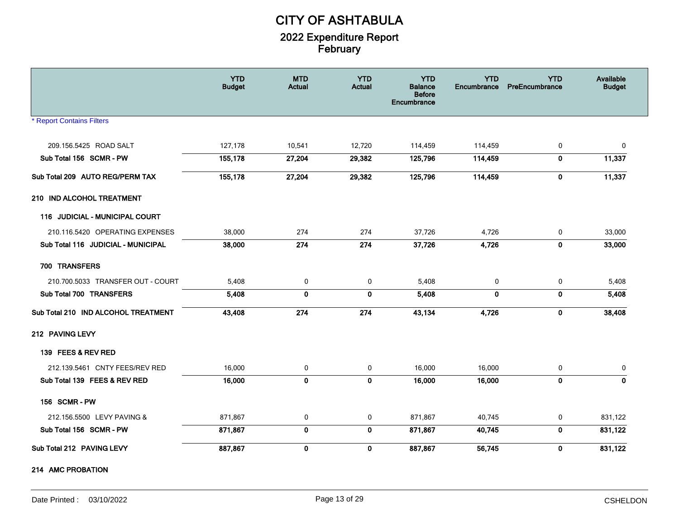|                                     | <b>YTD</b><br><b>Budget</b> | <b>MTD</b><br><b>Actual</b> | <b>YTD</b><br><b>Actual</b> | <b>YTD</b><br><b>Balance</b><br><b>Before</b><br>Encumbrance | <b>YTD</b><br>Encumbrance | <b>YTD</b><br>PreEncumbrance | Available<br><b>Budget</b> |
|-------------------------------------|-----------------------------|-----------------------------|-----------------------------|--------------------------------------------------------------|---------------------------|------------------------------|----------------------------|
| <b>* Report Contains Filters</b>    |                             |                             |                             |                                                              |                           |                              |                            |
| 209.156.5425 ROAD SALT              | 127,178                     | 10,541                      | 12,720                      | 114,459                                                      | 114,459                   | 0                            | 0                          |
| Sub Total 156 SCMR - PW             | 155,178                     | 27,204                      | 29,382                      | 125,796                                                      | 114,459                   | $\mathbf 0$                  | 11,337                     |
| Sub Total 209 AUTO REG/PERM TAX     | 155,178                     | 27,204                      | 29,382                      | 125,796                                                      | 114,459                   | $\mathbf 0$                  | 11,337                     |
| 210 IND ALCOHOL TREATMENT           |                             |                             |                             |                                                              |                           |                              |                            |
| 116 JUDICIAL - MUNICIPAL COURT      |                             |                             |                             |                                                              |                           |                              |                            |
| 210.116.5420 OPERATING EXPENSES     | 38,000                      | 274                         | 274                         | 37,726                                                       | 4,726                     | 0                            | 33,000                     |
| Sub Total 116 JUDICIAL - MUNICIPAL  | 38,000                      | 274                         | 274                         | 37,726                                                       | 4,726                     | $\mathbf 0$                  | 33,000                     |
| 700 TRANSFERS                       |                             |                             |                             |                                                              |                           |                              |                            |
| 210.700.5033 TRANSFER OUT - COURT   | 5,408                       | 0                           | 0                           | 5,408                                                        | 0                         | 0                            | 5,408                      |
| Sub Total 700 TRANSFERS             | 5,408                       | $\bf{0}$                    | $\mathbf 0$                 | 5,408                                                        | $\mathbf{0}$              | $\mathbf 0$                  | 5,408                      |
| Sub Total 210 IND ALCOHOL TREATMENT | 43,408                      | 274                         | 274                         | 43,134                                                       | 4,726                     | $\mathbf 0$                  | 38,408                     |
| 212 PAVING LEVY                     |                             |                             |                             |                                                              |                           |                              |                            |
| 139 FEES & REV RED                  |                             |                             |                             |                                                              |                           |                              |                            |
| 212.139.5461 CNTY FEES/REV RED      | 16,000                      | 0                           | 0                           | 16,000                                                       | 16,000                    | 0                            | 0                          |
| Sub Total 139 FEES & REV RED        | 16,000                      | $\pmb{0}$                   | $\mathbf 0$                 | 16,000                                                       | 16,000                    | $\mathbf 0$                  | $\mathbf{0}$               |
| 156 SCMR-PW                         |                             |                             |                             |                                                              |                           |                              |                            |
| 212.156.5500 LEVY PAVING &          | 871,867                     | 0                           | 0                           | 871,867                                                      | 40,745                    | 0                            | 831,122                    |
| Sub Total 156 SCMR - PW             | 871,867                     | $\mathbf 0$                 | $\mathbf 0$                 | 871,867                                                      | 40,745                    | $\mathbf{0}$                 | 831,122                    |
| Sub Total 212 PAVING LEVY           | 887,867                     | $\mathbf 0$                 | $\mathbf 0$                 | 887,867                                                      | 56,745                    | $\mathbf 0$                  | 831,122                    |
| 214 AMC PROBATION                   |                             |                             |                             |                                                              |                           |                              |                            |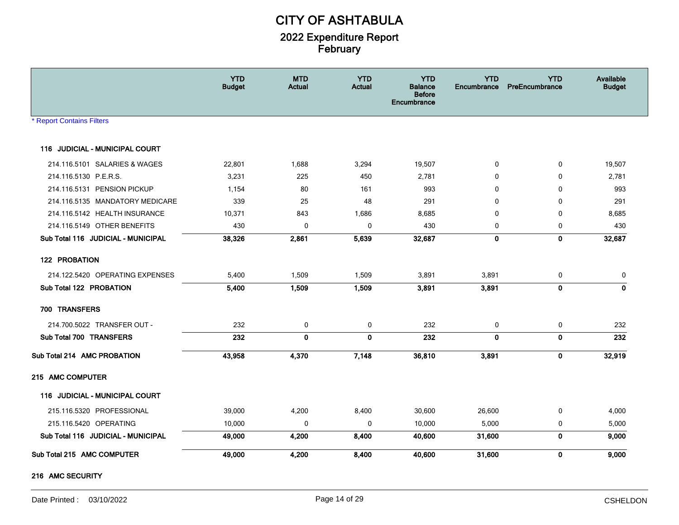|                                    | <b>YTD</b><br><b>Budget</b> | <b>MTD</b><br><b>Actual</b> | <b>YTD</b><br><b>Actual</b> | <b>YTD</b><br><b>Balance</b><br><b>Before</b><br>Encumbrance | <b>YTD</b><br>Encumbrance | <b>YTD</b><br>PreEncumbrance | Available<br><b>Budget</b> |
|------------------------------------|-----------------------------|-----------------------------|-----------------------------|--------------------------------------------------------------|---------------------------|------------------------------|----------------------------|
| Report Contains Filters            |                             |                             |                             |                                                              |                           |                              |                            |
| 116 JUDICIAL - MUNICIPAL COURT     |                             |                             |                             |                                                              |                           |                              |                            |
| 214.116.5101 SALARIES & WAGES      | 22,801                      | 1,688                       | 3,294                       | 19,507                                                       | 0                         | 0                            | 19,507                     |
| 214.116.5130 P.E.R.S.              | 3,231                       | 225                         | 450                         | 2,781                                                        | 0                         | 0                            | 2,781                      |
| 214.116.5131 PENSION PICKUP        | 1,154                       | 80                          | 161                         | 993                                                          | $\mathbf{0}$              | 0                            | 993                        |
| 214.116.5135 MANDATORY MEDICARE    | 339                         | 25                          | 48                          | 291                                                          | 0                         | $\mathbf 0$                  | 291                        |
| 214.116.5142 HEALTH INSURANCE      | 10,371                      | 843                         | 1,686                       | 8,685                                                        | 0                         | 0                            | 8,685                      |
| 214.116.5149 OTHER BENEFITS        | 430                         | 0                           | $\mathbf 0$                 | 430                                                          | 0                         | 0                            | 430                        |
| Sub Total 116 JUDICIAL - MUNICIPAL | 38,326                      | 2,861                       | 5,639                       | 32,687                                                       | $\bf{0}$                  | $\mathbf 0$                  | 32,687                     |
| 122 PROBATION                      |                             |                             |                             |                                                              |                           |                              |                            |
| 214.122.5420 OPERATING EXPENSES    | 5,400                       | 1,509                       | 1,509                       | 3,891                                                        | 3,891                     | 0                            | 0                          |
| Sub Total 122 PROBATION            | 5,400                       | 1,509                       | 1,509                       | 3,891                                                        | 3,891                     | $\mathbf{0}$                 | $\mathbf{0}$               |
| 700 TRANSFERS                      |                             |                             |                             |                                                              |                           |                              |                            |
| 214.700.5022 TRANSFER OUT -        | 232                         | 0                           | 0                           | 232                                                          | $\mathbf 0$               | 0                            | 232                        |
| Sub Total 700 TRANSFERS            | 232                         | $\mathbf 0$                 | $\mathbf 0$                 | 232                                                          | $\mathbf 0$               | $\mathbf 0$                  | 232                        |
| Sub Total 214 AMC PROBATION        | 43,958                      | 4,370                       | 7,148                       | 36,810                                                       | 3,891                     | $\mathbf 0$                  | 32,919                     |
| 215 AMC COMPUTER                   |                             |                             |                             |                                                              |                           |                              |                            |
| 116 JUDICIAL - MUNICIPAL COURT     |                             |                             |                             |                                                              |                           |                              |                            |
| 215.116.5320 PROFESSIONAL          | 39,000                      | 4,200                       | 8,400                       | 30,600                                                       | 26,600                    | 0                            | 4,000                      |
| 215.116.5420 OPERATING             | 10,000                      | 0                           | 0                           | 10,000                                                       | 5,000                     | 0                            | 5,000                      |
| Sub Total 116 JUDICIAL - MUNICIPAL | 49,000                      | 4,200                       | 8,400                       | 40,600                                                       | 31,600                    | $\mathbf 0$                  | 9,000                      |
| Sub Total 215 AMC COMPUTER         | 49,000                      | 4,200                       | 8,400                       | 40,600                                                       | 31,600                    | 0                            | 9,000                      |

#### 216 AMC SECURITY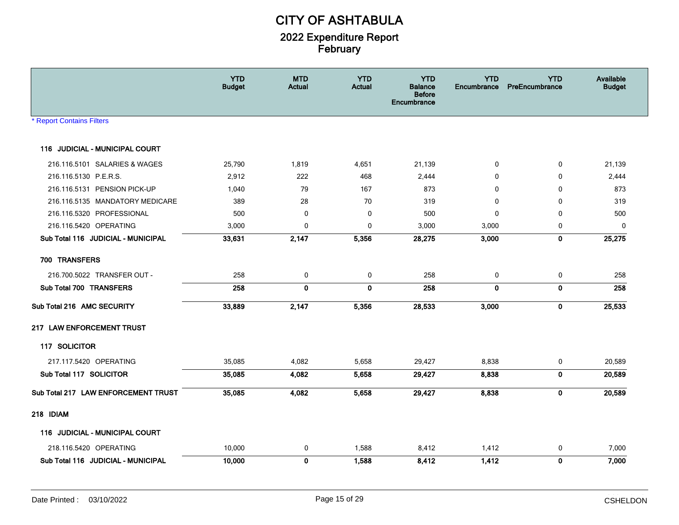|                                     | <b>YTD</b><br><b>Budget</b> | <b>MTD</b><br><b>Actual</b> | <b>YTD</b><br><b>Actual</b> | <b>YTD</b><br><b>Balance</b><br><b>Before</b><br>Encumbrance | <b>YTD</b><br><b>Encumbrance</b> | <b>YTD</b><br>PreEncumbrance | <b>Available</b><br><b>Budget</b> |
|-------------------------------------|-----------------------------|-----------------------------|-----------------------------|--------------------------------------------------------------|----------------------------------|------------------------------|-----------------------------------|
| * Report Contains Filters           |                             |                             |                             |                                                              |                                  |                              |                                   |
| 116 JUDICIAL - MUNICIPAL COURT      |                             |                             |                             |                                                              |                                  |                              |                                   |
| 216.116.5101 SALARIES & WAGES       | 25,790                      | 1,819                       | 4,651                       | 21,139                                                       | 0                                | 0                            | 21,139                            |
| 216.116.5130 P.E.R.S.               | 2,912                       | 222                         | 468                         | 2,444                                                        | 0                                | 0                            | 2,444                             |
| 216.116.5131 PENSION PICK-UP        | 1,040                       | 79                          | 167                         | 873                                                          | $\mathbf{0}$                     | $\Omega$                     | 873                               |
| 216.116.5135 MANDATORY MEDICARE     | 389                         | 28                          | 70                          | 319                                                          | 0                                | 0                            | 319                               |
| 216.116.5320 PROFESSIONAL           | 500                         | $\mathbf 0$                 | $\pmb{0}$                   | 500                                                          | $\mathbf{0}$                     | 0                            | 500                               |
| 216.116.5420 OPERATING              | 3,000                       | $\mathbf 0$                 | 0                           | 3,000                                                        | 3,000                            | 0                            | 0                                 |
| Sub Total 116 JUDICIAL - MUNICIPAL  | 33,631                      | 2,147                       | 5,356                       | 28,275                                                       | 3,000                            | $\mathbf 0$                  | 25,275                            |
| 700 TRANSFERS                       |                             |                             |                             |                                                              |                                  |                              |                                   |
| 216.700.5022 TRANSFER OUT -         | 258                         | $\mathbf 0$                 | $\mathbf 0$                 | 258                                                          | $\mathbf 0$                      | $\mathbf 0$                  | 258                               |
| Sub Total 700 TRANSFERS             | 258                         | $\mathbf 0$                 | $\mathbf 0$                 | 258                                                          | $\mathbf 0$                      | $\bf{0}$                     | 258                               |
| Sub Total 216 AMC SECURITY          | 33,889                      | 2,147                       | 5,356                       | 28,533                                                       | 3,000                            | $\mathbf 0$                  | 25,533                            |
| 217 LAW ENFORCEMENT TRUST           |                             |                             |                             |                                                              |                                  |                              |                                   |
| 117 SOLICITOR                       |                             |                             |                             |                                                              |                                  |                              |                                   |
| 217.117.5420 OPERATING              | 35,085                      | 4,082                       | 5,658                       | 29,427                                                       | 8,838                            | 0                            | 20,589                            |
| Sub Total 117 SOLICITOR             | 35,085                      | 4,082                       | 5,658                       | 29,427                                                       | 8,838                            | 0                            | 20,589                            |
| Sub Total 217 LAW ENFORCEMENT TRUST | 35,085                      | 4,082                       | 5,658                       | 29,427                                                       | 8,838                            | $\mathbf 0$                  | 20,589                            |
| 218 IDIAM                           |                             |                             |                             |                                                              |                                  |                              |                                   |
| 116 JUDICIAL - MUNICIPAL COURT      |                             |                             |                             |                                                              |                                  |                              |                                   |
| 218.116.5420 OPERATING              | 10,000                      | 0                           | 1,588                       | 8,412                                                        | 1,412                            | 0                            | 7,000                             |
| Sub Total 116 JUDICIAL - MUNICIPAL  | 10,000                      | $\mathbf 0$                 | 1,588                       | 8,412                                                        | 1,412                            | $\mathbf 0$                  | 7,000                             |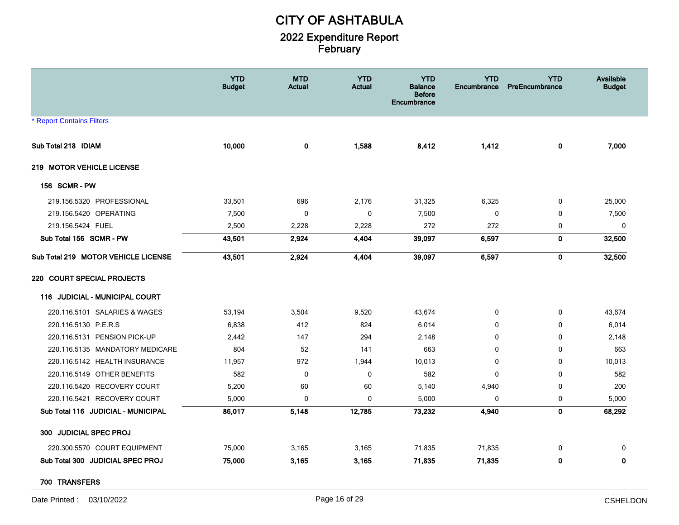|                                     | <b>YTD</b><br><b>Budget</b> | <b>MTD</b><br><b>Actual</b> | <b>YTD</b><br><b>Actual</b> | <b>YTD</b><br><b>Balance</b><br><b>Before</b><br>Encumbrance | <b>YTD</b><br>Encumbrance | <b>YTD</b><br>PreEncumbrance | Available<br><b>Budget</b> |
|-------------------------------------|-----------------------------|-----------------------------|-----------------------------|--------------------------------------------------------------|---------------------------|------------------------------|----------------------------|
| <b>* Report Contains Filters</b>    |                             |                             |                             |                                                              |                           |                              |                            |
| Sub Total 218 IDIAM                 | 10,000                      | $\mathbf 0$                 | 1,588                       | 8,412                                                        | 1,412                     | $\mathbf 0$                  | 7,000                      |
| 219 MOTOR VEHICLE LICENSE           |                             |                             |                             |                                                              |                           |                              |                            |
| 156 SCMR-PW                         |                             |                             |                             |                                                              |                           |                              |                            |
| 219.156.5320 PROFESSIONAL           | 33,501                      | 696                         | 2,176                       | 31,325                                                       | 6,325                     | 0                            | 25,000                     |
| 219.156.5420 OPERATING              | 7,500                       | $\mathbf 0$                 | $\pmb{0}$                   | 7,500                                                        | $\mathbf 0$               | $\mathbf 0$                  | 7,500                      |
| 219.156.5424 FUEL                   | 2,500                       | 2,228                       | 2,228                       | 272                                                          | 272                       | 0                            | 0                          |
| Sub Total 156 SCMR - PW             | 43,501                      | 2,924                       | 4,404                       | 39,097                                                       | 6,597                     | $\mathbf 0$                  | 32,500                     |
| Sub Total 219 MOTOR VEHICLE LICENSE | 43,501                      | 2,924                       | 4,404                       | 39,097                                                       | 6,597                     | $\mathbf 0$                  | 32,500                     |
| 220 COURT SPECIAL PROJECTS          |                             |                             |                             |                                                              |                           |                              |                            |
| 116 JUDICIAL - MUNICIPAL COURT      |                             |                             |                             |                                                              |                           |                              |                            |
| 220.116.5101 SALARIES & WAGES       | 53,194                      | 3,504                       | 9,520                       | 43,674                                                       | 0                         | $\mathbf 0$                  | 43,674                     |
| 220.116.5130 P.E.R.S                | 6,838                       | 412                         | 824                         | 6,014                                                        | $\mathbf{0}$              | $\Omega$                     | 6,014                      |
| 220.116.5131 PENSION PICK-UP        | 2,442                       | 147                         | 294                         | 2,148                                                        | $\mathbf 0$               | $\Omega$                     | 2,148                      |
| 220.116.5135 MANDATORY MEDICARE     | 804                         | 52                          | 141                         | 663                                                          | $\mathbf 0$               | $\mathbf 0$                  | 663                        |
| 220.116.5142 HEALTH INSURANCE       | 11,957                      | 972                         | 1,944                       | 10,013                                                       | 0                         | $\mathbf 0$                  | 10,013                     |
| 220.116.5149 OTHER BENEFITS         | 582                         | $\mathbf 0$                 | 0                           | 582                                                          | 0                         | $\Omega$                     | 582                        |
| 220.116.5420 RECOVERY COURT         | 5,200                       | 60                          | 60                          | 5,140                                                        | 4,940                     | $\mathbf 0$                  | 200                        |
| 220.116.5421 RECOVERY COURT         | 5,000                       | $\mathbf 0$                 | 0                           | 5,000                                                        | 0                         | $\mathbf 0$                  | 5,000                      |
| Sub Total 116 JUDICIAL - MUNICIPAL  | 86,017                      | 5,148                       | 12,785                      | 73,232                                                       | 4,940                     | $\mathbf 0$                  | 68,292                     |
| 300 JUDICIAL SPEC PROJ              |                             |                             |                             |                                                              |                           |                              |                            |
| 220.300.5570 COURT EQUIPMENT        | 75,000                      | 3,165                       | 3,165                       | 71,835                                                       | 71,835                    | 0                            | 0                          |
| Sub Total 300 JUDICIAL SPEC PROJ    | 75,000                      | 3,165                       | 3,165                       | 71,835                                                       | 71,835                    | $\mathbf 0$                  | 0                          |

700 TRANSFERS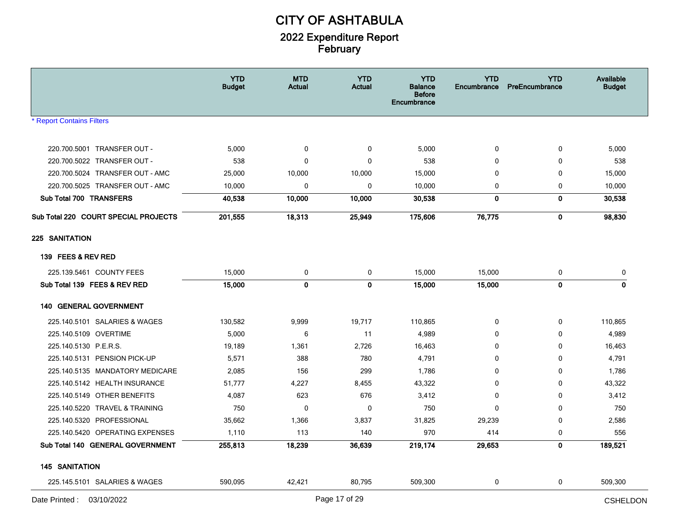|                                      | <b>YTD</b><br><b>Budget</b> | <b>MTD</b><br><b>Actual</b> | <b>YTD</b><br><b>Actual</b> | <b>YTD</b><br><b>Balance</b><br><b>Before</b><br>Encumbrance | <b>YTD</b><br>Encumbrance | <b>YTD</b><br>PreEncumbrance | Available<br><b>Budget</b> |
|--------------------------------------|-----------------------------|-----------------------------|-----------------------------|--------------------------------------------------------------|---------------------------|------------------------------|----------------------------|
| * Report Contains Filters            |                             |                             |                             |                                                              |                           |                              |                            |
| 220.700.5001 TRANSFER OUT -          | 5,000                       | 0                           | 0                           | 5,000                                                        | 0                         | 0                            | 5,000                      |
| 220.700.5022 TRANSFER OUT -          | 538                         | 0                           | $\mathbf 0$                 | 538                                                          | $\mathbf 0$               | 0                            | 538                        |
| 220.700.5024 TRANSFER OUT - AMC      | 25,000                      | 10,000                      | 10,000                      | 15,000                                                       | 0                         | 0                            | 15,000                     |
| 220.700.5025 TRANSFER OUT - AMC      | 10,000                      | 0                           | $\boldsymbol{0}$            | 10,000                                                       | 0                         | $\mathbf 0$                  | 10,000                     |
| Sub Total 700 TRANSFERS              | 40,538                      | 10,000                      | 10,000                      | 30,538                                                       | 0                         | 0                            | 30,538                     |
| Sub Total 220 COURT SPECIAL PROJECTS | 201,555                     | 18,313                      | 25,949                      | 175,606                                                      | 76,775                    | $\mathbf{0}$                 | 98,830                     |
| 225 SANITATION                       |                             |                             |                             |                                                              |                           |                              |                            |
| 139 FEES & REV RED                   |                             |                             |                             |                                                              |                           |                              |                            |
| 225.139.5461 COUNTY FEES             | 15,000                      | 0                           | 0                           | 15,000                                                       | 15,000                    | 0                            | 0                          |
| Sub Total 139 FEES & REV RED         | 15,000                      | $\mathbf 0$                 | $\mathbf 0$                 | 15,000                                                       | 15,000                    | $\mathbf{0}$                 | $\mathbf{0}$               |
| <b>140 GENERAL GOVERNMENT</b>        |                             |                             |                             |                                                              |                           |                              |                            |
| 225.140.5101 SALARIES & WAGES        | 130,582                     | 9,999                       | 19,717                      | 110,865                                                      | 0                         | 0                            | 110,865                    |
| 225.140.5109 OVERTIME                | 5,000                       | 6                           | 11                          | 4,989                                                        | $\Omega$                  | 0                            | 4,989                      |
| 225.140.5130 P.E.R.S.                | 19,189                      | 1,361                       | 2,726                       | 16,463                                                       | $\Omega$                  | 0                            | 16,463                     |
| 225.140.5131 PENSION PICK-UP         | 5,571                       | 388                         | 780                         | 4,791                                                        | 0                         | 0                            | 4,791                      |
| 225.140.5135 MANDATORY MEDICARE      | 2,085                       | 156                         | 299                         | 1,786                                                        | 0                         | 0                            | 1,786                      |
| 225.140.5142 HEALTH INSURANCE        | 51,777                      | 4,227                       | 8,455                       | 43,322                                                       | 0                         | $\mathbf 0$                  | 43,322                     |
| 225.140.5149 OTHER BENEFITS          | 4,087                       | 623                         | 676                         | 3,412                                                        | $\mathbf 0$               | 0                            | 3,412                      |
| 225.140.5220 TRAVEL & TRAINING       | 750                         | 0                           | 0                           | 750                                                          | $\mathbf{0}$              | 0                            | 750                        |
| 225.140.5320 PROFESSIONAL            | 35,662                      | 1,366                       | 3,837                       | 31,825                                                       | 29,239                    | 0                            | 2,586                      |
| 225.140.5420 OPERATING EXPENSES      | 1,110                       | 113                         | 140                         | 970                                                          | 414                       | 0                            | 556                        |
| Sub Total 140 GENERAL GOVERNMENT     | 255,813                     | 18,239                      | 36,639                      | 219,174                                                      | 29,653                    | 0                            | 189,521                    |
| <b>145 SANITATION</b>                |                             |                             |                             |                                                              |                           |                              |                            |
| 225.145.5101 SALARIES & WAGES        | 590,095                     | 42,421                      | 80,795                      | 509,300                                                      | 0                         | 0                            | 509,300                    |
| Date Printed: 03/10/2022             |                             |                             | Page 17 of 29               |                                                              |                           |                              | <b>CSHELDON</b>            |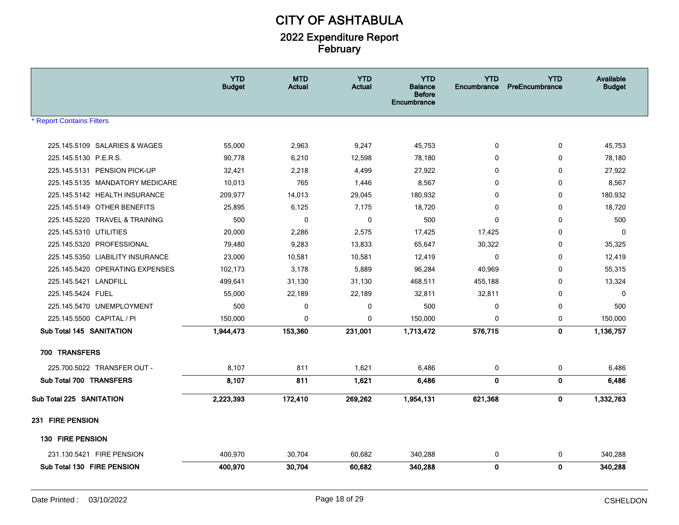|                                  | <b>YTD</b><br><b>Budget</b> | <b>MTD</b><br><b>Actual</b> | <b>YTD</b><br><b>Actual</b> | <b>YTD</b><br><b>Balance</b><br><b>Before</b><br>Encumbrance | <b>YTD</b><br><b>Encumbrance</b> | <b>YTD</b><br>PreEncumbrance | Available<br><b>Budget</b> |
|----------------------------------|-----------------------------|-----------------------------|-----------------------------|--------------------------------------------------------------|----------------------------------|------------------------------|----------------------------|
| * Report Contains Filters        |                             |                             |                             |                                                              |                                  |                              |                            |
| 225.145.5109 SALARIES & WAGES    | 55,000                      | 2,963                       | 9,247                       | 45,753                                                       | 0                                | 0                            | 45,753                     |
| 225.145.5130 P.E.R.S.            | 90,778                      | 6,210                       | 12,598                      | 78,180                                                       | $\mathbf{0}$                     | $\mathbf 0$                  | 78,180                     |
| 225.145.5131 PENSION PICK-UP     | 32,421                      | 2,218                       | 4,499                       | 27,922                                                       | 0                                | $\mathbf 0$                  | 27,922                     |
| 225.145.5135 MANDATORY MEDICARE  | 10,013                      | 765                         | 1,446                       | 8,567                                                        | $\mathbf{0}$                     | 0                            | 8,567                      |
| 225.145.5142 HEALTH INSURANCE    | 209,977                     | 14,013                      | 29,045                      | 180,932                                                      | $\mathbf{0}$                     | 0                            | 180,932                    |
| 225.145.5149 OTHER BENEFITS      | 25,895                      | 6,125                       | 7,175                       | 18,720                                                       | $\Omega$                         | $\mathbf{0}$                 | 18,720                     |
| 225.145.5220 TRAVEL & TRAINING   | 500                         | $\mathbf{0}$                | $\mathbf 0$                 | 500                                                          | $\mathbf{0}$                     | $\mathbf 0$                  | 500                        |
| 225.145.5310 UTILITIES           | 20,000                      | 2,286                       | 2,575                       | 17,425                                                       | 17,425                           | 0                            | $\mathbf 0$                |
| 225.145.5320 PROFESSIONAL        | 79,480                      | 9,283                       | 13,833                      | 65,647                                                       | 30,322                           | 0                            | 35,325                     |
| 225.145.5350 LIABILITY INSURANCE | 23,000                      | 10,581                      | 10,581                      | 12,419                                                       | 0                                | $\mathbf{0}$                 | 12,419                     |
| 225.145.5420 OPERATING EXPENSES  | 102,173                     | 3,178                       | 5,889                       | 96,284                                                       | 40,969                           | 0                            | 55,315                     |
| 225.145.5421 LANDFILL            | 499,641                     | 31,130                      | 31,130                      | 468,511                                                      | 455,188                          | 0                            | 13,324                     |
| 225.145.5424 FUEL                | 55,000                      | 22,189                      | 22,189                      | 32,811                                                       | 32,811                           | 0                            | 0                          |
| 225.145.5470 UNEMPLOYMENT        | 500                         | $\mathbf 0$                 | 0                           | 500                                                          | $\mathbf 0$                      | $\mathbf 0$                  | 500                        |
| 225.145.5500 CAPITAL / PI        | 150,000                     | $\mathbf 0$                 | 0                           | 150,000                                                      | 0                                | 0                            | 150,000                    |
| Sub Total 145 SANITATION         | 1,944,473                   | 153,360                     | 231,001                     | 1,713,472                                                    | 576,715                          | $\mathbf 0$                  | 1,136,757                  |
| 700 TRANSFERS                    |                             |                             |                             |                                                              |                                  |                              |                            |
| 225.700.5022 TRANSFER OUT -      | 8,107                       | 811                         | 1,621                       | 6,486                                                        | 0                                | $\pmb{0}$                    | 6,486                      |
| Sub Total 700 TRANSFERS          | 8,107                       | 811                         | 1,621                       | 6,486                                                        | $\mathbf{0}$                     | 0                            | 6,486                      |
| Sub Total 225 SANITATION         | 2,223,393                   | 172,410                     | 269,262                     | 1,954,131                                                    | 621,368                          | 0                            | 1,332,763                  |
| 231 FIRE PENSION                 |                             |                             |                             |                                                              |                                  |                              |                            |
| 130 FIRE PENSION                 |                             |                             |                             |                                                              |                                  |                              |                            |
| 231.130.5421 FIRE PENSION        | 400,970                     | 30,704                      | 60,682                      | 340,288                                                      | 0                                | 0                            | 340,288                    |
| Sub Total 130 FIRE PENSION       | 400,970                     | 30,704                      | 60,682                      | 340,288                                                      | $\mathbf{0}$                     | $\mathbf{0}$                 | 340,288                    |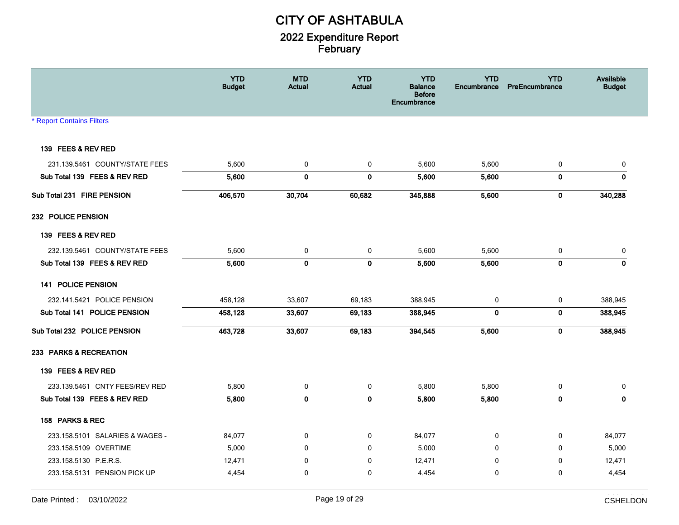|                                  | <b>YTD</b><br><b>Budget</b> | <b>MTD</b><br><b>Actual</b> | <b>YTD</b><br><b>Actual</b> | <b>YTD</b><br><b>Balance</b><br><b>Before</b><br>Encumbrance | <b>YTD</b><br>Encumbrance | <b>YTD</b><br>PreEncumbrance | Available<br><b>Budget</b> |
|----------------------------------|-----------------------------|-----------------------------|-----------------------------|--------------------------------------------------------------|---------------------------|------------------------------|----------------------------|
| <b>* Report Contains Filters</b> |                             |                             |                             |                                                              |                           |                              |                            |
| 139 FEES & REV RED               |                             |                             |                             |                                                              |                           |                              |                            |
| 231.139.5461 COUNTY/STATE FEES   | 5,600                       | 0                           | 0                           | 5,600                                                        | 5,600                     | 0                            | 0                          |
| Sub Total 139 FEES & REV RED     | 5,600                       | $\mathbf 0$                 | $\mathbf 0$                 | 5,600                                                        | 5,600                     | $\mathbf 0$                  | $\mathbf 0$                |
| Sub Total 231 FIRE PENSION       | 406,570                     | 30,704                      | 60,682                      | 345,888                                                      | 5,600                     | 0                            | 340,288                    |
| 232 POLICE PENSION               |                             |                             |                             |                                                              |                           |                              |                            |
| 139 FEES & REV RED               |                             |                             |                             |                                                              |                           |                              |                            |
| 232.139.5461 COUNTY/STATE FEES   | 5,600                       | $\mathbf 0$                 | 0                           | 5,600                                                        | 5,600                     | $\mathbf 0$                  | $\pmb{0}$                  |
| Sub Total 139 FEES & REV RED     | 5,600                       | $\mathbf 0$                 | $\mathbf 0$                 | 5,600                                                        | 5,600                     | $\pmb{0}$                    | $\mathbf 0$                |
| 141 POLICE PENSION               |                             |                             |                             |                                                              |                           |                              |                            |
| 232.141.5421 POLICE PENSION      | 458,128                     | 33,607                      | 69,183                      | 388,945                                                      | 0                         | $\mathbf 0$                  | 388,945                    |
| Sub Total 141 POLICE PENSION     | 458,128                     | 33,607                      | 69,183                      | 388,945                                                      | $\mathbf 0$               | $\mathbf 0$                  | 388,945                    |
| Sub Total 232 POLICE PENSION     | 463,728                     | 33,607                      | 69,183                      | 394,545                                                      | 5,600                     | $\pmb{0}$                    | 388,945                    |
| 233 PARKS & RECREATION           |                             |                             |                             |                                                              |                           |                              |                            |
| 139 FEES & REV RED               |                             |                             |                             |                                                              |                           |                              |                            |
| 233.139.5461 CNTY FEES/REV RED   | 5,800                       | 0                           | 0                           | 5,800                                                        | 5,800                     | 0                            | 0                          |
| Sub Total 139 FEES & REV RED     | 5,800                       | $\mathbf 0$                 | $\pmb{0}$                   | 5,800                                                        | 5,800                     | $\pmb{0}$                    | $\mathbf 0$                |
| 158 PARKS & REC                  |                             |                             |                             |                                                              |                           |                              |                            |
| 233.158.5101 SALARIES & WAGES -  | 84,077                      | $\mathbf 0$                 | $\mathbf 0$                 | 84,077                                                       | 0                         | 0                            | 84,077                     |
| 233.158.5109 OVERTIME            | 5,000                       | $\Omega$                    | $\mathbf 0$                 | 5,000                                                        | $\Omega$                  | $\Omega$                     | 5,000                      |
| 233.158.5130 P.E.R.S.            | 12,471                      | $\Omega$                    | 0                           | 12,471                                                       | $\Omega$                  | $\Omega$                     | 12,471                     |
| 233.158.5131 PENSION PICK UP     | 4,454                       | $\mathbf 0$                 | 0                           | 4,454                                                        | $\Omega$                  | $\mathbf{0}$                 | 4,454                      |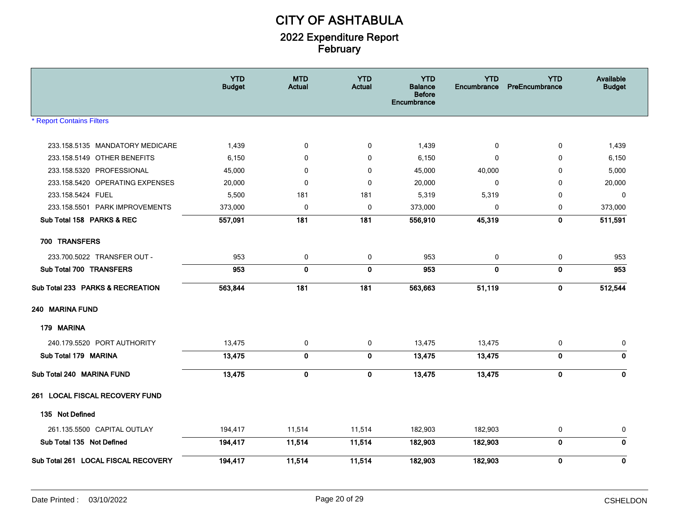|                                     | <b>YTD</b><br><b>Budget</b> | <b>MTD</b><br><b>Actual</b> | <b>YTD</b><br><b>Actual</b> | <b>YTD</b><br><b>Balance</b><br><b>Before</b><br>Encumbrance | <b>YTD</b><br>Encumbrance | <b>YTD</b><br>PreEncumbrance | Available<br><b>Budget</b> |
|-------------------------------------|-----------------------------|-----------------------------|-----------------------------|--------------------------------------------------------------|---------------------------|------------------------------|----------------------------|
| <b>* Report Contains Filters</b>    |                             |                             |                             |                                                              |                           |                              |                            |
| 233.158.5135 MANDATORY MEDICARE     | 1,439                       | 0                           | 0                           | 1,439                                                        | 0                         | 0                            | 1,439                      |
| 233.158.5149 OTHER BENEFITS         | 6,150                       | $\mathbf 0$                 | $\mathbf 0$                 | 6,150                                                        | $\mathbf{0}$              | $\Omega$                     | 6,150                      |
| 233.158.5320 PROFESSIONAL           | 45,000                      | $\mathbf 0$                 | 0                           | 45,000                                                       | 40,000                    | $\mathbf 0$                  | 5,000                      |
| 233.158.5420 OPERATING EXPENSES     | 20,000                      | $\Omega$                    | $\mathbf 0$                 | 20,000                                                       | $\mathbf{0}$              | $\Omega$                     | 20,000                     |
| 233.158.5424 FUEL                   | 5,500                       | 181                         | 181                         | 5,319                                                        | 5,319                     | $\Omega$                     | $\mathbf 0$                |
| 233.158.5501 PARK IMPROVEMENTS      | 373,000                     | 0                           | $\pmb{0}$                   | 373,000                                                      | 0                         | 0                            | 373,000                    |
| Sub Total 158 PARKS & REC           | 557,091                     | 181                         | 181                         | 556,910                                                      | 45,319                    | $\mathbf 0$                  | 511,591                    |
| 700 TRANSFERS                       |                             |                             |                             |                                                              |                           |                              |                            |
| 233.700.5022 TRANSFER OUT -         | 953                         | 0                           | 0                           | 953                                                          | 0                         | 0                            | 953                        |
| Sub Total 700 TRANSFERS             | 953                         | $\mathbf 0$                 | $\mathbf 0$                 | 953                                                          | $\mathbf{0}$              | $\mathbf 0$                  | 953                        |
| Sub Total 233 PARKS & RECREATION    | 563,844                     | 181                         | 181                         | 563,663                                                      | 51,119                    | $\mathbf 0$                  | 512,544                    |
| 240 MARINA FUND                     |                             |                             |                             |                                                              |                           |                              |                            |
| 179 MARINA                          |                             |                             |                             |                                                              |                           |                              |                            |
| 240.179.5520 PORT AUTHORITY         | 13,475                      | 0                           | 0                           | 13,475                                                       | 13,475                    | 0                            | 0                          |
| Sub Total 179 MARINA                | 13,475                      | $\mathbf 0$                 | $\mathbf 0$                 | 13,475                                                       | 13,475                    | $\mathbf 0$                  | $\mathbf 0$                |
| Sub Total 240 MARINA FUND           | 13,475                      | $\mathbf 0$                 | $\mathbf 0$                 | 13,475                                                       | 13,475                    | $\mathbf 0$                  | $\mathbf 0$                |
| 261 LOCAL FISCAL RECOVERY FUND      |                             |                             |                             |                                                              |                           |                              |                            |
| 135 Not Defined                     |                             |                             |                             |                                                              |                           |                              |                            |
| 261.135.5500 CAPITAL OUTLAY         | 194,417                     | 11,514                      | 11,514                      | 182,903                                                      | 182,903                   | 0                            | 0                          |
| Sub Total 135 Not Defined           | 194,417                     | 11,514                      | 11,514                      | 182,903                                                      | 182,903                   | 0                            | $\mathbf 0$                |
| Sub Total 261 LOCAL FISCAL RECOVERY | 194,417                     | 11,514                      | 11,514                      | 182,903                                                      | 182,903                   | $\mathbf 0$                  | $\mathbf 0$                |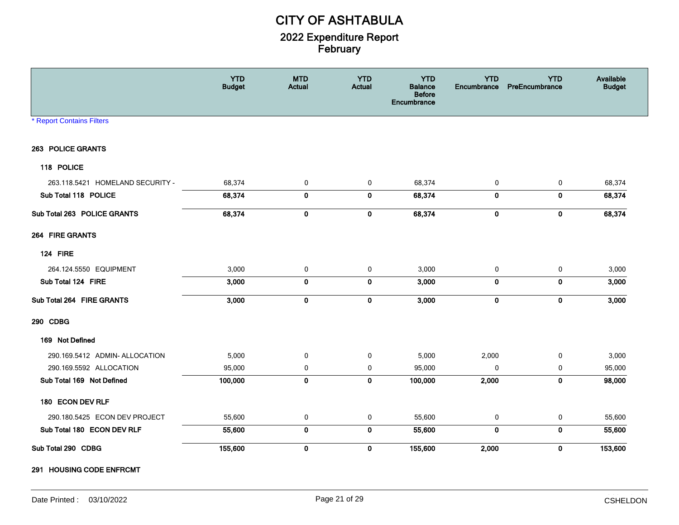|                                  | <b>YTD</b><br><b>Budget</b> | <b>MTD</b><br>Actual | <b>YTD</b><br><b>Actual</b> | <b>YTD</b><br><b>Balance</b><br><b>Before</b><br>Encumbrance | <b>YTD</b><br>Encumbrance | <b>YTD</b><br>PreEncumbrance | Available<br><b>Budget</b> |
|----------------------------------|-----------------------------|----------------------|-----------------------------|--------------------------------------------------------------|---------------------------|------------------------------|----------------------------|
| <b>* Report Contains Filters</b> |                             |                      |                             |                                                              |                           |                              |                            |
| 263 POLICE GRANTS                |                             |                      |                             |                                                              |                           |                              |                            |
| 118 POLICE                       |                             |                      |                             |                                                              |                           |                              |                            |
| 263.118.5421 HOMELAND SECURITY - | 68,374                      | 0                    | 0                           | 68,374                                                       | 0                         | 0                            | 68,374                     |
| Sub Total 118 POLICE             | 68,374                      | $\pmb{0}$            | $\bf{0}$                    | 68,374                                                       | $\mathbf 0$               | $\bf{0}$                     | 68,374                     |
| Sub Total 263 POLICE GRANTS      | 68,374                      | $\pmb{0}$            | $\pmb{0}$                   | 68,374                                                       | $\pmb{0}$                 | $\pmb{0}$                    | 68,374                     |
| 264 FIRE GRANTS                  |                             |                      |                             |                                                              |                           |                              |                            |
| <b>124 FIRE</b>                  |                             |                      |                             |                                                              |                           |                              |                            |
| 264.124.5550 EQUIPMENT           | 3,000                       | $\mathbf 0$          | $\mathbf 0$                 | 3,000                                                        | 0                         | 0                            | 3,000                      |
| Sub Total 124 FIRE               | 3,000                       | $\mathbf 0$          | $\bf{0}$                    | 3,000                                                        | $\mathbf 0$               | $\bf{0}$                     | 3,000                      |
| Sub Total 264 FIRE GRANTS        | 3,000                       | $\mathbf 0$          | $\bf{0}$                    | 3,000                                                        | $\mathbf 0$               | $\bf{0}$                     | 3,000                      |
| 290 CDBG                         |                             |                      |                             |                                                              |                           |                              |                            |
| 169 Not Defined                  |                             |                      |                             |                                                              |                           |                              |                            |
| 290.169.5412 ADMIN- ALLOCATION   | 5,000                       | $\mathbf 0$          | $\mathbf 0$                 | 5,000                                                        | 2,000                     | $\mathbf 0$                  | 3,000                      |
| 290.169.5592 ALLOCATION          | 95,000                      | $\mathbf 0$          | $\mathbf 0$                 | 95,000                                                       | $\mathbf 0$               | 0                            | 95,000                     |
| Sub Total 169 Not Defined        | 100,000                     | $\mathbf 0$          | $\mathbf 0$                 | 100,000                                                      | 2,000                     | $\mathbf 0$                  | 98,000                     |
| 180 ECON DEV RLF                 |                             |                      |                             |                                                              |                           |                              |                            |
| 290.180.5425 ECON DEV PROJECT    | 55,600                      | 0                    | 0                           | 55,600                                                       | 0                         | 0                            | 55,600                     |
| Sub Total 180 ECON DEV RLF       | 55,600                      | $\mathbf 0$          | $\pmb{0}$                   | 55,600                                                       | $\mathbf{0}$              | $\mathbf 0$                  | 55,600                     |
| Sub Total 290 CDBG               | 155,600                     | $\pmb{0}$            | $\pmb{0}$                   | 155,600                                                      | 2,000                     | $\pmb{0}$                    | 153,600                    |

291 HOUSING CODE ENFRCMT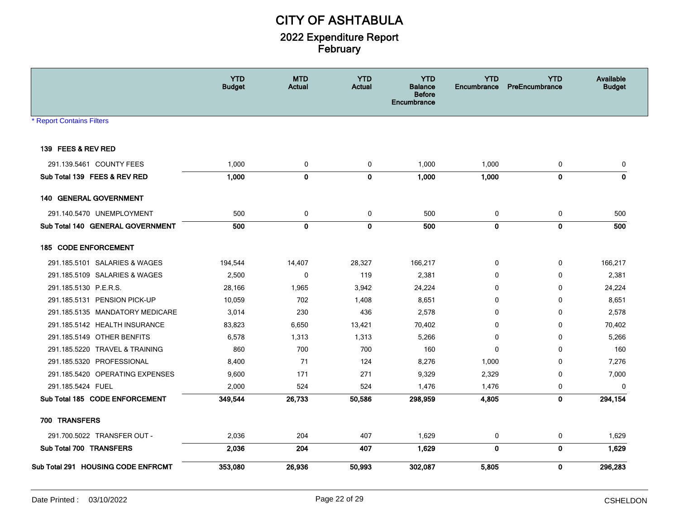|                                    | <b>YTD</b><br><b>Budget</b> | <b>MTD</b><br><b>Actual</b> | <b>YTD</b><br><b>Actual</b> | <b>YTD</b><br><b>Balance</b><br><b>Before</b><br>Encumbrance | <b>YTD</b><br><b>Encumbrance</b> | <b>YTD</b><br>PreEncumbrance | Available<br><b>Budget</b> |
|------------------------------------|-----------------------------|-----------------------------|-----------------------------|--------------------------------------------------------------|----------------------------------|------------------------------|----------------------------|
| <b>Report Contains Filters</b>     |                             |                             |                             |                                                              |                                  |                              |                            |
|                                    |                             |                             |                             |                                                              |                                  |                              |                            |
| 139 FEES & REV RED                 |                             |                             |                             |                                                              |                                  |                              |                            |
| 291.139.5461 COUNTY FEES           | 1,000                       | 0                           | 0                           | 1,000                                                        | 1,000                            | 0                            | 0                          |
| Sub Total 139 FEES & REV RED       | 1,000                       | $\mathbf 0$                 | $\mathbf 0$                 | 1,000                                                        | 1,000                            | $\mathbf 0$                  | $\mathbf 0$                |
| 140 GENERAL GOVERNMENT             |                             |                             |                             |                                                              |                                  |                              |                            |
| 291.140.5470 UNEMPLOYMENT          | 500                         | $\mathbf 0$                 | 0                           | 500                                                          | 0                                | 0                            | 500                        |
| Sub Total 140 GENERAL GOVERNMENT   | 500                         | $\mathbf 0$                 | $\mathbf{0}$                | 500                                                          | $\mathbf 0$                      | $\mathbf{0}$                 | 500                        |
| 185 CODE ENFORCEMENT               |                             |                             |                             |                                                              |                                  |                              |                            |
| 291.185.5101 SALARIES & WAGES      | 194,544                     | 14,407                      | 28,327                      | 166,217                                                      | 0                                | 0                            | 166,217                    |
| 291.185.5109 SALARIES & WAGES      | 2,500                       | 0                           | 119                         | 2,381                                                        | 0                                | 0                            | 2,381                      |
| 291.185.5130 P.E.R.S.              | 28,166                      | 1,965                       | 3,942                       | 24,224                                                       | 0                                | 0                            | 24,224                     |
| 291.185.5131 PENSION PICK-UP       | 10,059                      | 702                         | 1,408                       | 8,651                                                        | $\Omega$                         | 0                            | 8,651                      |
| 291.185.5135 MANDATORY MEDICARE    | 3,014                       | 230                         | 436                         | 2,578                                                        | 0                                | 0                            | 2,578                      |
| 291.185.5142 HEALTH INSURANCE      | 83,823                      | 6,650                       | 13,421                      | 70,402                                                       | $\mathbf{0}$                     | 0                            | 70,402                     |
| 291.185.5149 OTHER BENFITS         | 6,578                       | 1,313                       | 1,313                       | 5,266                                                        | 0                                | 0                            | 5,266                      |
| 291.185.5220 TRAVEL & TRAINING     | 860                         | 700                         | 700                         | 160                                                          | 0                                | 0                            | 160                        |
| 291.185.5320 PROFESSIONAL          | 8,400                       | 71                          | 124                         | 8,276                                                        | 1,000                            | 0                            | 7,276                      |
| 291.185.5420 OPERATING EXPENSES    | 9,600                       | 171                         | 271                         | 9,329                                                        | 2,329                            | $\mathbf 0$                  | 7,000                      |
| 291.185.5424 FUEL                  | 2,000                       | 524                         | 524                         | 1,476                                                        | 1,476                            | 0                            | $\Omega$                   |
| Sub Total 185 CODE ENFORCEMENT     | 349,544                     | 26,733                      | 50,586                      | 298,959                                                      | 4,805                            | $\mathbf 0$                  | 294,154                    |
| 700 TRANSFERS                      |                             |                             |                             |                                                              |                                  |                              |                            |
| 291.700.5022 TRANSFER OUT -        | 2,036                       | 204                         | 407                         | 1,629                                                        | 0                                | 0                            | 1,629                      |
| Sub Total 700 TRANSFERS            | 2,036                       | 204                         | 407                         | 1,629                                                        | $\mathbf 0$                      | $\bf{0}$                     | 1,629                      |
| Sub Total 291 HOUSING CODE ENFRCMT | 353,080                     | 26,936                      | 50,993                      | 302,087                                                      | 5,805                            | $\mathbf 0$                  | 296,283                    |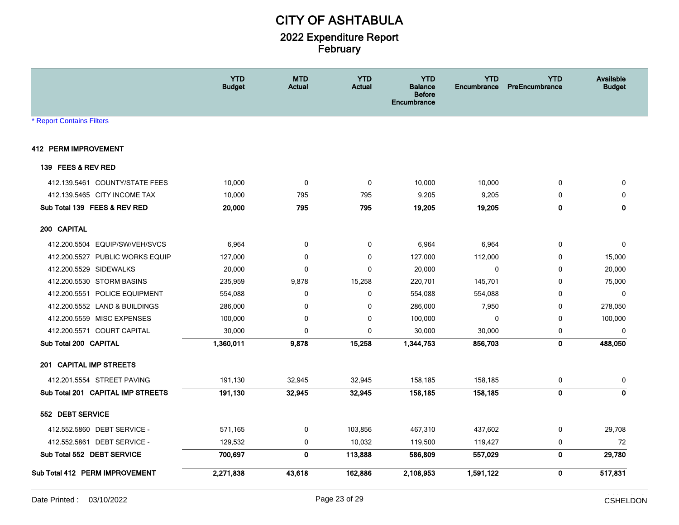|                                   | <b>YTD</b><br><b>Budget</b> | <b>MTD</b><br><b>Actual</b> | <b>YTD</b><br><b>Actual</b> | <b>YTD</b><br><b>Balance</b><br><b>Before</b><br>Encumbrance | <b>YTD</b><br>Encumbrance | <b>YTD</b><br>PreEncumbrance | Available<br><b>Budget</b> |
|-----------------------------------|-----------------------------|-----------------------------|-----------------------------|--------------------------------------------------------------|---------------------------|------------------------------|----------------------------|
| <b>Report Contains Filters</b>    |                             |                             |                             |                                                              |                           |                              |                            |
| 412 PERM IMPROVEMENT              |                             |                             |                             |                                                              |                           |                              |                            |
| 139 FEES & REV RED                |                             |                             |                             |                                                              |                           |                              |                            |
| 412.139.5461 COUNTY/STATE FEES    | 10,000                      | 0                           | 0                           | 10,000                                                       | 10,000                    | $\mathbf 0$                  | 0                          |
| 412.139.5465 CITY INCOME TAX      | 10,000                      | 795                         | 795                         | 9,205                                                        | 9,205                     | 0                            | $\mathbf 0$                |
| Sub Total 139 FEES & REV RED      | 20,000                      | 795                         | 795                         | 19,205                                                       | 19,205                    | $\mathbf 0$                  | $\mathbf 0$                |
| 200 CAPITAL                       |                             |                             |                             |                                                              |                           |                              |                            |
| 412.200.5504 EQUIP/SW/VEH/SVCS    | 6,964                       | 0                           | 0                           | 6,964                                                        | 6,964                     | 0                            | $\mathbf 0$                |
| 412.200.5527 PUBLIC WORKS EQUIP   | 127,000                     | 0                           | 0                           | 127,000                                                      | 112,000                   | 0                            | 15,000                     |
| 412.200.5529 SIDEWALKS            | 20,000                      | 0                           | 0                           | 20,000                                                       | $\mathbf 0$               | 0                            | 20,000                     |
| 412.200.5530 STORM BASINS         | 235,959                     | 9,878                       | 15,258                      | 220,701                                                      | 145,701                   | 0                            | 75,000                     |
| 412.200.5551 POLICE EQUIPMENT     | 554,088                     | 0                           | 0                           | 554,088                                                      | 554,088                   | 0                            | $\mathbf 0$                |
| 412.200.5552 LAND & BUILDINGS     | 286,000                     | 0                           | 0                           | 286,000                                                      | 7,950                     | 0                            | 278,050                    |
| 412.200.5559 MISC EXPENSES        | 100,000                     | 0                           | 0                           | 100,000                                                      | $\mathbf{0}$              | 0                            | 100,000                    |
| 412.200.5571 COURT CAPITAL        | 30,000                      | 0                           | 0                           | 30,000                                                       | 30,000                    | 0                            | $\mathbf{0}$               |
| Sub Total 200 CAPITAL             | 1,360,011                   | 9,878                       | 15,258                      | 1,344,753                                                    | 856,703                   | $\mathbf 0$                  | 488,050                    |
| 201 CAPITAL IMP STREETS           |                             |                             |                             |                                                              |                           |                              |                            |
| 412.201.5554 STREET PAVING        | 191,130                     | 32,945                      | 32,945                      | 158,185                                                      | 158,185                   | 0                            | 0                          |
| Sub Total 201 CAPITAL IMP STREETS | 191,130                     | 32,945                      | 32,945                      | 158,185                                                      | 158,185                   | $\mathbf 0$                  | $\mathbf 0$                |
| 552 DEBT SERVICE                  |                             |                             |                             |                                                              |                           |                              |                            |
| 412.552.5860 DEBT SERVICE -       | 571,165                     | 0                           | 103,856                     | 467,310                                                      | 437,602                   | $\mathbf 0$                  | 29,708                     |
| 412.552.5861 DEBT SERVICE -       | 129,532                     | 0                           | 10,032                      | 119,500                                                      | 119,427                   | 0                            | 72                         |
| Sub Total 552 DEBT SERVICE        | 700,697                     | $\mathbf 0$                 | 113,888                     | 586,809                                                      | 557,029                   | $\mathbf 0$                  | 29,780                     |
| Sub Total 412 PERM IMPROVEMENT    | 2,271,838                   | 43,618                      | 162,886                     | 2,108,953                                                    | 1,591,122                 | $\bf{0}$                     | 517,831                    |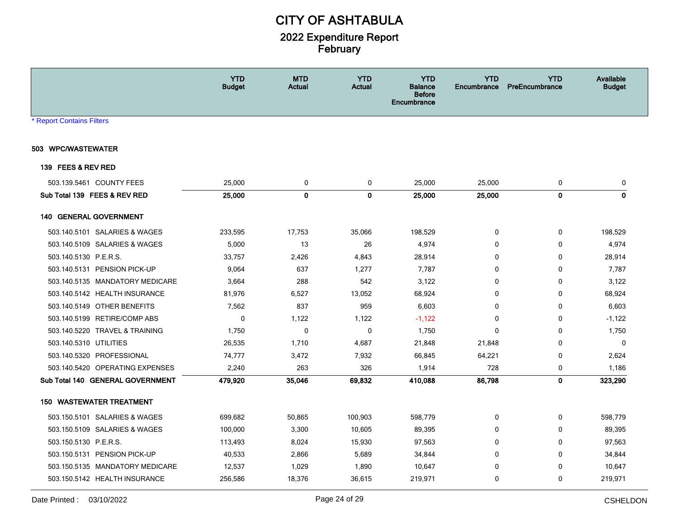|                                  | <b>YTD</b><br><b>Budget</b> | <b>MTD</b><br><b>Actual</b> | <b>YTD</b><br><b>Actual</b> | <b>YTD</b><br><b>Balance</b><br><b>Before</b><br>Encumbrance | <b>YTD</b><br><b>Encumbrance</b> | <b>YTD</b><br><b>PreEncumbrance</b> | Available<br><b>Budget</b> |
|----------------------------------|-----------------------------|-----------------------------|-----------------------------|--------------------------------------------------------------|----------------------------------|-------------------------------------|----------------------------|
| <b>* Report Contains Filters</b> |                             |                             |                             |                                                              |                                  |                                     |                            |
| 503 WPC/WASTEWATER               |                             |                             |                             |                                                              |                                  |                                     |                            |
| 139 FEES & REV RED               |                             |                             |                             |                                                              |                                  |                                     |                            |
| 503.139.5461 COUNTY FEES         | 25,000                      | 0                           | 0                           | 25,000                                                       | 25,000                           | 0                                   | 0                          |
| Sub Total 139 FEES & REV RED     | 25,000                      | $\mathbf 0$                 | $\mathbf 0$                 | 25,000                                                       | 25,000                           | $\mathbf 0$                         | $\mathbf 0$                |
| <b>140 GENERAL GOVERNMENT</b>    |                             |                             |                             |                                                              |                                  |                                     |                            |
| 503.140.5101 SALARIES & WAGES    | 233,595                     | 17,753                      | 35,066                      | 198,529                                                      | 0                                | 0                                   | 198,529                    |
| 503.140.5109 SALARIES & WAGES    | 5,000                       | 13                          | 26                          | 4,974                                                        | $\mathbf{0}$                     | 0                                   | 4,974                      |
| 503.140.5130 P.E.R.S.            | 33,757                      | 2,426                       | 4,843                       | 28,914                                                       | $\mathbf{0}$                     | $\mathbf 0$                         | 28,914                     |
| 503.140.5131 PENSION PICK-UP     | 9,064                       | 637                         | 1,277                       | 7,787                                                        | $\mathbf{0}$                     | $\mathbf 0$                         | 7,787                      |
| 503.140.5135 MANDATORY MEDICARE  | 3,664                       | 288                         | 542                         | 3,122                                                        | 0                                | 0                                   | 3,122                      |
| 503.140.5142 HEALTH INSURANCE    | 81,976                      | 6,527                       | 13,052                      | 68,924                                                       | 0                                | $\mathbf 0$                         | 68,924                     |
| 503.140.5149 OTHER BENEFITS      | 7,562                       | 837                         | 959                         | 6,603                                                        | 0                                | 0                                   | 6,603                      |
| 503.140.5199 RETIRE/COMP ABS     | $\mathbf 0$                 | 1,122                       | 1,122                       | $-1,122$                                                     | 0                                | 0                                   | $-1,122$                   |
| 503.140.5220 TRAVEL & TRAINING   | 1,750                       | 0                           | 0                           | 1,750                                                        | 0                                | 0                                   | 1,750                      |
| 503.140.5310 UTILITIES           | 26,535                      | 1,710                       | 4,687                       | 21,848                                                       | 21,848                           | 0                                   | 0                          |
| 503.140.5320 PROFESSIONAL        | 74,777                      | 3,472                       | 7,932                       | 66,845                                                       | 64,221                           | 0                                   | 2,624                      |
| 503.140.5420 OPERATING EXPENSES  | 2,240                       | 263                         | 326                         | 1,914                                                        | 728                              | 0                                   | 1,186                      |
| Sub Total 140 GENERAL GOVERNMENT | 479,920                     | 35,046                      | 69,832                      | 410,088                                                      | 86,798                           | $\mathbf 0$                         | 323,290                    |
| <b>150 WASTEWATER TREATMENT</b>  |                             |                             |                             |                                                              |                                  |                                     |                            |
| 503.150.5101 SALARIES & WAGES    | 699,682                     | 50,865                      | 100,903                     | 598,779                                                      | 0                                | 0                                   | 598,779                    |
| 503.150.5109 SALARIES & WAGES    | 100,000                     | 3,300                       | 10,605                      | 89,395                                                       | $\mathbf{0}$                     | $\mathbf 0$                         | 89,395                     |
| 503.150.5130 P.E.R.S.            | 113,493                     | 8,024                       | 15,930                      | 97,563                                                       | $\mathbf{0}$                     | 0                                   | 97,563                     |
| 503.150.5131 PENSION PICK-UP     | 40,533                      | 2,866                       | 5,689                       | 34,844                                                       | 0                                | $\mathbf 0$                         | 34,844                     |
| 503.150.5135 MANDATORY MEDICARE  | 12,537                      | 1,029                       | 1,890                       | 10,647                                                       | 0                                | 0                                   | 10,647                     |
| 503.150.5142 HEALTH INSURANCE    | 256,586                     | 18,376                      | 36,615                      | 219,971                                                      | 0                                | $\mathbf 0$                         | 219,971                    |
|                                  |                             |                             |                             |                                                              |                                  |                                     |                            |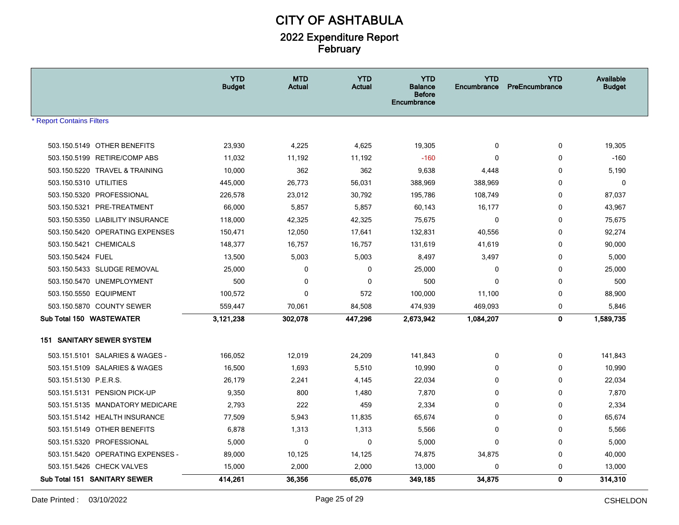|                                   | <b>YTD</b><br><b>Budget</b> | <b>MTD</b><br><b>Actual</b> | <b>YTD</b><br><b>Actual</b> | <b>YTD</b><br><b>Balance</b><br><b>Before</b><br>Encumbrance | <b>YTD</b><br><b>Encumbrance</b> | <b>YTD</b><br>PreEncumbrance | Available<br><b>Budget</b> |
|-----------------------------------|-----------------------------|-----------------------------|-----------------------------|--------------------------------------------------------------|----------------------------------|------------------------------|----------------------------|
| <b>Report Contains Filters</b>    |                             |                             |                             |                                                              |                                  |                              |                            |
|                                   |                             |                             |                             |                                                              |                                  |                              |                            |
| 503.150.5149 OTHER BENEFITS       | 23,930                      | 4,225                       | 4,625                       | 19,305                                                       | $\mathbf 0$                      | 0                            | 19,305                     |
| 503.150.5199 RETIRE/COMP ABS      | 11,032                      | 11,192                      | 11,192                      | $-160$                                                       | $\Omega$                         | $\mathbf 0$                  | $-160$                     |
| 503.150.5220 TRAVEL & TRAINING    | 10,000                      | 362                         | 362                         | 9,638                                                        | 4,448                            | 0                            | 5,190                      |
| 503.150.5310 UTILITIES            | 445,000                     | 26,773                      | 56,031                      | 388,969                                                      | 388,969                          | $\mathbf 0$                  | 0                          |
| 503.150.5320 PROFESSIONAL         | 226,578                     | 23,012                      | 30,792                      | 195,786                                                      | 108,749                          | 0                            | 87,037                     |
| 503.150.5321<br>PRE-TREATMENT     | 66,000                      | 5,857                       | 5,857                       | 60,143                                                       | 16,177                           | $\mathbf 0$                  | 43,967                     |
| 503.150.5350 LIABILITY INSURANCE  | 118,000                     | 42,325                      | 42,325                      | 75,675                                                       | $\mathbf 0$                      | 0                            | 75,675                     |
| 503.150.5420 OPERATING EXPENSES   | 150,471                     | 12,050                      | 17,641                      | 132,831                                                      | 40,556                           | 0                            | 92,274                     |
| 503.150.5421 CHEMICALS            | 148,377                     | 16,757                      | 16,757                      | 131,619                                                      | 41,619                           | 0                            | 90,000                     |
| 503.150.5424 FUEL                 | 13,500                      | 5,003                       | 5,003                       | 8,497                                                        | 3,497                            | 0                            | 5,000                      |
| 503.150.5433 SLUDGE REMOVAL       | 25,000                      | 0                           | 0                           | 25,000                                                       | 0                                | 0                            | 25,000                     |
| 503.150.5470 UNEMPLOYMENT         | 500                         | 0                           | $\mathbf 0$                 | 500                                                          | $\mathbf 0$                      | 0                            | 500                        |
| 503.150.5550 EQUIPMENT            | 100,572                     | $\Omega$                    | 572                         | 100,000                                                      | 11,100                           | $\mathbf 0$                  | 88,900                     |
| 503.150.5870 COUNTY SEWER         | 559,447                     | 70,061                      | 84,508                      | 474,939                                                      | 469,093                          | 0                            | 5,846                      |
| Sub Total 150 WASTEWATER          | 3,121,238                   | 302,078                     | 447,296                     | 2,673,942                                                    | 1,084,207                        | $\mathbf 0$                  | 1,589,735                  |
| <b>151 SANITARY SEWER SYSTEM</b>  |                             |                             |                             |                                                              |                                  |                              |                            |
| 503.151.5101 SALARIES & WAGES -   | 166,052                     | 12,019                      | 24,209                      | 141,843                                                      | $\mathbf 0$                      | 0                            | 141,843                    |
| 503.151.5109 SALARIES & WAGES     | 16,500                      | 1,693                       | 5,510                       | 10,990                                                       | $\mathbf 0$                      | $\mathbf 0$                  | 10,990                     |
| 503.151.5130 P.E.R.S.             | 26,179                      | 2,241                       | 4,145                       | 22,034                                                       | 0                                | 0                            | 22,034                     |
| 503.151.5131 PENSION PICK-UP      | 9,350                       | 800                         | 1,480                       | 7,870                                                        | 0                                | 0                            | 7,870                      |
| 503.151.5135 MANDATORY MEDICARE   | 2,793                       | 222                         | 459                         | 2,334                                                        | 0                                | 0                            | 2,334                      |
| 503.151.5142 HEALTH INSURANCE     | 77,509                      | 5,943                       | 11,835                      | 65,674                                                       | $\Omega$                         | $\Omega$                     | 65,674                     |
| 503.151.5149 OTHER BENEFITS       | 6,878                       | 1,313                       | 1,313                       | 5,566                                                        | $\Omega$                         | 0                            | 5,566                      |
| 503.151.5320 PROFESSIONAL         | 5,000                       | 0                           | $\mathbf 0$                 | 5,000                                                        | $\mathbf 0$                      | 0                            | 5,000                      |
| 503.151.5420 OPERATING EXPENSES - | 89,000                      | 10,125                      | 14,125                      | 74,875                                                       | 34,875                           | 0                            | 40,000                     |
| 503.151.5426 CHECK VALVES         | 15,000                      | 2,000                       | 2,000                       | 13,000                                                       | 0                                | 0                            | 13,000                     |
| Sub Total 151 SANITARY SEWER      | 414,261                     | 36,356                      | 65,076                      | 349,185                                                      | 34,875                           | 0                            | 314,310                    |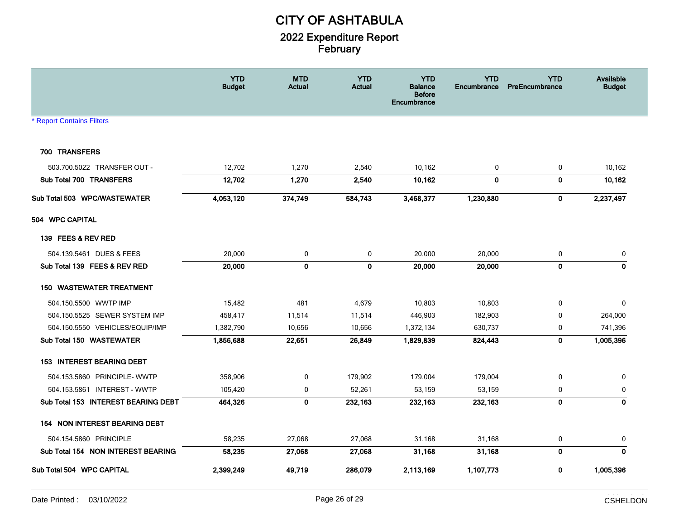|                                     | <b>YTD</b><br><b>Budget</b> | <b>MTD</b><br>Actual | <b>YTD</b><br><b>Actual</b> | <b>YTD</b><br><b>Balance</b><br><b>Before</b><br><b>Encumbrance</b> | <b>YTD</b><br>Encumbrance | <b>YTD</b><br>PreEncumbrance | Available<br><b>Budget</b> |
|-------------------------------------|-----------------------------|----------------------|-----------------------------|---------------------------------------------------------------------|---------------------------|------------------------------|----------------------------|
| <b>Report Contains Filters</b>      |                             |                      |                             |                                                                     |                           |                              |                            |
| 700 TRANSFERS                       |                             |                      |                             |                                                                     |                           |                              |                            |
| 503.700.5022 TRANSFER OUT -         | 12,702                      | 1,270                | 2,540                       | 10,162                                                              | 0                         | $\pmb{0}$                    | 10,162                     |
| Sub Total 700 TRANSFERS             | 12,702                      | 1,270                | 2,540                       | 10,162                                                              | 0                         | $\mathbf 0$                  | 10,162                     |
| Sub Total 503 WPC/WASTEWATER        | 4,053,120                   | 374,749              | 584,743                     | 3,468,377                                                           | 1,230,880                 | $\mathbf 0$                  | 2,237,497                  |
| 504 WPC CAPITAL                     |                             |                      |                             |                                                                     |                           |                              |                            |
| 139 FEES & REV RED                  |                             |                      |                             |                                                                     |                           |                              |                            |
| 504.139.5461 DUES & FEES            | 20,000                      | 0                    | 0                           | 20,000                                                              | 20,000                    | 0                            | 0                          |
| Sub Total 139 FEES & REV RED        | 20,000                      | $\pmb{0}$            | $\pmb{0}$                   | 20,000                                                              | 20,000                    | $\pmb{0}$                    | $\pmb{0}$                  |
| <b>WASTEWATER TREATMENT</b><br>150  |                             |                      |                             |                                                                     |                           |                              |                            |
| 504.150.5500 WWTP IMP               | 15,482                      | 481                  | 4,679                       | 10,803                                                              | 10,803                    | $\mathbf 0$                  | 0                          |
| 504.150.5525 SEWER SYSTEM IMP       | 458,417                     | 11,514               | 11,514                      | 446,903                                                             | 182,903                   | $\mathbf 0$                  | 264,000                    |
| 504.150.5550 VEHICLES/EQUIP/IMP     | 1,382,790                   | 10,656               | 10,656                      | 1,372,134                                                           | 630,737                   | 0                            | 741,396                    |
| Sub Total 150 WASTEWATER            | 1,856,688                   | 22,651               | 26,849                      | 1,829,839                                                           | 824,443                   | $\mathbf 0$                  | 1,005,396                  |
| <b>153 INTEREST BEARING DEBT</b>    |                             |                      |                             |                                                                     |                           |                              |                            |
| 504.153.5860 PRINCIPLE-WWTP         | 358,906                     | 0                    | 179,902                     | 179,004                                                             | 179,004                   | 0                            | 0                          |
| 504.153.5861 INTEREST - WWTP        | 105,420                     | $\mathbf 0$          | 52,261                      | 53,159                                                              | 53,159                    | $\mathbf 0$                  | $\mathbf 0$                |
| Sub Total 153 INTEREST BEARING DEBT | 464,326                     | $\mathbf 0$          | 232,163                     | 232,163                                                             | 232,163                   | $\mathbf 0$                  | $\mathbf{0}$               |
| 154 NON INTEREST BEARING DEBT       |                             |                      |                             |                                                                     |                           |                              |                            |
| 504.154.5860 PRINCIPLE              | 58,235                      | 27,068               | 27,068                      | 31,168                                                              | 31,168                    | 0                            | 0                          |
| Sub Total 154 NON INTEREST BEARING  | 58,235                      | 27,068               | 27,068                      | 31,168                                                              | 31,168                    | $\mathbf 0$                  | $\mathbf{0}$               |
| Sub Total 504 WPC CAPITAL           | 2,399,249                   | 49,719               | 286,079                     | 2,113,169                                                           | 1,107,773                 | $\bf{0}$                     | 1,005,396                  |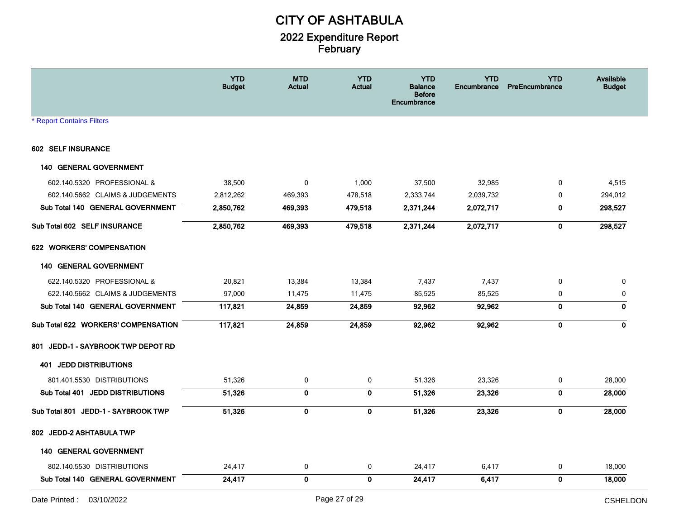|                                     | <b>YTD</b><br><b>Budget</b> | <b>MTD</b><br><b>Actual</b> | <b>YTD</b><br><b>Actual</b> | <b>YTD</b><br><b>Balance</b><br><b>Before</b><br><b>Encumbrance</b> | <b>YTD</b><br>Encumbrance | <b>YTD</b><br>PreEncumbrance | Available<br><b>Budget</b> |
|-------------------------------------|-----------------------------|-----------------------------|-----------------------------|---------------------------------------------------------------------|---------------------------|------------------------------|----------------------------|
| <b>* Report Contains Filters</b>    |                             |                             |                             |                                                                     |                           |                              |                            |
| 602 SELF INSURANCE                  |                             |                             |                             |                                                                     |                           |                              |                            |
| <b>140 GENERAL GOVERNMENT</b>       |                             |                             |                             |                                                                     |                           |                              |                            |
| 602.140.5320 PROFESSIONAL &         | 38,500                      | 0                           | 1,000                       | 37,500                                                              | 32,985                    | $\mathbf 0$                  | 4,515                      |
| 602.140.5662 CLAIMS & JUDGEMENTS    | 2,812,262                   | 469,393                     | 478,518                     | 2,333,744                                                           | 2,039,732                 | 0                            | 294,012                    |
| Sub Total 140 GENERAL GOVERNMENT    | 2,850,762                   | 469,393                     | 479,518                     | 2,371,244                                                           | 2,072,717                 | $\pmb{0}$                    | 298,527                    |
| Sub Total 602 SELF INSURANCE        | 2,850,762                   | 469,393                     | 479,518                     | 2,371,244                                                           | 2,072,717                 | 0                            | 298,527                    |
| 622 WORKERS' COMPENSATION           |                             |                             |                             |                                                                     |                           |                              |                            |
| <b>140 GENERAL GOVERNMENT</b>       |                             |                             |                             |                                                                     |                           |                              |                            |
| 622.140.5320 PROFESSIONAL &         | 20,821                      | 13,384                      | 13,384                      | 7,437                                                               | 7,437                     | $\mathbf 0$                  | $\mathbf 0$                |
| 622.140.5662 CLAIMS & JUDGEMENTS    | 97,000                      | 11,475                      | 11,475                      | 85,525                                                              | 85,525                    | 0                            | 0                          |
| Sub Total 140 GENERAL GOVERNMENT    | 117,821                     | 24,859                      | 24,859                      | 92,962                                                              | 92,962                    | $\bf{0}$                     | $\mathbf 0$                |
| Sub Total 622 WORKERS' COMPENSATION | 117,821                     | 24,859                      | 24,859                      | 92,962                                                              | 92,962                    | $\mathbf 0$                  | $\mathbf 0$                |
| 801 JEDD-1 - SAYBROOK TWP DEPOT RD  |                             |                             |                             |                                                                     |                           |                              |                            |
| <b>401 JEDD DISTRIBUTIONS</b>       |                             |                             |                             |                                                                     |                           |                              |                            |
| 801.401.5530 DISTRIBUTIONS          | 51,326                      | 0                           | 0                           | 51,326                                                              | 23,326                    | 0                            | 28,000                     |
| Sub Total 401 JEDD DISTRIBUTIONS    | 51,326                      | $\mathbf 0$                 | $\pmb{0}$                   | 51,326                                                              | 23,326                    | $\mathbf 0$                  | 28,000                     |
| Sub Total 801 JEDD-1 - SAYBROOK TWP | 51,326                      | $\mathbf 0$                 | $\bf{0}$                    | 51,326                                                              | 23,326                    | $\mathbf{0}$                 | 28,000                     |
| 802 JEDD-2 ASHTABULA TWP            |                             |                             |                             |                                                                     |                           |                              |                            |
| <b>140 GENERAL GOVERNMENT</b>       |                             |                             |                             |                                                                     |                           |                              |                            |
| 802.140.5530 DISTRIBUTIONS          | 24,417                      | 0                           | $\mathbf 0$                 | 24,417                                                              | 6,417                     | 0                            | 18,000                     |
| Sub Total 140 GENERAL GOVERNMENT    | 24,417                      | $\mathbf 0$                 | $\mathbf 0$                 | 24,417                                                              | 6,417                     | $\mathbf 0$                  | 18,000                     |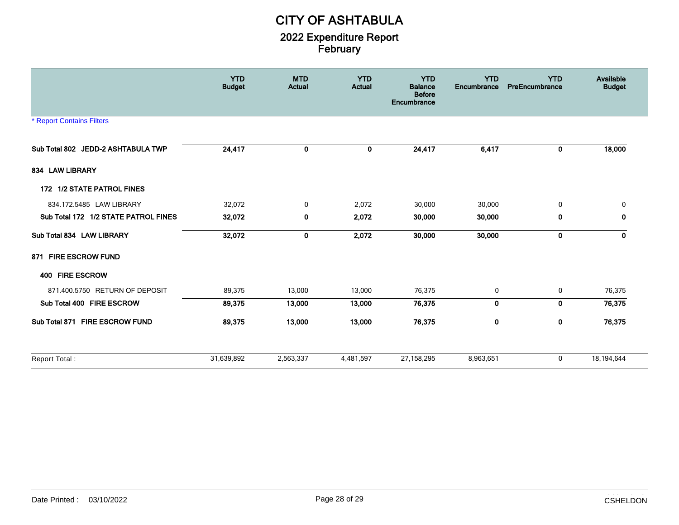|                                      | <b>YTD</b><br><b>Budget</b> | <b>MTD</b><br><b>Actual</b> | <b>YTD</b><br><b>Actual</b> | <b>YTD</b><br><b>Balance</b><br><b>Before</b><br>Encumbrance | <b>YTD</b><br>Encumbrance | <b>YTD</b><br>PreEncumbrance | Available<br><b>Budget</b> |
|--------------------------------------|-----------------------------|-----------------------------|-----------------------------|--------------------------------------------------------------|---------------------------|------------------------------|----------------------------|
| <b>* Report Contains Filters</b>     |                             |                             |                             |                                                              |                           |                              |                            |
| Sub Total 802 JEDD-2 ASHTABULA TWP   | 24,417                      | 0                           | 0                           | 24,417                                                       | 6,417                     | 0                            | 18,000                     |
| 834 LAW LIBRARY                      |                             |                             |                             |                                                              |                           |                              |                            |
| 172 1/2 STATE PATROL FINES           |                             |                             |                             |                                                              |                           |                              |                            |
| 834.172.5485 LAW LIBRARY             | 32,072                      | 0                           | 2,072                       | 30,000                                                       | 30,000                    | 0                            | 0                          |
| Sub Total 172 1/2 STATE PATROL FINES | 32,072                      | 0                           | 2,072                       | 30,000                                                       | 30,000                    | 0                            | 0                          |
| Sub Total 834 LAW LIBRARY            | 32,072                      | 0                           | 2,072                       | 30,000                                                       | 30,000                    | 0                            | $\mathbf{0}$               |
| 871 FIRE ESCROW FUND                 |                             |                             |                             |                                                              |                           |                              |                            |
| 400 FIRE ESCROW                      |                             |                             |                             |                                                              |                           |                              |                            |
| 871.400.5750 RETURN OF DEPOSIT       | 89,375                      | 13,000                      | 13,000                      | 76,375                                                       | $\mathbf 0$               | 0                            | 76,375                     |
| Sub Total 400 FIRE ESCROW            | 89,375                      | 13,000                      | 13,000                      | 76,375                                                       | 0                         | 0                            | 76,375                     |
| Sub Total 871 FIRE ESCROW FUND       | 89,375                      | 13,000                      | 13,000                      | 76,375                                                       | $\mathbf 0$               | $\mathbf 0$                  | 76,375                     |
| Report Total:                        | 31,639,892                  | 2,563,337                   | 4,481,597                   | 27,158,295                                                   | 8,963,651                 | 0                            | 18,194,644                 |